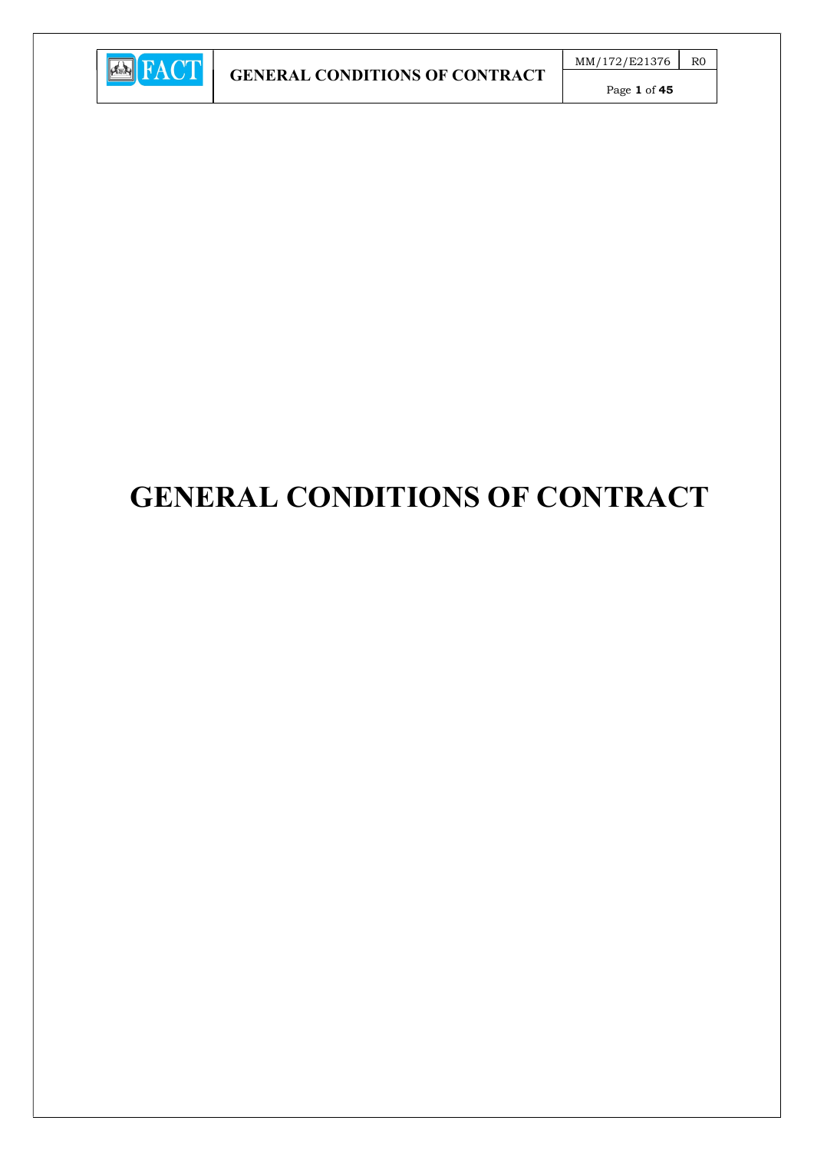

Page 1 of 45

# GENERAL CONDITIONS OF CONTRACT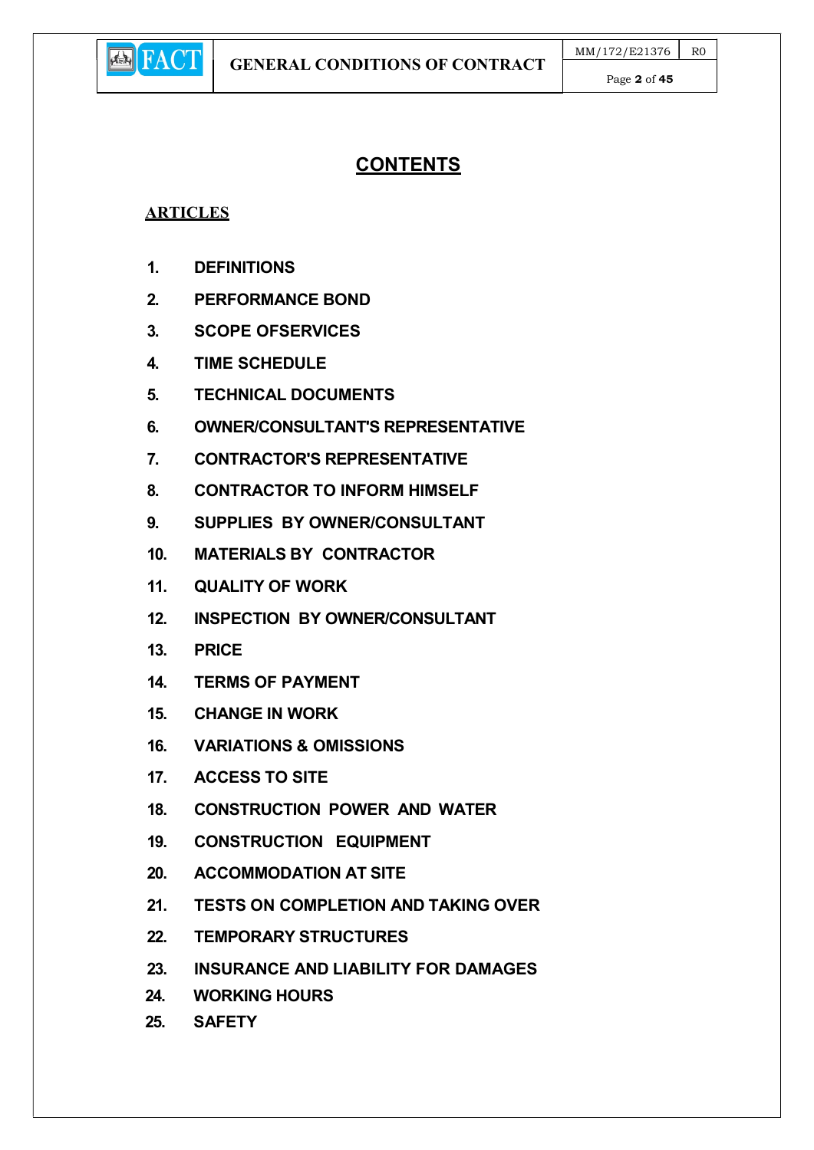

# **CONTENTS**

## **ARTICLES**

- 1. DEFINITIONS
- 2. PERFORMANCE BOND
- 3. SCOPE OFSERVICES
- 4. TIME SCHEDULE
- 5. TECHNICAL DOCUMENTS
- 6. OWNER/CONSULTANT'S REPRESENTATIVE
- 7. CONTRACTOR'S REPRESENTATIVE
- 8. CONTRACTOR TO INFORM HIMSELF
- 9. SUPPLIES BY OWNER/CONSULTANT
- 10. MATERIALS BY CONTRACTOR
- 11. QUALITY OF WORK
- 12. INSPECTION BY OWNER/CONSULTANT
- 13. PRICE
- 14. TERMS OF PAYMENT
- 15. CHANGE IN WORK
- 16. VARIATIONS & OMISSIONS
- 17. ACCESS TO SITE
- 18. CONSTRUCTION POWER AND WATER
- 19. CONSTRUCTION EQUIPMENT
- 20. ACCOMMODATION AT SITE
- 21. TESTS ON COMPLETION AND TAKING OVER
- 22. TEMPORARY STRUCTURES
- 23. INSURANCE AND LIABILITY FOR DAMAGES
- 24. WORKING HOURS
- 25. SAFETY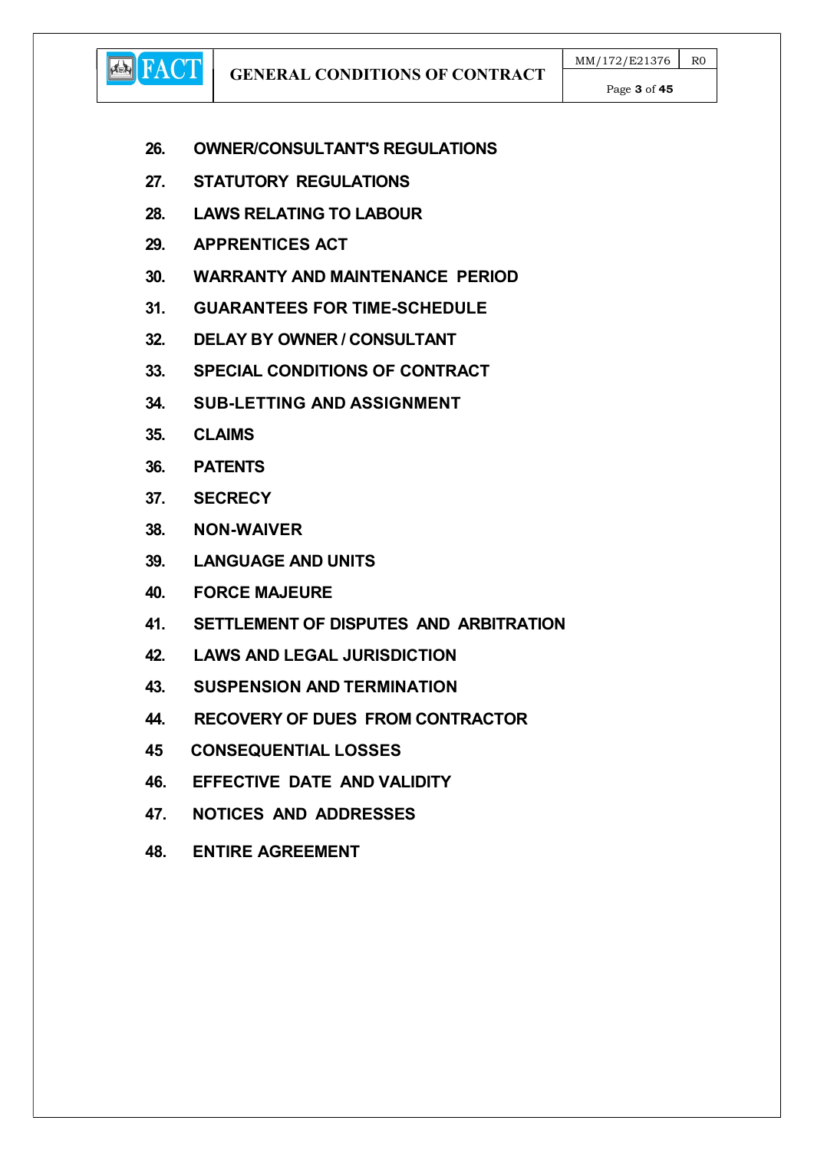GENERAL CONDITIONS OF CONTRACT

Page 3 of 45

- 26. OWNER/CONSULTANT'S REGULATIONS
- 27. STATUTORY REGULATIONS
- 28. LAWS RELATING TO LABOUR
- 29. APPRENTICES ACT
- 30. WARRANTY AND MAINTENANCE PERIOD
- 31. GUARANTEES FOR TIME-SCHEDULE
- 32. DELAY BY OWNER / CONSULTANT
- 33. SPECIAL CONDITIONS OF CONTRACT
- 34. SUB-LETTING AND ASSIGNMENT
- 35. CLAIMS

**ED** FACT

- 36. PATENTS
- 37. SECRECY
- 38. NON-WAIVER
- 39. LANGUAGE AND UNITS
- 40. FORCE MAJEURE
- 41. SETTLEMENT OF DISPUTES AND ARBITRATION
- 42. LAWS AND LEGAL JURISDICTION
- 43. SUSPENSION AND TERMINATION
- 44. RECOVERY OF DUES FROM CONTRACTOR
- 45 CONSEQUENTIAL LOSSES
- 46. EFFECTIVE DATE AND VALIDITY
- 47. NOTICES AND ADDRESSES
- 48. ENTIRE AGREEMENT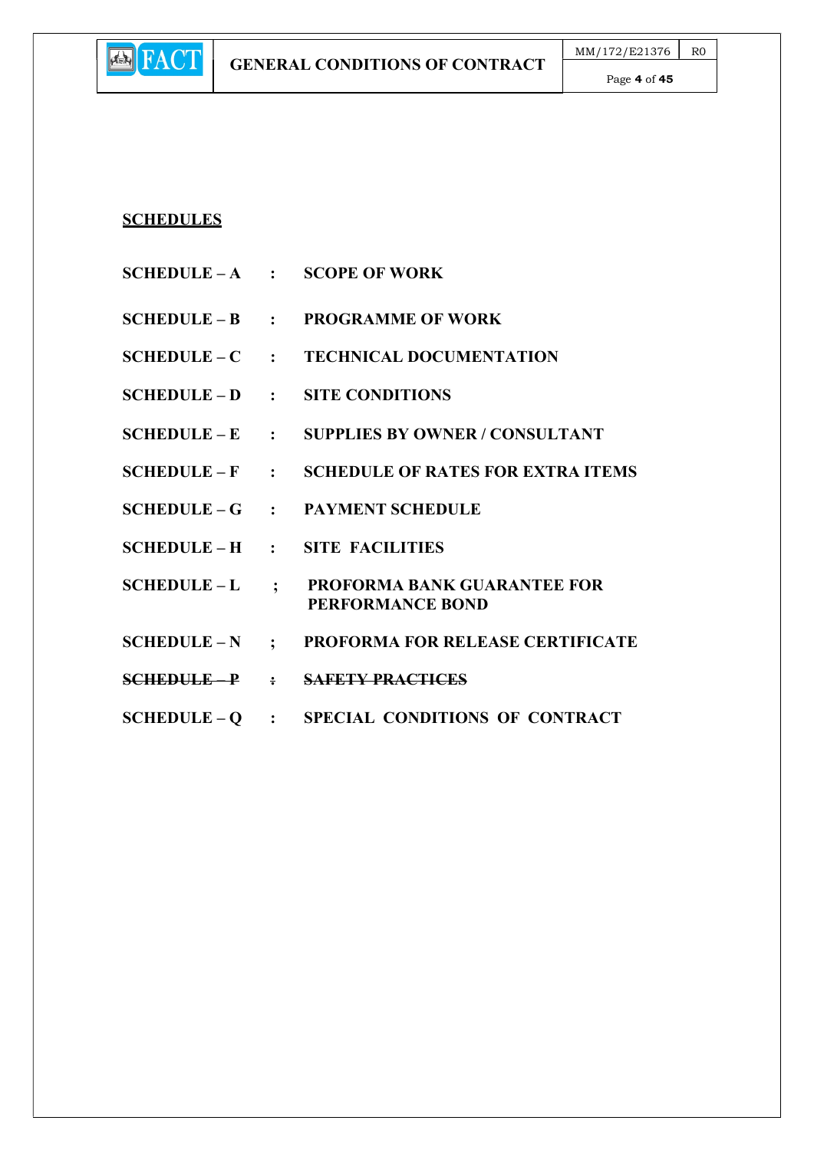## SCHEDULES

**E** FACT

- $SCHEDULE A$  : SCOPE OF WORK
- SCHEDULE B : PROGRAMME OF WORK
- SCHEDULE C : TECHNICAL DOCUMENTATION
- SCHEDULE D : SITE CONDITIONS
- SCHEDULE E : SUPPLIES BY OWNER / CONSULTANT
- SCHEDULE F : SCHEDULE OF RATES FOR EXTRA ITEMS
- SCHEDULE G : PAYMENT SCHEDULE
- SCHEDULE H : SITE FACILITIES
- SCHEDULE L ; PROFORMA BANK GUARANTEE FOR PERFORMANCE BOND
- SCHEDULE N ; PROFORMA FOR RELEASE CERTIFICATE
- SCHEDULE P : SAFETY PRACTICES
- SCHEDULE Q : SPECIAL CONDITIONS OF CONTRACT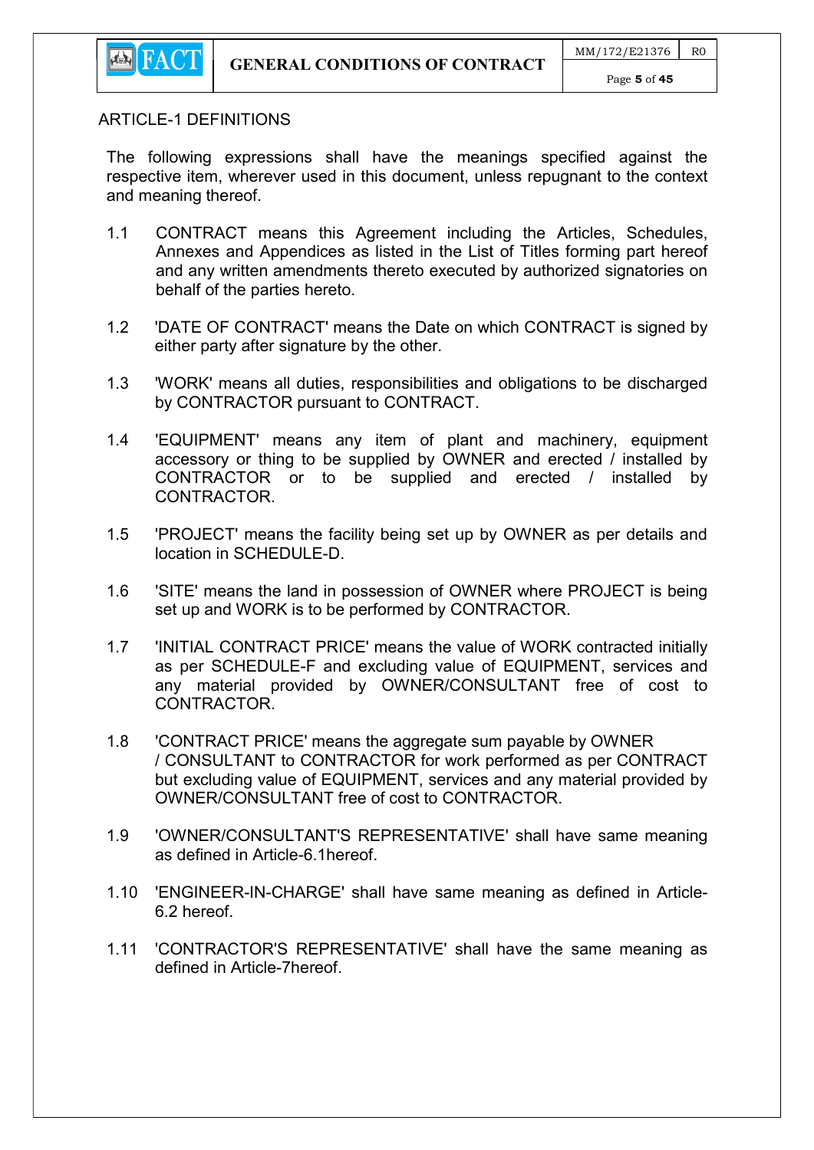

#### ARTICLE-1 DEFINITIONS

The following expressions shall have the meanings specified against the respective item, wherever used in this document, unless repugnant to the context and meaning thereof.

- 1.1 CONTRACT means this Agreement including the Articles, Schedules, Annexes and Appendices as listed in the List of Titles forming part hereof and any written amendments thereto executed by authorized signatories on behalf of the parties hereto.
- 1.2 'DATE OF CONTRACT' means the Date on which CONTRACT is signed by either party after signature by the other.
- 1.3 'WORK' means all duties, responsibilities and obligations to be discharged by CONTRACTOR pursuant to CONTRACT.
- 1.4 'EQUIPMENT' means any item of plant and machinery, equipment accessory or thing to be supplied by OWNER and erected / installed by CONTRACTOR or to be supplied and erected / installed by CONTRACTOR.
- 1.5 'PROJECT' means the facility being set up by OWNER as per details and location in SCHEDULE-D.
- 1.6 'SITE' means the land in possession of OWNER where PROJECT is being set up and WORK is to be performed by CONTRACTOR.
- 1.7 'INITIAL CONTRACT PRICE' means the value of WORK contracted initially as per SCHEDULE-F and excluding value of EQUIPMENT, services and any material provided by OWNER/CONSULTANT free of cost to CONTRACTOR.
- 1.8 'CONTRACT PRICE' means the aggregate sum payable by OWNER / CONSULTANT to CONTRACTOR for work performed as per CONTRACT but excluding value of EQUIPMENT, services and any material provided by OWNER/CONSULTANT free of cost to CONTRACTOR.
- 1.9 'OWNER/CONSULTANT'S REPRESENTATIVE' shall have same meaning as defined in Article-6.1hereof.
- 1.10 'ENGINEER-IN-CHARGE' shall have same meaning as defined in Article-6.2 hereof.
- 1.11 'CONTRACTOR'S REPRESENTATIVE' shall have the same meaning as defined in Article-7hereof.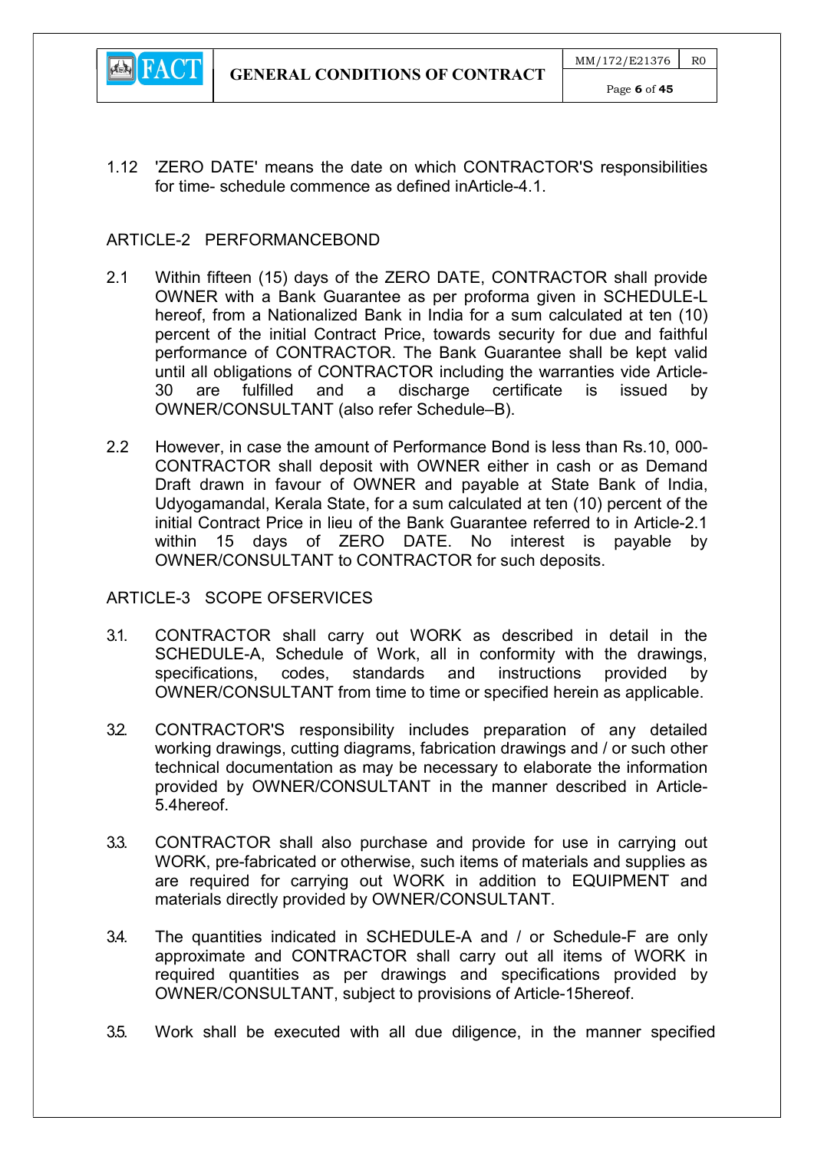

1.12 'ZERO DATE' means the date on which CONTRACTOR'S responsibilities for time- schedule commence as defined inArticle-4.1.

#### ARTICLE-2 PERFORMANCEBOND

- 2.1 Within fifteen (15) days of the ZERO DATE, CONTRACTOR shall provide OWNER with a Bank Guarantee as per proforma given in SCHEDULE-L hereof, from a Nationalized Bank in India for a sum calculated at ten (10) percent of the initial Contract Price, towards security for due and faithful performance of CONTRACTOR. The Bank Guarantee shall be kept valid until all obligations of CONTRACTOR including the warranties vide Article-30 are fulfilled and a discharge certificate is issued by OWNER/CONSULTANT (also refer Schedule–B).
- 2.2 However, in case the amount of Performance Bond is less than Rs.10, 000- CONTRACTOR shall deposit with OWNER either in cash or as Demand Draft drawn in favour of OWNER and payable at State Bank of India, Udyogamandal, Kerala State, for a sum calculated at ten (10) percent of the initial Contract Price in lieu of the Bank Guarantee referred to in Article-2.1 within 15 days of ZERO DATE. No interest is payable by OWNER/CONSULTANT to CONTRACTOR for such deposits.

#### ARTICLE-3 SCOPE OFSERVICES

- 3.1. CONTRACTOR shall carry out WORK as described in detail in the SCHEDULE-A, Schedule of Work, all in conformity with the drawings, specifications, codes, standards and instructions provided by OWNER/CONSULTANT from time to time or specified herein as applicable.
- 3.2. CONTRACTOR'S responsibility includes preparation of any detailed working drawings, cutting diagrams, fabrication drawings and / or such other technical documentation as may be necessary to elaborate the information provided by OWNER/CONSULTANT in the manner described in Article-5.4hereof.
- 3.3. CONTRACTOR shall also purchase and provide for use in carrying out WORK, pre-fabricated or otherwise, such items of materials and supplies as are required for carrying out WORK in addition to EQUIPMENT and materials directly provided by OWNER/CONSULTANT.
- 3.4. The quantities indicated in SCHEDULE-A and / or Schedule-F are only approximate and CONTRACTOR shall carry out all items of WORK in required quantities as per drawings and specifications provided by OWNER/CONSULTANT, subject to provisions of Article-15hereof.
- 3.5. Work shall be executed with all due diligence, in the manner specified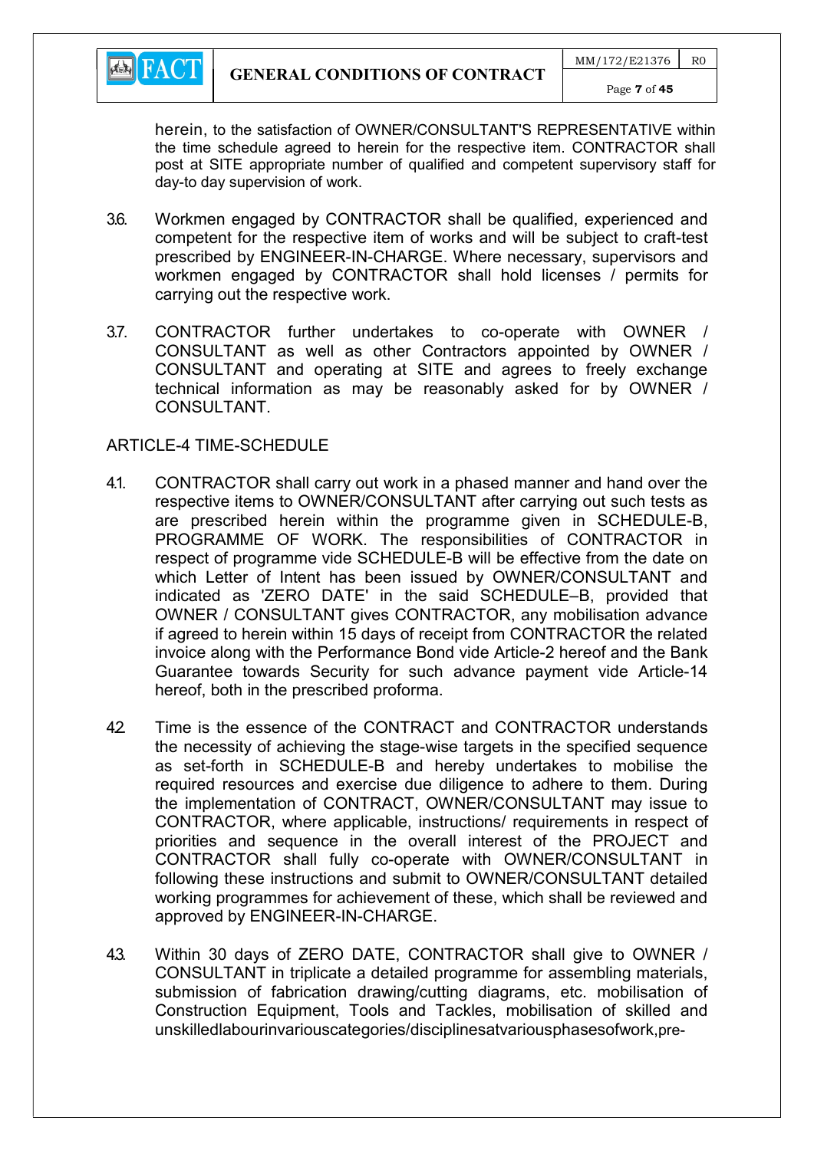

herein, to the satisfaction of OWNER/CONSULTANT'S REPRESENTATIVE within the time schedule agreed to herein for the respective item. CONTRACTOR shall post at SITE appropriate number of qualified and competent supervisory staff for day-to day supervision of work.

- 3.6. Workmen engaged by CONTRACTOR shall be qualified, experienced and competent for the respective item of works and will be subject to craft-test prescribed by ENGINEER-IN-CHARGE. Where necessary, supervisors and workmen engaged by CONTRACTOR shall hold licenses / permits for carrying out the respective work.
- 3.7. CONTRACTOR further undertakes to co-operate with OWNER / CONSULTANT as well as other Contractors appointed by OWNER / CONSULTANT and operating at SITE and agrees to freely exchange technical information as may be reasonably asked for by OWNER / CONSULTANT.

#### ARTICLE-4 TIME-SCHEDULE

- 4.1. CONTRACTOR shall carry out work in a phased manner and hand over the respective items to OWNER/CONSULTANT after carrying out such tests as are prescribed herein within the programme given in SCHEDULE-B, PROGRAMME OF WORK. The responsibilities of CONTRACTOR in respect of programme vide SCHEDULE-B will be effective from the date on which Letter of Intent has been issued by OWNER/CONSULTANT and indicated as 'ZERO DATE' in the said SCHEDULE–B, provided that OWNER / CONSULTANT gives CONTRACTOR, any mobilisation advance if agreed to herein within 15 days of receipt from CONTRACTOR the related invoice along with the Performance Bond vide Article-2 hereof and the Bank Guarantee towards Security for such advance payment vide Article-14 hereof, both in the prescribed proforma.
- 42 Time is the essence of the CONTRACT and CONTRACTOR understands the necessity of achieving the stage-wise targets in the specified sequence as set-forth in SCHEDULE-B and hereby undertakes to mobilise the required resources and exercise due diligence to adhere to them. During the implementation of CONTRACT, OWNER/CONSULTANT may issue to CONTRACTOR, where applicable, instructions/ requirements in respect of priorities and sequence in the overall interest of the PROJECT and CONTRACTOR shall fully co-operate with OWNER/CONSULTANT in following these instructions and submit to OWNER/CONSULTANT detailed working programmes for achievement of these, which shall be reviewed and approved by ENGINEER-IN-CHARGE.
- 4.3. Within 30 days of ZERO DATE, CONTRACTOR shall give to OWNER / CONSULTANT in triplicate a detailed programme for assembling materials, submission of fabrication drawing/cutting diagrams, etc. mobilisation of Construction Equipment, Tools and Tackles, mobilisation of skilled and unskilledlabourinvariouscategories/disciplinesatvariousphasesofwork,pre-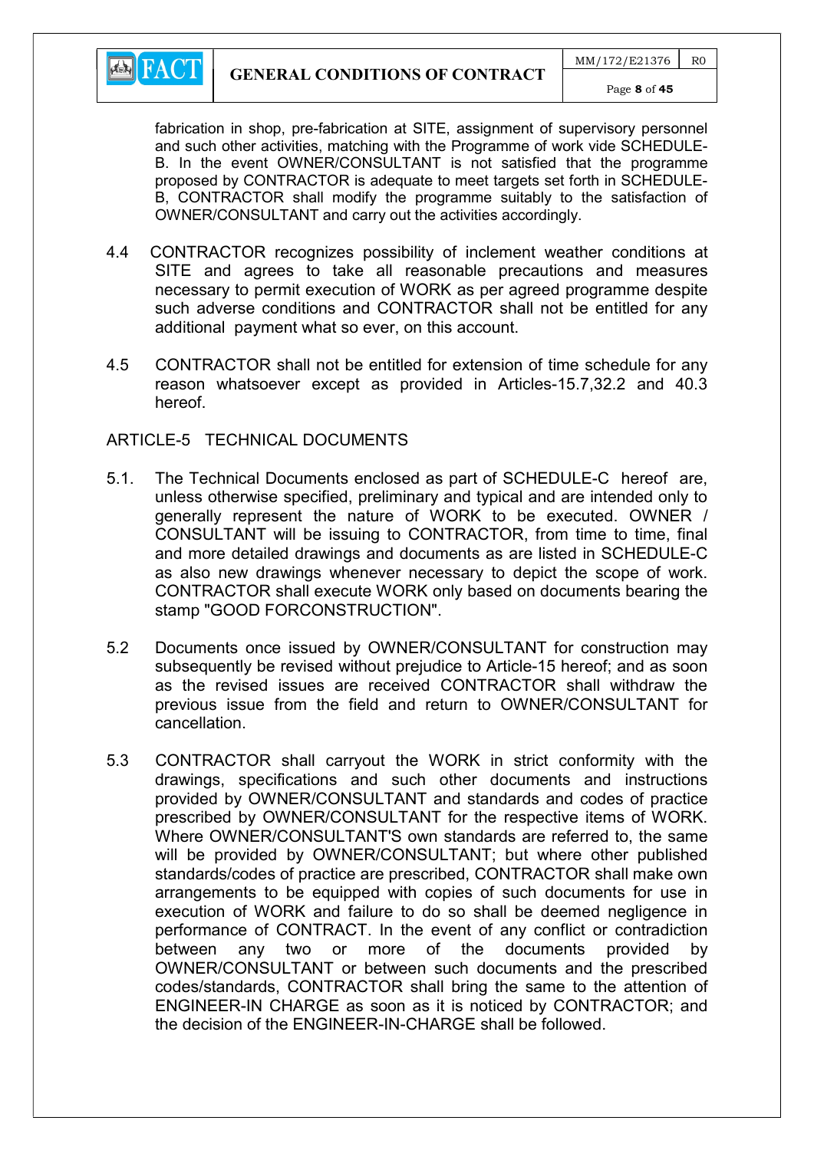

fabrication in shop, pre-fabrication at SITE, assignment of supervisory personnel and such other activities, matching with the Programme of work vide SCHEDULE-B. In the event OWNER/CONSULTANT is not satisfied that the programme proposed by CONTRACTOR is adequate to meet targets set forth in SCHEDULE-B, CONTRACTOR shall modify the programme suitably to the satisfaction of OWNER/CONSULTANT and carry out the activities accordingly.

- 4.4 CONTRACTOR recognizes possibility of inclement weather conditions at SITE and agrees to take all reasonable precautions and measures necessary to permit execution of WORK as per agreed programme despite such adverse conditions and CONTRACTOR shall not be entitled for any additional payment what so ever, on this account.
- 4.5 CONTRACTOR shall not be entitled for extension of time schedule for any reason whatsoever except as provided in Articles-15.7,32.2 and 40.3 hereof.

#### ARTICLE-5 TECHNICAL DOCUMENTS

- 5.1. The Technical Documents enclosed as part of SCHEDULE-C hereof are, unless otherwise specified, preliminary and typical and are intended only to generally represent the nature of WORK to be executed. OWNER / CONSULTANT will be issuing to CONTRACTOR, from time to time, final and more detailed drawings and documents as are listed in SCHEDULE-C as also new drawings whenever necessary to depict the scope of work. CONTRACTOR shall execute WORK only based on documents bearing the stamp "GOOD FORCONSTRUCTION".
- 5.2 Documents once issued by OWNER/CONSULTANT for construction may subsequently be revised without prejudice to Article-15 hereof; and as soon as the revised issues are received CONTRACTOR shall withdraw the previous issue from the field and return to OWNER/CONSULTANT for cancellation.
- 5.3 CONTRACTOR shall carryout the WORK in strict conformity with the drawings, specifications and such other documents and instructions provided by OWNER/CONSULTANT and standards and codes of practice prescribed by OWNER/CONSULTANT for the respective items of WORK. Where OWNER/CONSULTANT'S own standards are referred to, the same will be provided by OWNER/CONSULTANT; but where other published standards/codes of practice are prescribed, CONTRACTOR shall make own arrangements to be equipped with copies of such documents for use in execution of WORK and failure to do so shall be deemed negligence in performance of CONTRACT. In the event of any conflict or contradiction between any two or more of the documents provided by OWNER/CONSULTANT or between such documents and the prescribed codes/standards, CONTRACTOR shall bring the same to the attention of ENGINEER-IN CHARGE as soon as it is noticed by CONTRACTOR; and the decision of the ENGINEER-IN-CHARGE shall be followed.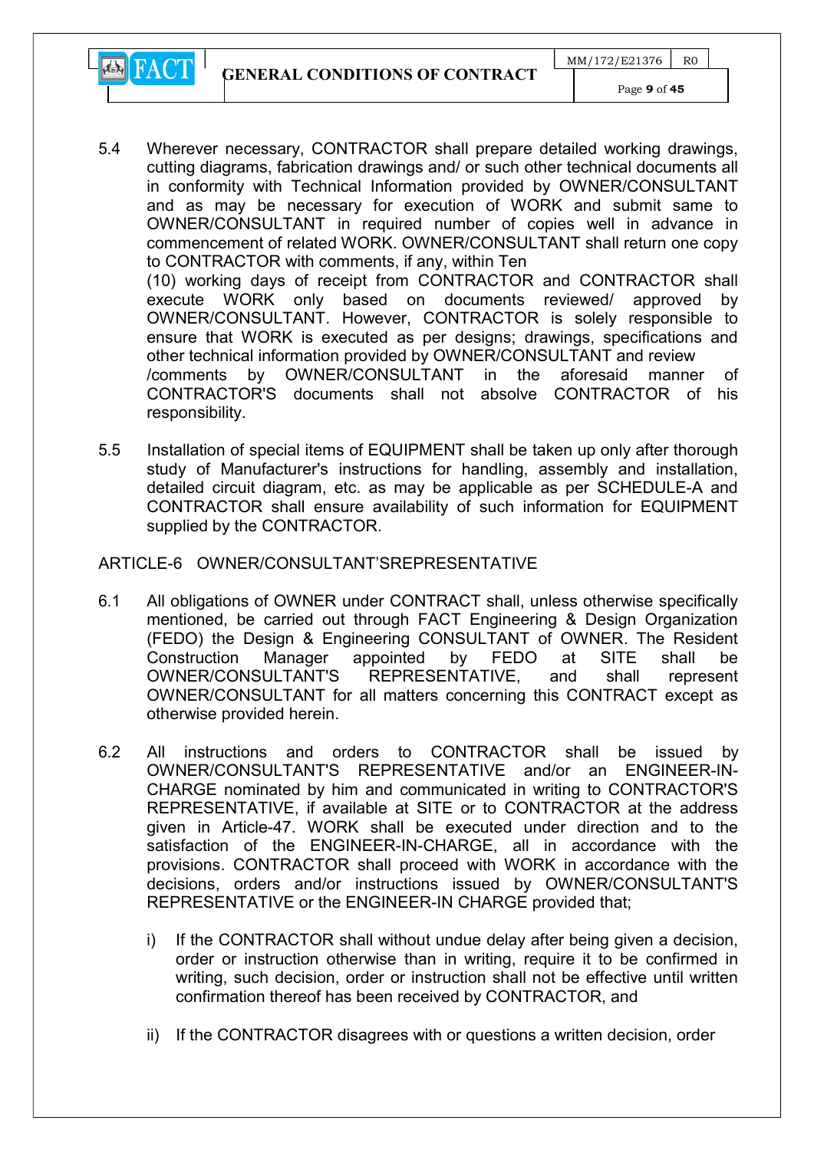GENERAL CONDITIONS OF CONTRACT



responsibility.

- 5.4 Wherever necessary, CONTRACTOR shall prepare detailed working drawings, cutting diagrams, fabrication drawings and/ or such other technical documents all in conformity with Technical Information provided by OWNER/CONSULTANT and as may be necessary for execution of WORK and submit same to OWNER/CONSULTANT in required number of copies well in advance in commencement of related WORK. OWNER/CONSULTANT shall return one copy to CONTRACTOR with comments, if any, within Ten (10) working days of receipt from CONTRACTOR and CONTRACTOR shall execute WORK only based on documents reviewed/ approved by OWNER/CONSULTANT. However, CONTRACTOR is solely responsible to ensure that WORK is executed as per designs; drawings, specifications and other technical information provided by OWNER/CONSULTANT and review /comments by OWNER/CONSULTANT in the aforesaid manner of CONTRACTOR'S documents shall not absolve CONTRACTOR of his
- 5.5 Installation of special items of EQUIPMENT shall be taken up only after thorough study of Manufacturer's instructions for handling, assembly and installation, detailed circuit diagram, etc. as may be applicable as per SCHEDULE-A and CONTRACTOR shall ensure availability of such information for EQUIPMENT supplied by the CONTRACTOR.

#### ARTICLE-6 OWNER/CONSULTANT'SREPRESENTATIVE

- 6.1 All obligations of OWNER under CONTRACT shall, unless otherwise specifically mentioned, be carried out through FACT Engineering & Design Organization (FEDO) the Design & Engineering CONSULTANT of OWNER. The Resident Construction Manager appointed by FEDO at SITE shall be OWNER/CONSULTANT'S REPRESENTATIVE, and shall represent OWNER/CONSULTANT for all matters concerning this CONTRACT except as otherwise provided herein.
- 6.2 All instructions and orders to CONTRACTOR shall be issued by OWNER/CONSULTANT'S REPRESENTATIVE and/or an ENGINEER-IN-CHARGE nominated by him and communicated in writing to CONTRACTOR'S REPRESENTATIVE, if available at SITE or to CONTRACTOR at the address given in Article-47. WORK shall be executed under direction and to the satisfaction of the ENGINEER-IN-CHARGE, all in accordance with the provisions. CONTRACTOR shall proceed with WORK in accordance with the decisions, orders and/or instructions issued by OWNER/CONSULTANT'S REPRESENTATIVE or the ENGINEER-IN CHARGE provided that;
	- i) If the CONTRACTOR shall without undue delay after being given a decision, order or instruction otherwise than in writing, require it to be confirmed in writing, such decision, order or instruction shall not be effective until written confirmation thereof has been received by CONTRACTOR, and
	- ii) If the CONTRACTOR disagrees with or questions a written decision, order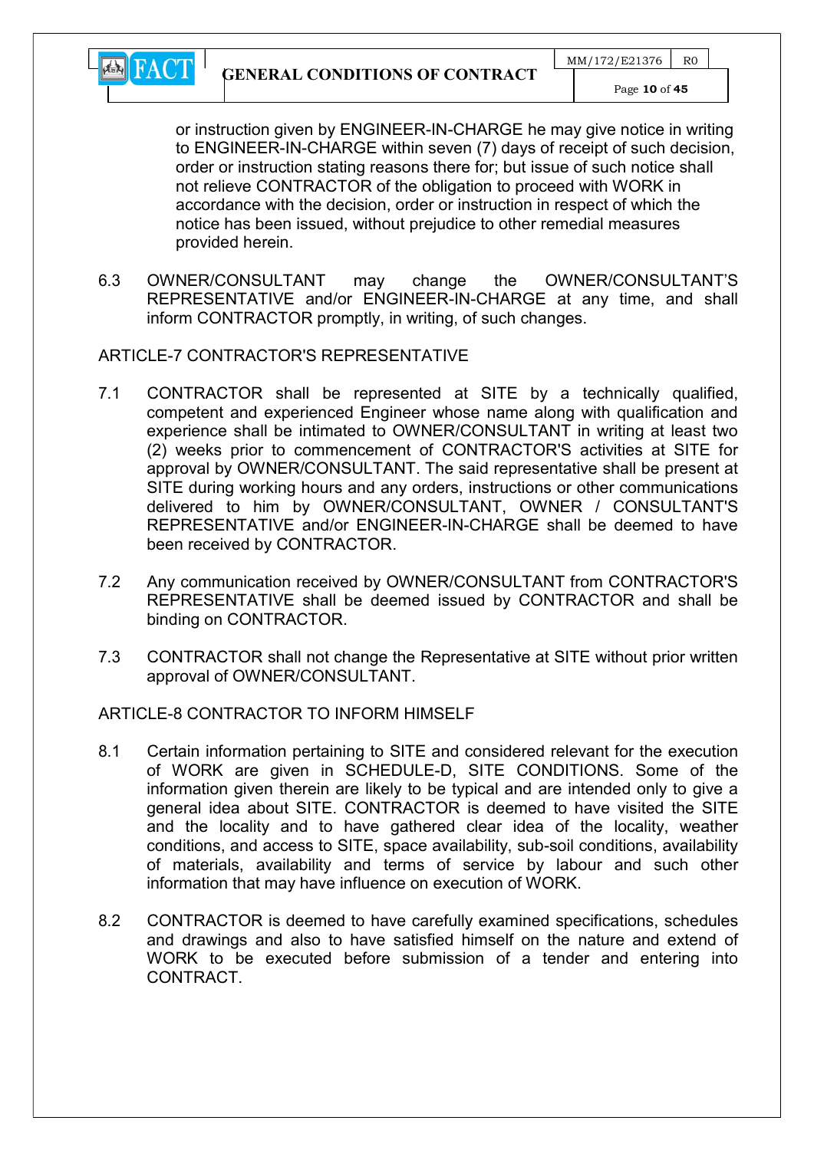

or instruction given by ENGINEER-IN-CHARGE he may give notice in writing to ENGINEER-IN-CHARGE within seven (7) days of receipt of such decision, order or instruction stating reasons there for; but issue of such notice shall not relieve CONTRACTOR of the obligation to proceed with WORK in accordance with the decision, order or instruction in respect of which the notice has been issued, without prejudice to other remedial measures provided herein.

6.3 OWNER/CONSULTANT may change the OWNER/CONSULTANT'S REPRESENTATIVE and/or ENGINEER-IN-CHARGE at any time, and shall inform CONTRACTOR promptly, in writing, of such changes.

## ARTICLE-7 CONTRACTOR'S REPRESENTATIVE

- 7.1 CONTRACTOR shall be represented at SITE by a technically qualified, competent and experienced Engineer whose name along with qualification and experience shall be intimated to OWNER/CONSULTANT in writing at least two (2) weeks prior to commencement of CONTRACTOR'S activities at SITE for approval by OWNER/CONSULTANT. The said representative shall be present at SITE during working hours and any orders, instructions or other communications delivered to him by OWNER/CONSULTANT, OWNER / CONSULTANT'S REPRESENTATIVE and/or ENGINEER-IN-CHARGE shall be deemed to have been received by CONTRACTOR.
- 7.2 Any communication received by OWNER/CONSULTANT from CONTRACTOR'S REPRESENTATIVE shall be deemed issued by CONTRACTOR and shall be binding on CONTRACTOR.
- 7.3 CONTRACTOR shall not change the Representative at SITE without prior written approval of OWNER/CONSULTANT.

## ARTICLE-8 CONTRACTOR TO INFORM HIMSELF

- 8.1 Certain information pertaining to SITE and considered relevant for the execution of WORK are given in SCHEDULE-D, SITE CONDITIONS. Some of the information given therein are likely to be typical and are intended only to give a general idea about SITE. CONTRACTOR is deemed to have visited the SITE and the locality and to have gathered clear idea of the locality, weather conditions, and access to SITE, space availability, sub-soil conditions, availability of materials, availability and terms of service by labour and such other information that may have influence on execution of WORK.
- 8.2 CONTRACTOR is deemed to have carefully examined specifications, schedules and drawings and also to have satisfied himself on the nature and extend of WORK to be executed before submission of a tender and entering into CONTRACT.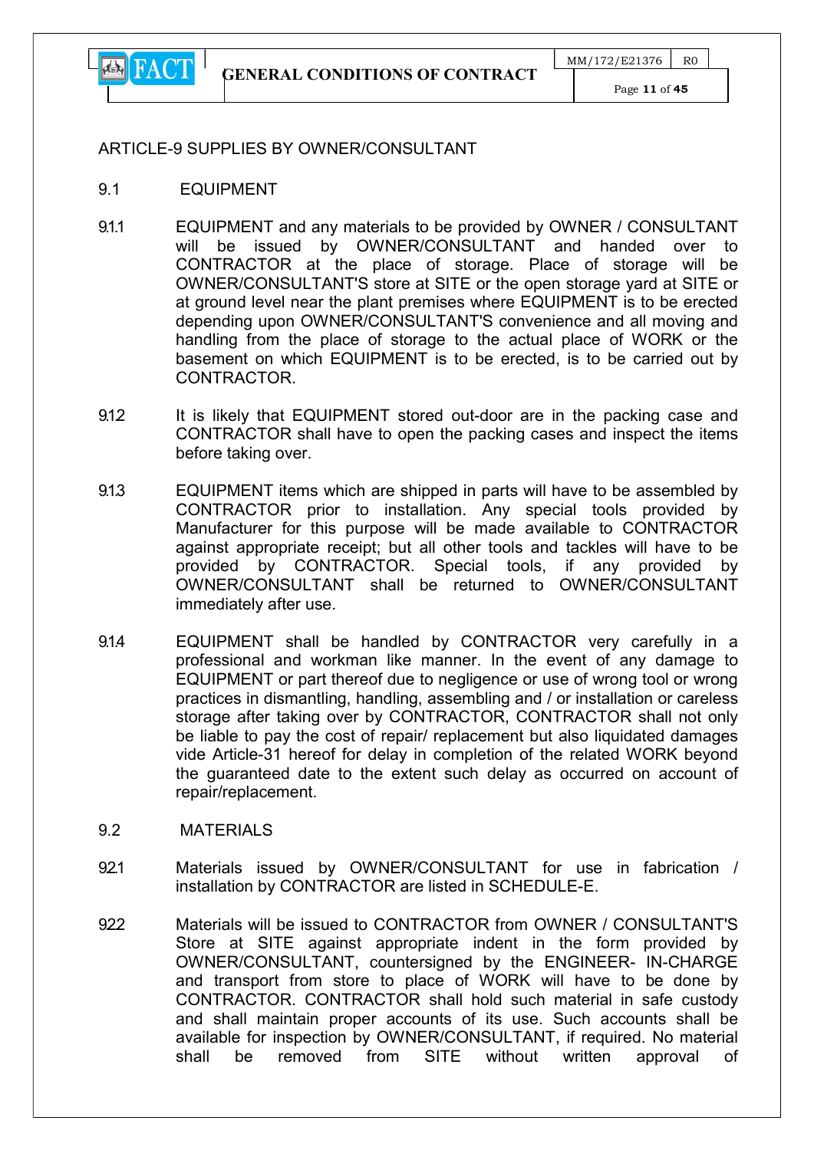

Page 11 of 45

#### ARTICLE-9 SUPPLIES BY OWNER/CONSULTANT

- 9.1 EQUIPMENT
- 9.1.1 EQUIPMENT and any materials to be provided by OWNER / CONSULTANT will be issued by OWNER/CONSULTANT and handed over to CONTRACTOR at the place of storage. Place of storage will be OWNER/CONSULTANT'S store at SITE or the open storage yard at SITE or at ground level near the plant premises where EQUIPMENT is to be erected depending upon OWNER/CONSULTANT'S convenience and all moving and handling from the place of storage to the actual place of WORK or the basement on which EQUIPMENT is to be erected, is to be carried out by CONTRACTOR.
- 9.1.2 It is likely that EQUIPMENT stored out-door are in the packing case and CONTRACTOR shall have to open the packing cases and inspect the items before taking over.
- 9.1.3 EQUIPMENT items which are shipped in parts will have to be assembled by CONTRACTOR prior to installation. Any special tools provided by Manufacturer for this purpose will be made available to CONTRACTOR against appropriate receipt; but all other tools and tackles will have to be provided by CONTRACTOR. Special tools, if any provided by OWNER/CONSULTANT shall be returned to OWNER/CONSULTANT immediately after use.
- 9.1.4 EQUIPMENT shall be handled by CONTRACTOR very carefully in a professional and workman like manner. In the event of any damage to EQUIPMENT or part thereof due to negligence or use of wrong tool or wrong practices in dismantling, handling, assembling and / or installation or careless storage after taking over by CONTRACTOR, CONTRACTOR shall not only be liable to pay the cost of repair/ replacement but also liquidated damages vide Article-31 hereof for delay in completion of the related WORK beyond the guaranteed date to the extent such delay as occurred on account of repair/replacement.
- 9.2 MATERIALS
- 921 Materials issued by OWNER/CONSULTANT for use in fabrication / installation by CONTRACTOR are listed in SCHEDULE-E.
- 922 Materials will be issued to CONTRACTOR from OWNER / CONSULTANT'S Store at SITE against appropriate indent in the form provided by OWNER/CONSULTANT, countersigned by the ENGINEER- IN-CHARGE and transport from store to place of WORK will have to be done by CONTRACTOR. CONTRACTOR shall hold such material in safe custody and shall maintain proper accounts of its use. Such accounts shall be available for inspection by OWNER/CONSULTANT, if required. No material shall be removed from SITE without written approval of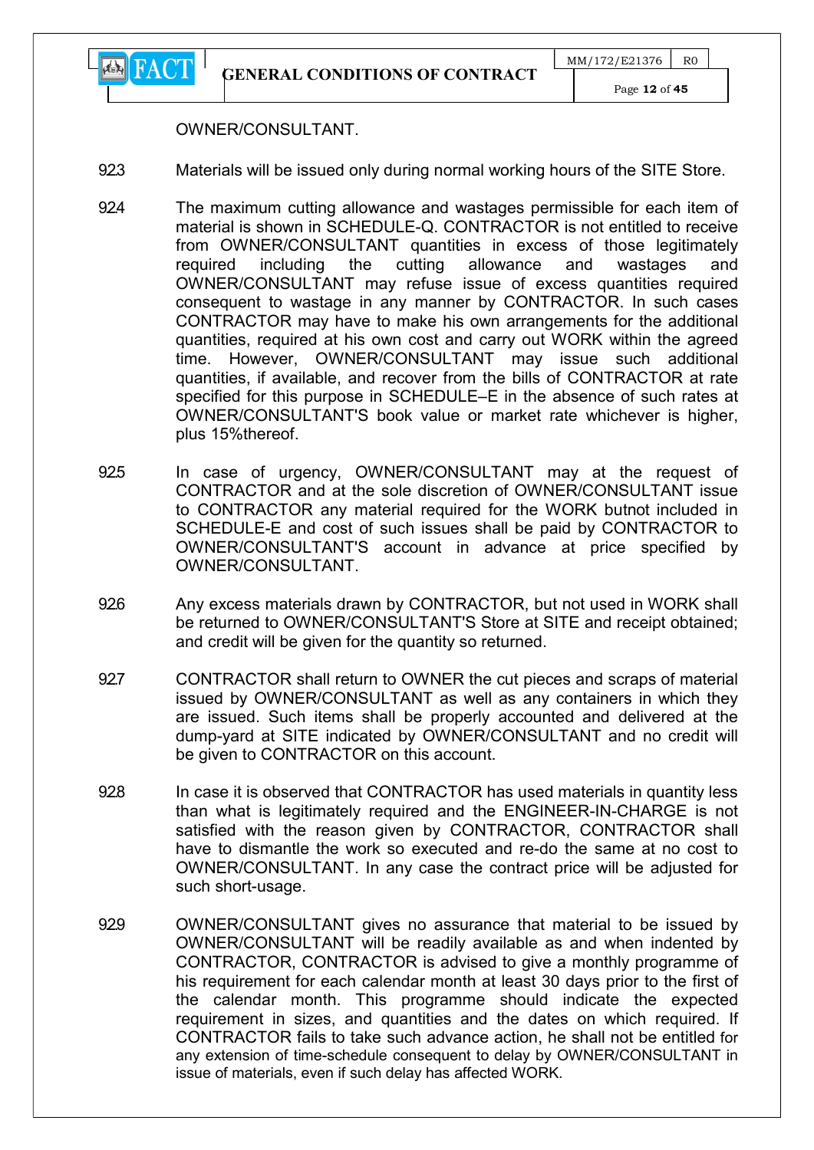

#### OWNER/CONSULTANT.

- 923 Materials will be issued only during normal working hours of the SITE Store.
- 924 The maximum cutting allowance and wastages permissible for each item of material is shown in SCHEDULE-Q. CONTRACTOR is not entitled to receive from OWNER/CONSULTANT quantities in excess of those legitimately required including the cutting allowance and wastages and OWNER/CONSULTANT may refuse issue of excess quantities required consequent to wastage in any manner by CONTRACTOR. In such cases CONTRACTOR may have to make his own arrangements for the additional quantities, required at his own cost and carry out WORK within the agreed time. However, OWNER/CONSULTANT may issue such additional quantities, if available, and recover from the bills of CONTRACTOR at rate specified for this purpose in SCHEDULE–E in the absence of such rates at OWNER/CONSULTANT'S book value or market rate whichever is higher, plus 15%thereof.
- 925 In case of urgency, OWNER/CONSULTANT may at the request of CONTRACTOR and at the sole discretion of OWNER/CONSULTANT issue to CONTRACTOR any material required for the WORK butnot included in SCHEDULE-E and cost of such issues shall be paid by CONTRACTOR to OWNER/CONSULTANT'S account in advance at price specified by OWNER/CONSULTANT.
- 926 Any excess materials drawn by CONTRACTOR, but not used in WORK shall be returned to OWNER/CONSULTANT'S Store at SITE and receipt obtained; and credit will be given for the quantity so returned.
- 92.7 CONTRACTOR shall return to OWNER the cut pieces and scraps of material issued by OWNER/CONSULTANT as well as any containers in which they are issued. Such items shall be properly accounted and delivered at the dump-yard at SITE indicated by OWNER/CONSULTANT and no credit will be given to CONTRACTOR on this account.
- 928 In case it is observed that CONTRACTOR has used materials in quantity less than what is legitimately required and the ENGINEER-IN-CHARGE is not satisfied with the reason given by CONTRACTOR, CONTRACTOR shall have to dismantle the work so executed and re-do the same at no cost to OWNER/CONSULTANT. In any case the contract price will be adjusted for such short-usage.
- 929 OWNER/CONSULTANT gives no assurance that material to be issued by OWNER/CONSULTANT will be readily available as and when indented by CONTRACTOR, CONTRACTOR is advised to give a monthly programme of his requirement for each calendar month at least 30 days prior to the first of the calendar month. This programme should indicate the expected requirement in sizes, and quantities and the dates on which required. If CONTRACTOR fails to take such advance action, he shall not be entitled for any extension of time-schedule consequent to delay by OWNER/CONSULTANT in issue of materials, even if such delay has affected WORK.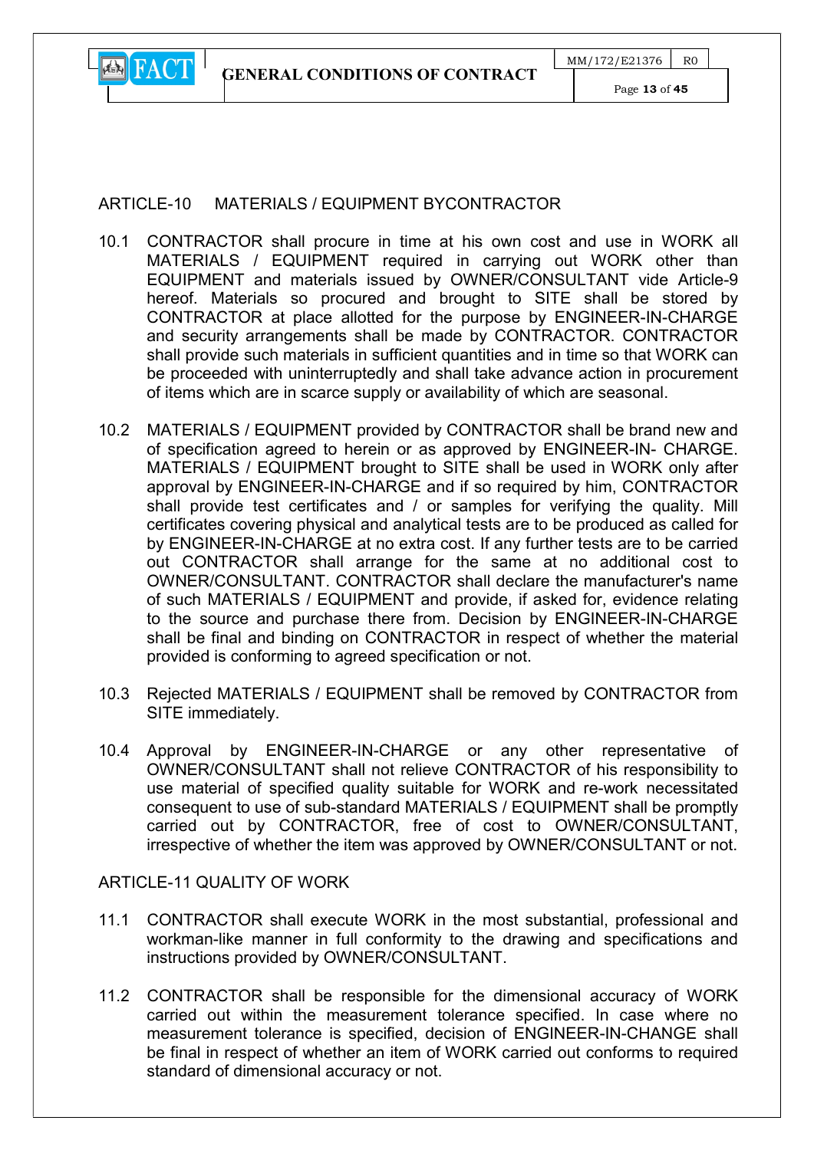

## ARTICLE-10 MATERIALS / FOUIPMENT BYCONTRACTOR

- 10.1 CONTRACTOR shall procure in time at his own cost and use in WORK all MATERIALS / EQUIPMENT required in carrying out WORK other than EQUIPMENT and materials issued by OWNER/CONSULTANT vide Article-9 hereof. Materials so procured and brought to SITE shall be stored by CONTRACTOR at place allotted for the purpose by ENGINEER-IN-CHARGE and security arrangements shall be made by CONTRACTOR. CONTRACTOR shall provide such materials in sufficient quantities and in time so that WORK can be proceeded with uninterruptedly and shall take advance action in procurement of items which are in scarce supply or availability of which are seasonal.
- 10.2 MATERIALS / EQUIPMENT provided by CONTRACTOR shall be brand new and of specification agreed to herein or as approved by ENGINEER-IN- CHARGE. MATERIALS / EQUIPMENT brought to SITE shall be used in WORK only after approval by ENGINEER-IN-CHARGE and if so required by him, CONTRACTOR shall provide test certificates and / or samples for verifying the quality. Mill certificates covering physical and analytical tests are to be produced as called for by ENGINEER-IN-CHARGE at no extra cost. If any further tests are to be carried out CONTRACTOR shall arrange for the same at no additional cost to OWNER/CONSULTANT. CONTRACTOR shall declare the manufacturer's name of such MATERIALS / EQUIPMENT and provide, if asked for, evidence relating to the source and purchase there from. Decision by ENGINEER-IN-CHARGE shall be final and binding on CONTRACTOR in respect of whether the material provided is conforming to agreed specification or not.
- 10.3 Rejected MATERIALS / EQUIPMENT shall be removed by CONTRACTOR from SITE immediately.
- 10.4 Approval by ENGINEER-IN-CHARGE or any other representative of OWNER/CONSULTANT shall not relieve CONTRACTOR of his responsibility to use material of specified quality suitable for WORK and re-work necessitated consequent to use of sub-standard MATERIALS / EQUIPMENT shall be promptly carried out by CONTRACTOR, free of cost to OWNER/CONSULTANT, irrespective of whether the item was approved by OWNER/CONSULTANT or not.

#### ARTICLE-11 QUALITY OF WORK

- 11.1 CONTRACTOR shall execute WORK in the most substantial, professional and workman-like manner in full conformity to the drawing and specifications and instructions provided by OWNER/CONSULTANT.
- 11.2 CONTRACTOR shall be responsible for the dimensional accuracy of WORK carried out within the measurement tolerance specified. In case where no measurement tolerance is specified, decision of ENGINEER-IN-CHANGE shall be final in respect of whether an item of WORK carried out conforms to required standard of dimensional accuracy or not.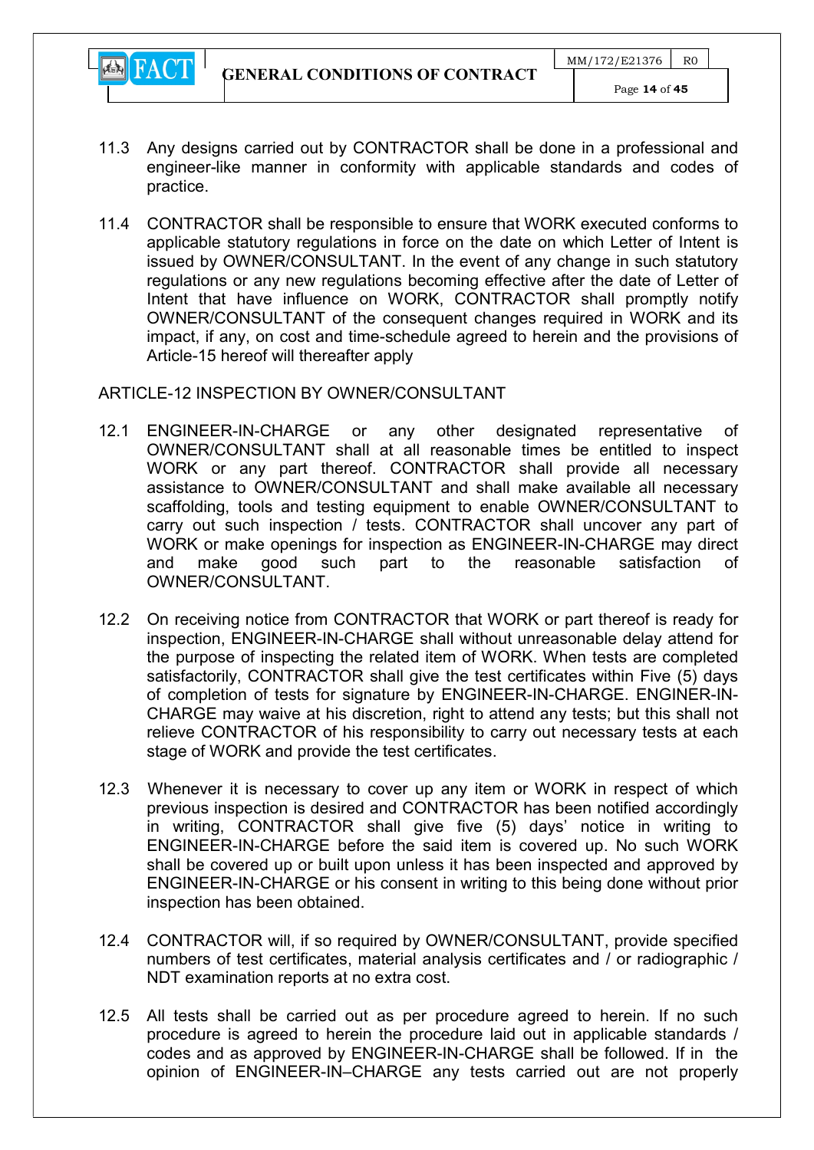

- 11.3 Any designs carried out by CONTRACTOR shall be done in a professional and engineer-like manner in conformity with applicable standards and codes of practice.
- 11.4 CONTRACTOR shall be responsible to ensure that WORK executed conforms to applicable statutory regulations in force on the date on which Letter of Intent is issued by OWNER/CONSULTANT. In the event of any change in such statutory regulations or any new regulations becoming effective after the date of Letter of Intent that have influence on WORK, CONTRACTOR shall promptly notify OWNER/CONSULTANT of the consequent changes required in WORK and its impact, if any, on cost and time-schedule agreed to herein and the provisions of Article-15 hereof will thereafter apply

## ARTICLE-12 INSPECTION BY OWNER/CONSULTANT

- 12.1 ENGINEER-IN-CHARGE or any other designated representative of OWNER/CONSULTANT shall at all reasonable times be entitled to inspect WORK or any part thereof. CONTRACTOR shall provide all necessary assistance to OWNER/CONSULTANT and shall make available all necessary scaffolding, tools and testing equipment to enable OWNER/CONSULTANT to carry out such inspection / tests. CONTRACTOR shall uncover any part of WORK or make openings for inspection as ENGINEER-IN-CHARGE may direct and make good such part to the reasonable satisfaction of OWNER/CONSULTANT.
- 12.2 On receiving notice from CONTRACTOR that WORK or part thereof is ready for inspection, ENGINEER-IN-CHARGE shall without unreasonable delay attend for the purpose of inspecting the related item of WORK. When tests are completed satisfactorily, CONTRACTOR shall give the test certificates within Five (5) days of completion of tests for signature by ENGINEER-IN-CHARGE. ENGINER-IN-CHARGE may waive at his discretion, right to attend any tests; but this shall not relieve CONTRACTOR of his responsibility to carry out necessary tests at each stage of WORK and provide the test certificates.
- 12.3 Whenever it is necessary to cover up any item or WORK in respect of which previous inspection is desired and CONTRACTOR has been notified accordingly in writing, CONTRACTOR shall give five (5) days' notice in writing to ENGINEER-IN-CHARGE before the said item is covered up. No such WORK shall be covered up or built upon unless it has been inspected and approved by ENGINEER-IN-CHARGE or his consent in writing to this being done without prior inspection has been obtained.
- 12.4 CONTRACTOR will, if so required by OWNER/CONSULTANT, provide specified numbers of test certificates, material analysis certificates and / or radiographic / NDT examination reports at no extra cost.
- 12.5 All tests shall be carried out as per procedure agreed to herein. If no such procedure is agreed to herein the procedure laid out in applicable standards / codes and as approved by ENGINEER-IN-CHARGE shall be followed. If in the opinion of ENGINEER-IN–CHARGE any tests carried out are not properly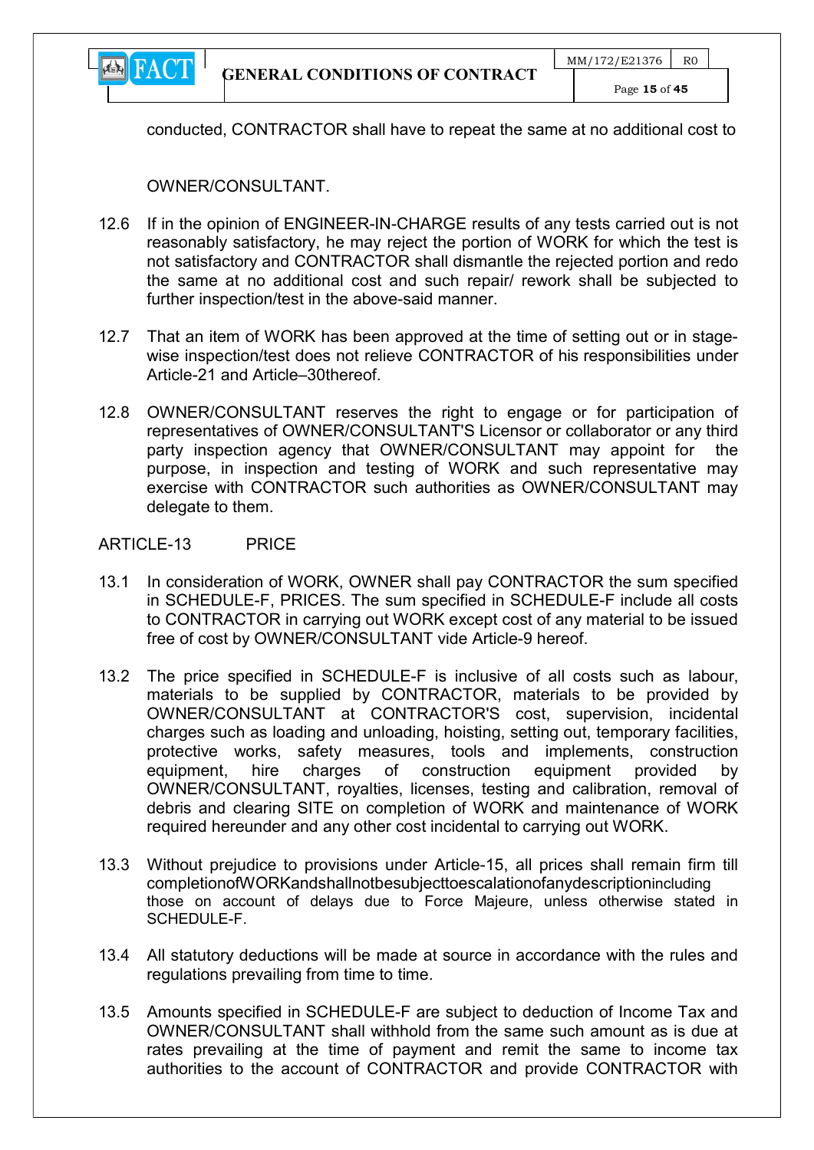

conducted, CONTRACTOR shall have to repeat the same at no additional cost to

OWNER/CONSULTANT.

- 12.6 If in the opinion of ENGINEER-IN-CHARGE results of any tests carried out is not reasonably satisfactory, he may reject the portion of WORK for which the test is not satisfactory and CONTRACTOR shall dismantle the rejected portion and redo the same at no additional cost and such repair/ rework shall be subjected to further inspection/test in the above-said manner.
- 12.7 That an item of WORK has been approved at the time of setting out or in stagewise inspection/test does not relieve CONTRACTOR of his responsibilities under Article-21 and Article–30thereof.
- 12.8 OWNER/CONSULTANT reserves the right to engage or for participation of representatives of OWNER/CONSULTANT'S Licensor or collaborator or any third party inspection agency that OWNER/CONSULTANT may appoint for the purpose, in inspection and testing of WORK and such representative may exercise with CONTRACTOR such authorities as OWNER/CONSULTANT may delegate to them.

#### ARTICLE-13 PRICE

- 13.1 In consideration of WORK, OWNER shall pay CONTRACTOR the sum specified in SCHEDULE-F, PRICES. The sum specified in SCHEDULE-F include all costs to CONTRACTOR in carrying out WORK except cost of any material to be issued free of cost by OWNER/CONSULTANT vide Article-9 hereof.
- 13.2 The price specified in SCHEDULE-F is inclusive of all costs such as labour, materials to be supplied by CONTRACTOR, materials to be provided by OWNER/CONSULTANT at CONTRACTOR'S cost, supervision, incidental charges such as loading and unloading, hoisting, setting out, temporary facilities, protective works, safety measures, tools and implements, construction equipment, hire charges of construction equipment provided by OWNER/CONSULTANT, royalties, licenses, testing and calibration, removal of debris and clearing SITE on completion of WORK and maintenance of WORK required hereunder and any other cost incidental to carrying out WORK.
- 13.3 Without prejudice to provisions under Article-15, all prices shall remain firm till completionofWORKandshallnotbesubjecttoescalationofanydescriptionincluding those on account of delays due to Force Majeure, unless otherwise stated in SCHEDULE-F.
- 13.4 All statutory deductions will be made at source in accordance with the rules and regulations prevailing from time to time.
- 13.5 Amounts specified in SCHEDULE-F are subject to deduction of Income Tax and OWNER/CONSULTANT shall withhold from the same such amount as is due at rates prevailing at the time of payment and remit the same to income tax authorities to the account of CONTRACTOR and provide CONTRACTOR with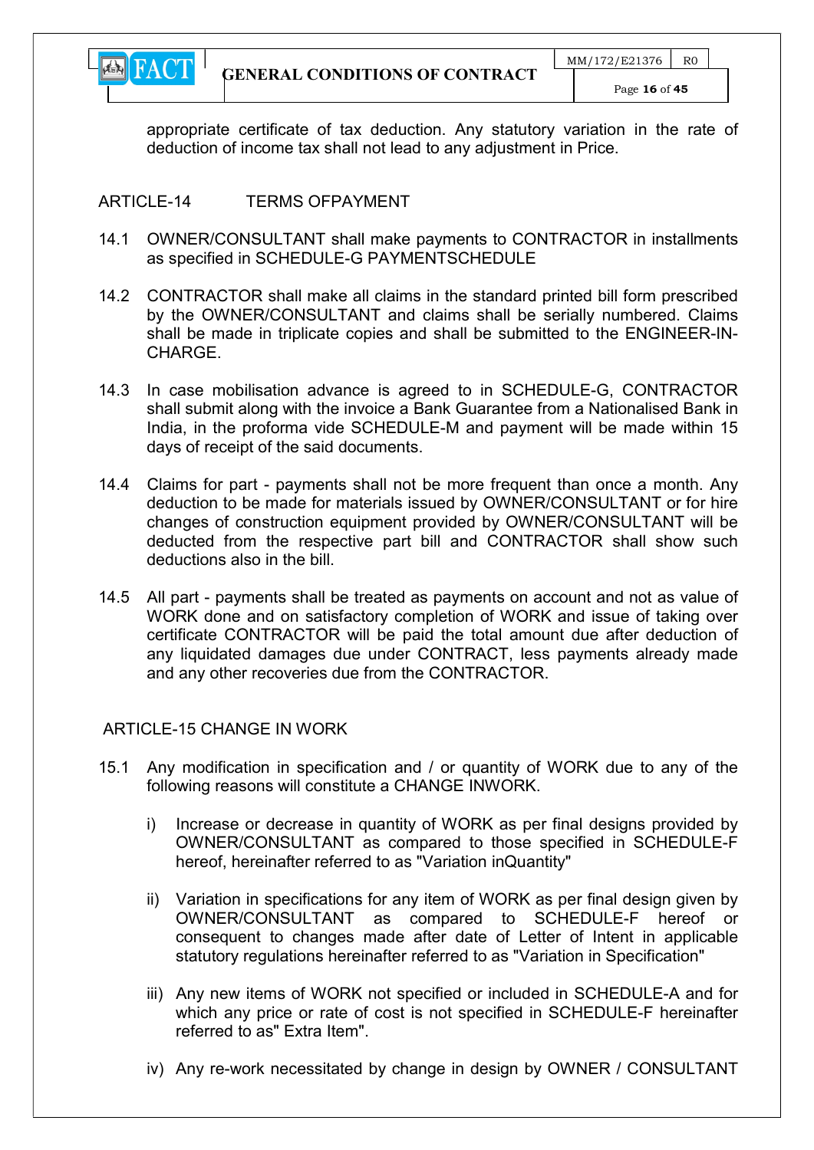

appropriate certificate of tax deduction. Any statutory variation in the rate of deduction of income tax shall not lead to any adjustment in Price.

## ARTICLE-14 TERMS OFPAYMENT

- 14.1 OWNER/CONSULTANT shall make payments to CONTRACTOR in installments as specified in SCHEDULE-G PAYMENTSCHEDULE
- 14.2 CONTRACTOR shall make all claims in the standard printed bill form prescribed by the OWNER/CONSULTANT and claims shall be serially numbered. Claims shall be made in triplicate copies and shall be submitted to the ENGINEER-IN-CHARGE.
- 14.3 In case mobilisation advance is agreed to in SCHEDULE-G, CONTRACTOR shall submit along with the invoice a Bank Guarantee from a Nationalised Bank in India, in the proforma vide SCHEDULE-M and payment will be made within 15 days of receipt of the said documents.
- 14.4 Claims for part payments shall not be more frequent than once a month. Any deduction to be made for materials issued by OWNER/CONSULTANT or for hire changes of construction equipment provided by OWNER/CONSULTANT will be deducted from the respective part bill and CONTRACTOR shall show such deductions also in the bill.
- 14.5 All part payments shall be treated as payments on account and not as value of WORK done and on satisfactory completion of WORK and issue of taking over certificate CONTRACTOR will be paid the total amount due after deduction of any liquidated damages due under CONTRACT, less payments already made and any other recoveries due from the CONTRACTOR.

## ARTICLE-15 CHANGE IN WORK

- 15.1 Any modification in specification and / or quantity of WORK due to any of the following reasons will constitute a CHANGE INWORK.
	- i) Increase or decrease in quantity of WORK as per final designs provided by OWNER/CONSULTANT as compared to those specified in SCHEDULE-F hereof, hereinafter referred to as "Variation inQuantity"
	- ii) Variation in specifications for any item of WORK as per final design given by OWNER/CONSULTANT as compared to SCHEDULE-F hereof or consequent to changes made after date of Letter of Intent in applicable statutory regulations hereinafter referred to as "Variation in Specification"
	- iii) Any new items of WORK not specified or included in SCHEDULE-A and for which any price or rate of cost is not specified in SCHEDULE-F hereinafter referred to as" Extra Item".
	- iv) Any re-work necessitated by change in design by OWNER / CONSULTANT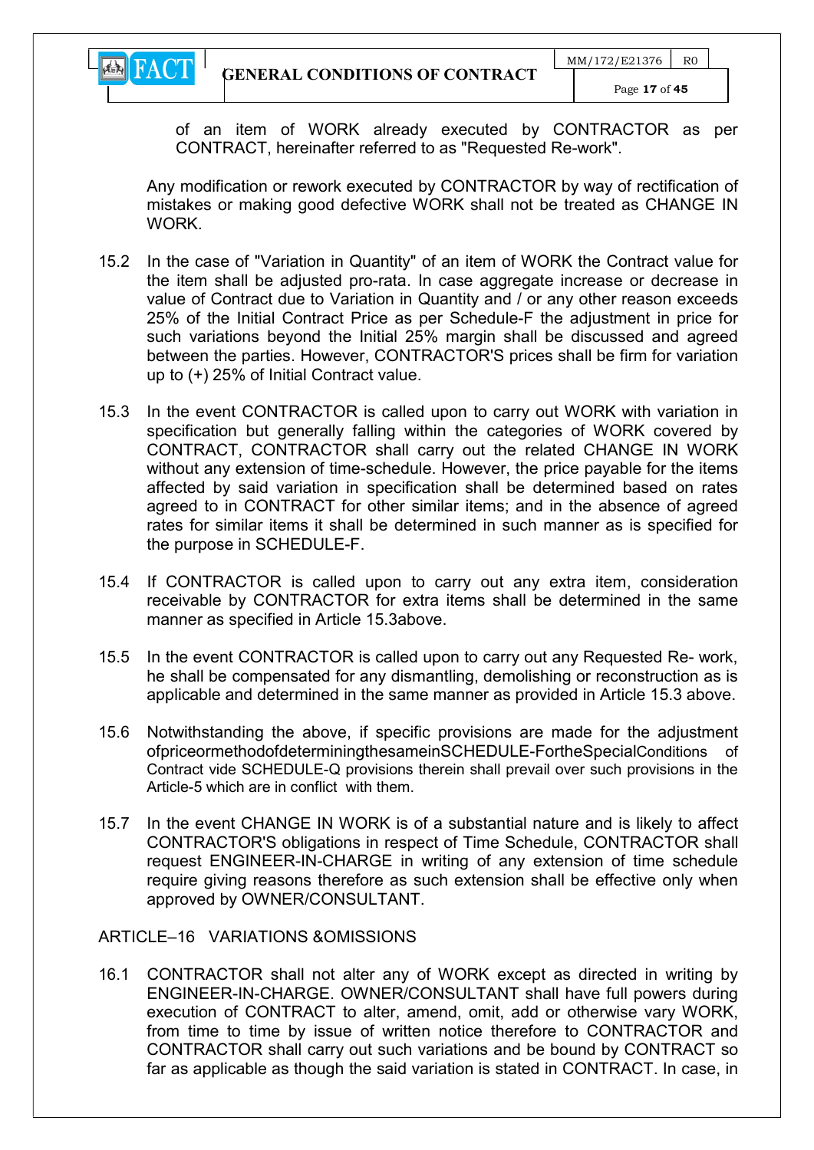

of an item of WORK already executed by CONTRACTOR as per CONTRACT, hereinafter referred to as "Requested Re-work".

Any modification or rework executed by CONTRACTOR by way of rectification of mistakes or making good defective WORK shall not be treated as CHANGE IN **WORK** 

- 15.2 In the case of "Variation in Quantity" of an item of WORK the Contract value for the item shall be adjusted pro-rata. In case aggregate increase or decrease in value of Contract due to Variation in Quantity and / or any other reason exceeds 25% of the Initial Contract Price as per Schedule-F the adjustment in price for such variations beyond the Initial 25% margin shall be discussed and agreed between the parties. However, CONTRACTOR'S prices shall be firm for variation up to (+) 25% of Initial Contract value.
- 15.3 In the event CONTRACTOR is called upon to carry out WORK with variation in specification but generally falling within the categories of WORK covered by CONTRACT, CONTRACTOR shall carry out the related CHANGE IN WORK without any extension of time-schedule. However, the price payable for the items affected by said variation in specification shall be determined based on rates agreed to in CONTRACT for other similar items; and in the absence of agreed rates for similar items it shall be determined in such manner as is specified for the purpose in SCHEDULE-F.
- 15.4 If CONTRACTOR is called upon to carry out any extra item, consideration receivable by CONTRACTOR for extra items shall be determined in the same manner as specified in Article 15.3above.
- 15.5 In the event CONTRACTOR is called upon to carry out any Requested Re- work, he shall be compensated for any dismantling, demolishing or reconstruction as is applicable and determined in the same manner as provided in Article 15.3 above.
- 15.6 Notwithstanding the above, if specific provisions are made for the adjustment ofpriceormethodofdeterminingthesameinSCHEDULE-FortheSpecialConditions of Contract vide SCHEDULE-Q provisions therein shall prevail over such provisions in the Article-5 which are in conflict with them.
- 15.7 In the event CHANGE IN WORK is of a substantial nature and is likely to affect CONTRACTOR'S obligations in respect of Time Schedule, CONTRACTOR shall request ENGINEER-IN-CHARGE in writing of any extension of time schedule require giving reasons therefore as such extension shall be effective only when approved by OWNER/CONSULTANT.

ARTICLE–16 VARIATIONS &OMISSIONS

16.1 CONTRACTOR shall not alter any of WORK except as directed in writing by ENGINEER-IN-CHARGE. OWNER/CONSULTANT shall have full powers during execution of CONTRACT to alter, amend, omit, add or otherwise vary WORK, from time to time by issue of written notice therefore to CONTRACTOR and CONTRACTOR shall carry out such variations and be bound by CONTRACT so far as applicable as though the said variation is stated in CONTRACT. In case, in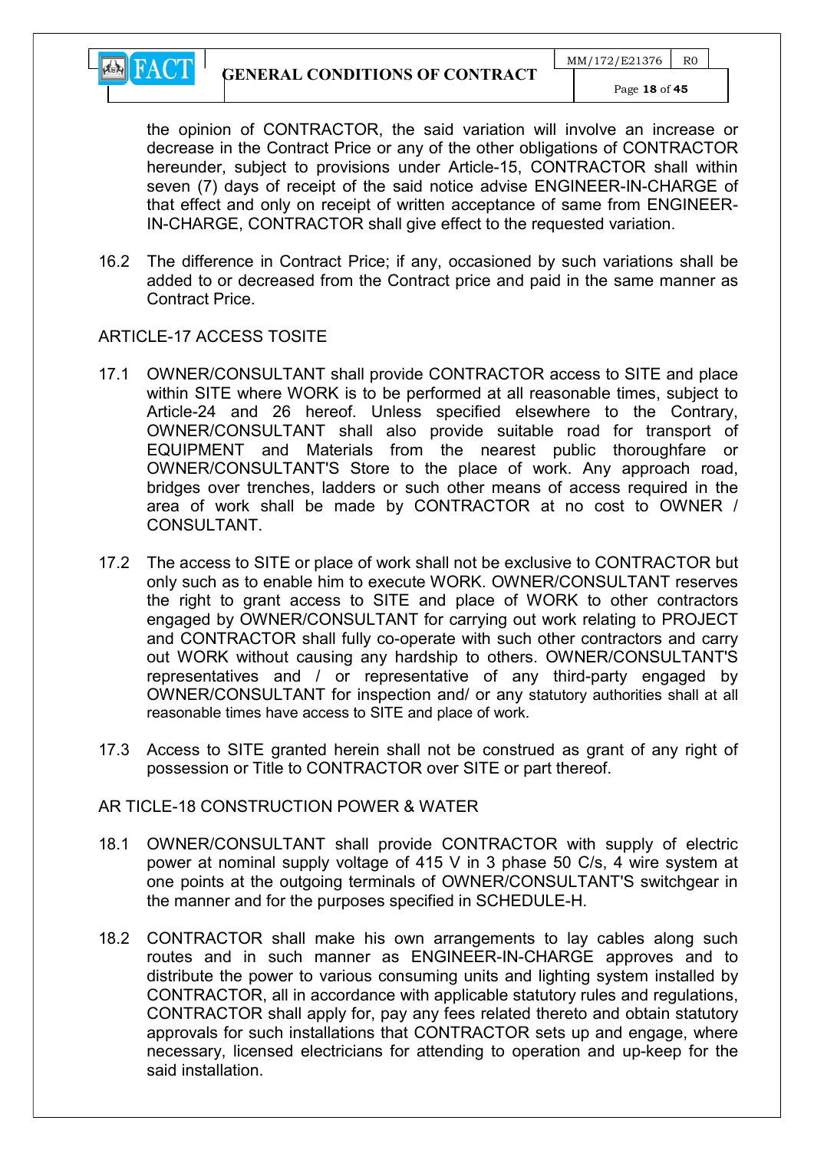

the opinion of CONTRACTOR, the said variation will involve an increase or decrease in the Contract Price or any of the other obligations of CONTRACTOR hereunder, subject to provisions under Article-15, CONTRACTOR shall within seven (7) days of receipt of the said notice advise ENGINEER-IN-CHARGE of that effect and only on receipt of written acceptance of same from ENGINEER-IN-CHARGE, CONTRACTOR shall give effect to the requested variation.

16.2 The difference in Contract Price; if any, occasioned by such variations shall be added to or decreased from the Contract price and paid in the same manner as Contract Price.

#### ARTICLE-17 ACCESS TOSITE

- 17.1 OWNER/CONSULTANT shall provide CONTRACTOR access to SITE and place within SITE where WORK is to be performed at all reasonable times, subject to Article-24 and 26 hereof. Unless specified elsewhere to the Contrary, OWNER/CONSULTANT shall also provide suitable road for transport of EQUIPMENT and Materials from the nearest public thoroughfare or OWNER/CONSULTANT'S Store to the place of work. Any approach road, bridges over trenches, ladders or such other means of access required in the area of work shall be made by CONTRACTOR at no cost to OWNER / CONSULTANT.
- 17.2 The access to SITE or place of work shall not be exclusive to CONTRACTOR but only such as to enable him to execute WORK. OWNER/CONSULTANT reserves the right to grant access to SITE and place of WORK to other contractors engaged by OWNER/CONSULTANT for carrying out work relating to PROJECT and CONTRACTOR shall fully co-operate with such other contractors and carry out WORK without causing any hardship to others. OWNER/CONSULTANT'S representatives and / or representative of any third-party engaged by OWNER/CONSULTANT for inspection and/ or any statutory authorities shall at all reasonable times have access to SITE and place of work.
- 17.3 Access to SITE granted herein shall not be construed as grant of any right of possession or Title to CONTRACTOR over SITE or part thereof.

#### AR TICLE-18 CONSTRUCTION POWER & WATER

- 18.1 OWNER/CONSULTANT shall provide CONTRACTOR with supply of electric power at nominal supply voltage of 415 V in 3 phase 50 C/s, 4 wire system at one points at the outgoing terminals of OWNER/CONSULTANT'S switchgear in the manner and for the purposes specified in SCHEDULE-H.
- 18.2 CONTRACTOR shall make his own arrangements to lay cables along such routes and in such manner as ENGINEER-IN-CHARGE approves and to distribute the power to various consuming units and lighting system installed by CONTRACTOR, all in accordance with applicable statutory rules and regulations, CONTRACTOR shall apply for, pay any fees related thereto and obtain statutory approvals for such installations that CONTRACTOR sets up and engage, where necessary, licensed electricians for attending to operation and up-keep for the said installation.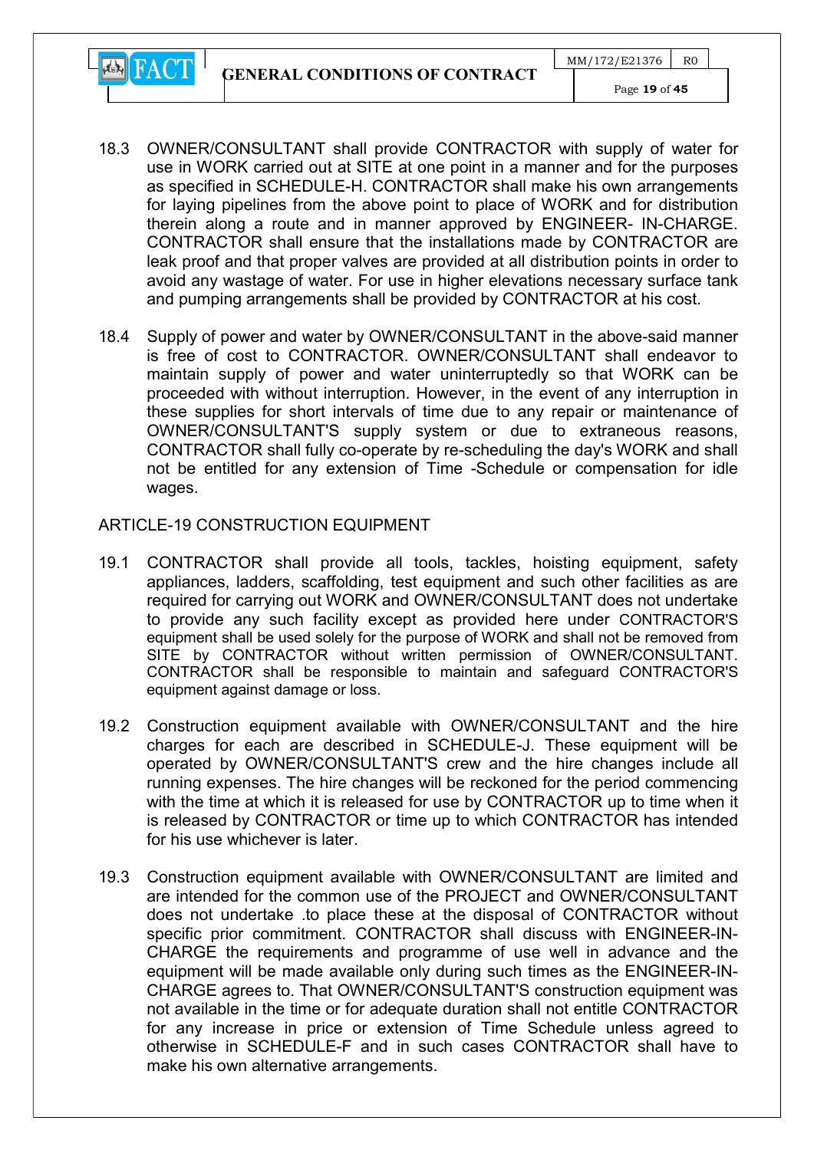GENERAL CONDITIONS OF CONTRACT



- 18.3 OWNER/CONSULTANT shall provide CONTRACTOR with supply of water for use in WORK carried out at SITE at one point in a manner and for the purposes as specified in SCHEDULE-H. CONTRACTOR shall make his own arrangements for laying pipelines from the above point to place of WORK and for distribution therein along a route and in manner approved by ENGINEER- IN-CHARGE. CONTRACTOR shall ensure that the installations made by CONTRACTOR are leak proof and that proper valves are provided at all distribution points in order to avoid any wastage of water. For use in higher elevations necessary surface tank and pumping arrangements shall be provided by CONTRACTOR at his cost.
- 18.4 Supply of power and water by OWNER/CONSULTANT in the above-said manner is free of cost to CONTRACTOR. OWNER/CONSULTANT shall endeavor to maintain supply of power and water uninterruptedly so that WORK can be proceeded with without interruption. However, in the event of any interruption in these supplies for short intervals of time due to any repair or maintenance of OWNER/CONSULTANT'S supply system or due to extraneous reasons, CONTRACTOR shall fully co-operate by re-scheduling the day's WORK and shall not be entitled for any extension of Time -Schedule or compensation for idle wages.

#### ARTICLE-19 CONSTRUCTION EQUIPMENT

- 19.1 CONTRACTOR shall provide all tools, tackles, hoisting equipment, safety appliances, ladders, scaffolding, test equipment and such other facilities as are required for carrying out WORK and OWNER/CONSULTANT does not undertake to provide any such facility except as provided here under CONTRACTOR'S equipment shall be used solely for the purpose of WORK and shall not be removed from SITE by CONTRACTOR without written permission of OWNER/CONSULTANT. CONTRACTOR shall be responsible to maintain and safeguard CONTRACTOR'S equipment against damage or loss.
- 19.2 Construction equipment available with OWNER/CONSULTANT and the hire charges for each are described in SCHEDULE-J. These equipment will be operated by OWNER/CONSULTANT'S crew and the hire changes include all running expenses. The hire changes will be reckoned for the period commencing with the time at which it is released for use by CONTRACTOR up to time when it is released by CONTRACTOR or time up to which CONTRACTOR has intended for his use whichever is later.
- 19.3 Construction equipment available with OWNER/CONSULTANT are limited and are intended for the common use of the PROJECT and OWNER/CONSULTANT does not undertake .to place these at the disposal of CONTRACTOR without specific prior commitment. CONTRACTOR shall discuss with ENGINEER-IN-CHARGE the requirements and programme of use well in advance and the equipment will be made available only during such times as the ENGINEER-IN-CHARGE agrees to. That OWNER/CONSULTANT'S construction equipment was not available in the time or for adequate duration shall not entitle CONTRACTOR for any increase in price or extension of Time Schedule unless agreed to otherwise in SCHEDULE-F and in such cases CONTRACTOR shall have to make his own alternative arrangements.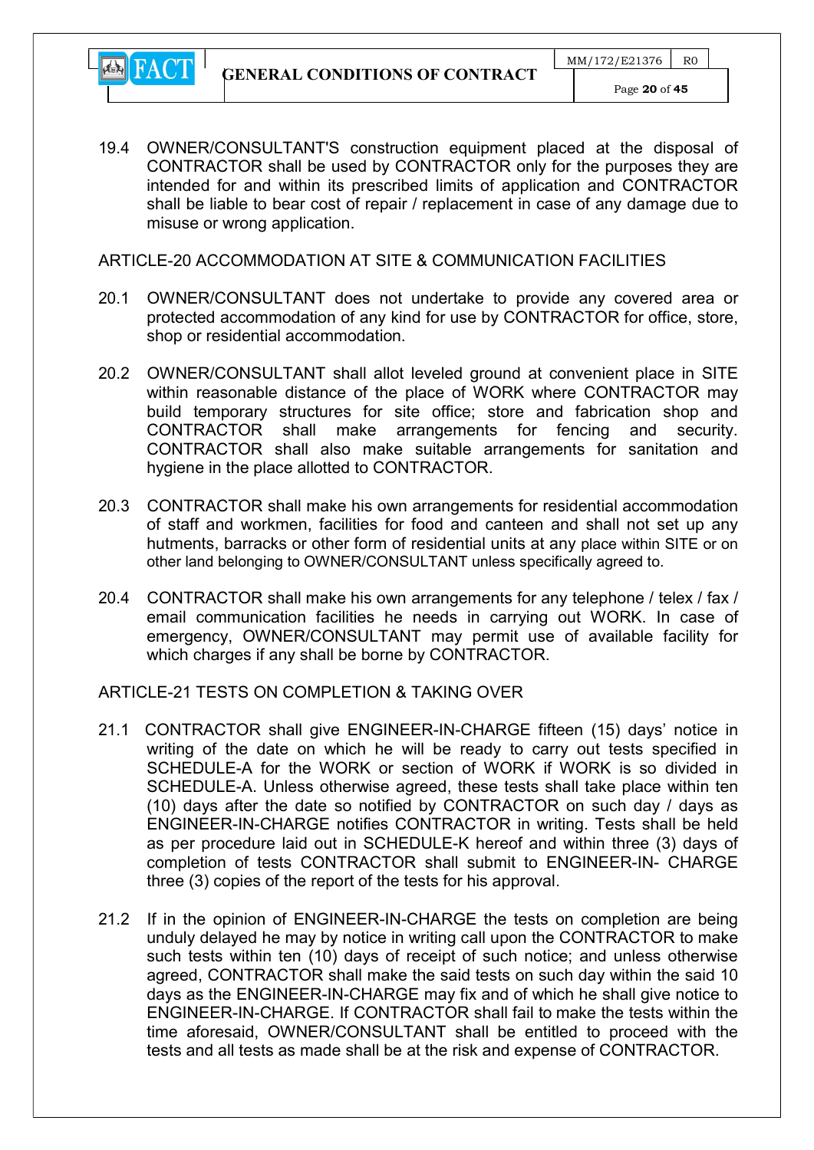

19.4 OWNER/CONSULTANT'S construction equipment placed at the disposal of CONTRACTOR shall be used by CONTRACTOR only for the purposes they are intended for and within its prescribed limits of application and CONTRACTOR shall be liable to bear cost of repair / replacement in case of any damage due to misuse or wrong application.

ARTICLE-20 ACCOMMODATION AT SITE & COMMUNICATION FACILITIES

- 20.1 OWNER/CONSULTANT does not undertake to provide any covered area or protected accommodation of any kind for use by CONTRACTOR for office, store, shop or residential accommodation.
- 20.2 OWNER/CONSULTANT shall allot leveled ground at convenient place in SITE within reasonable distance of the place of WORK where CONTRACTOR may build temporary structures for site office; store and fabrication shop and CONTRACTOR shall make arrangements for fencing and security. CONTRACTOR shall also make suitable arrangements for sanitation and hygiene in the place allotted to CONTRACTOR.
- 20.3 CONTRACTOR shall make his own arrangements for residential accommodation of staff and workmen, facilities for food and canteen and shall not set up any hutments, barracks or other form of residential units at any place within SITE or on other land belonging to OWNER/CONSULTANT unless specifically agreed to.
- 20.4 CONTRACTOR shall make his own arrangements for any telephone / telex / fax / email communication facilities he needs in carrying out WORK. In case of emergency, OWNER/CONSULTANT may permit use of available facility for which charges if any shall be borne by CONTRACTOR.

ARTICLE-21 TESTS ON COMPLETION & TAKING OVER

- 21.1 CONTRACTOR shall give ENGINEER-IN-CHARGE fifteen (15) days' notice in writing of the date on which he will be ready to carry out tests specified in SCHEDULE-A for the WORK or section of WORK if WORK is so divided in SCHEDULE-A. Unless otherwise agreed, these tests shall take place within ten (10) days after the date so notified by CONTRACTOR on such day / days as ENGINEER-IN-CHARGE notifies CONTRACTOR in writing. Tests shall be held as per procedure laid out in SCHEDULE-K hereof and within three (3) days of completion of tests CONTRACTOR shall submit to ENGINEER-IN- CHARGE three (3) copies of the report of the tests for his approval.
- 21.2 If in the opinion of ENGINEER-IN-CHARGE the tests on completion are being unduly delayed he may by notice in writing call upon the CONTRACTOR to make such tests within ten (10) days of receipt of such notice; and unless otherwise agreed, CONTRACTOR shall make the said tests on such day within the said 10 days as the ENGINEER-IN-CHARGE may fix and of which he shall give notice to ENGINEER-IN-CHARGE. If CONTRACTOR shall fail to make the tests within the time aforesaid, OWNER/CONSULTANT shall be entitled to proceed with the tests and all tests as made shall be at the risk and expense of CONTRACTOR.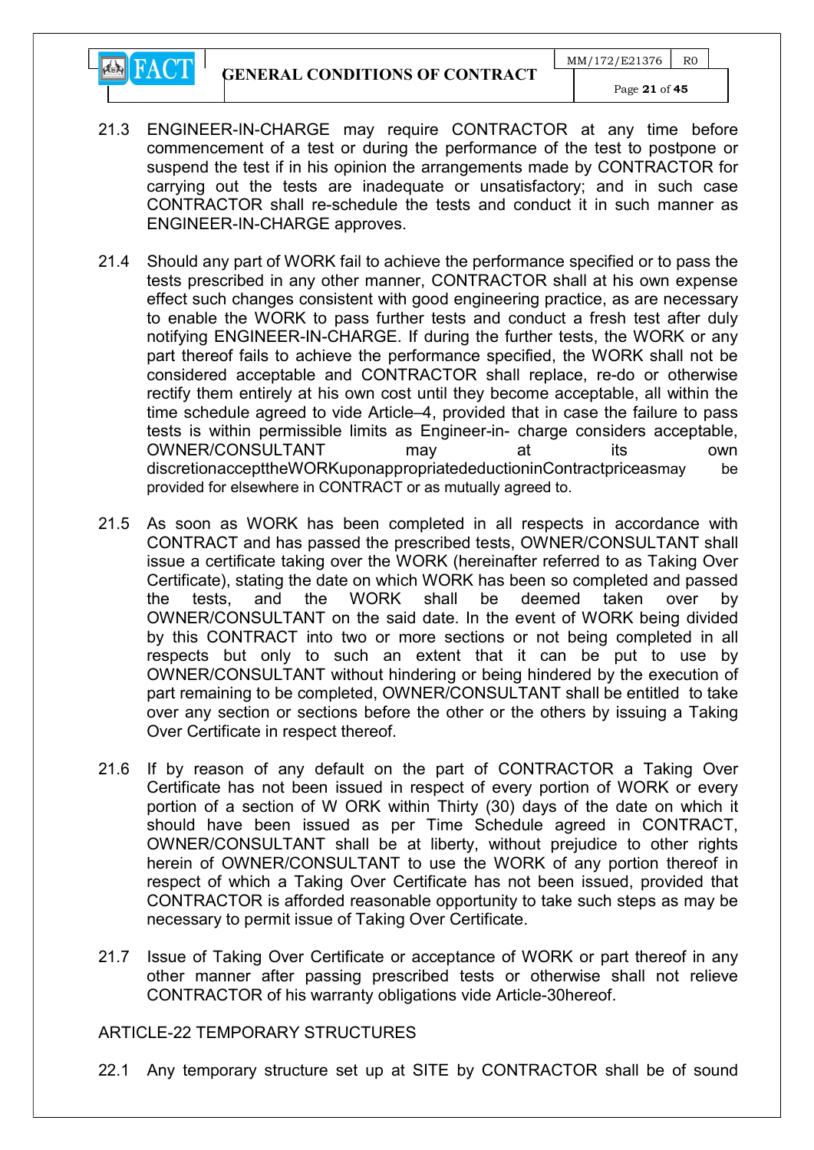GENERAL CONDITIONS OF CONTRACT

**EN** FACT



- 21.3 ENGINEER-IN-CHARGE may require CONTRACTOR at any time before commencement of a test or during the performance of the test to postpone or suspend the test if in his opinion the arrangements made by CONTRACTOR for carrying out the tests are inadequate or unsatisfactory; and in such case CONTRACTOR shall re-schedule the tests and conduct it in such manner as ENGINEER-IN-CHARGE approves.
- 21.4 Should any part of WORK fail to achieve the performance specified or to pass the tests prescribed in any other manner, CONTRACTOR shall at his own expense effect such changes consistent with good engineering practice, as are necessary to enable the WORK to pass further tests and conduct a fresh test after duly notifying ENGINEER-IN-CHARGE. If during the further tests, the WORK or any part thereof fails to achieve the performance specified, the WORK shall not be considered acceptable and CONTRACTOR shall replace, re-do or otherwise rectify them entirely at his own cost until they become acceptable, all within the time schedule agreed to vide Article–4, provided that in case the failure to pass tests is within permissible limits as Engineer-in- charge considers acceptable, OWNER/CONSULTANT may at its own discretionaccepttheWORKuponappropriatedeductioninContractpriceasmay be provided for elsewhere in CONTRACT or as mutually agreed to.
- 21.5 As soon as WORK has been completed in all respects in accordance with CONTRACT and has passed the prescribed tests, OWNER/CONSULTANT shall issue a certificate taking over the WORK (hereinafter referred to as Taking Over Certificate), stating the date on which WORK has been so completed and passed the tests, and the WORK shall be deemed taken over by OWNER/CONSULTANT on the said date. In the event of WORK being divided by this CONTRACT into two or more sections or not being completed in all respects but only to such an extent that it can be put to use by OWNER/CONSULTANT without hindering or being hindered by the execution of part remaining to be completed, OWNER/CONSULTANT shall be entitled to take over any section or sections before the other or the others by issuing a Taking Over Certificate in respect thereof.
- 21.6 If by reason of any default on the part of CONTRACTOR a Taking Over Certificate has not been issued in respect of every portion of WORK or every portion of a section of W ORK within Thirty (30) days of the date on which it should have been issued as per Time Schedule agreed in CONTRACT, OWNER/CONSULTANT shall be at liberty, without prejudice to other rights herein of OWNER/CONSULTANT to use the WORK of any portion thereof in respect of which a Taking Over Certificate has not been issued, provided that CONTRACTOR is afforded reasonable opportunity to take such steps as may be necessary to permit issue of Taking Over Certificate.
- 21.7 Issue of Taking Over Certificate or acceptance of WORK or part thereof in any other manner after passing prescribed tests or otherwise shall not relieve CONTRACTOR of his warranty obligations vide Article-30hereof.

#### ARTICLE-22 TEMPORARY STRUCTURES

22.1 Any temporary structure set up at SITE by CONTRACTOR shall be of sound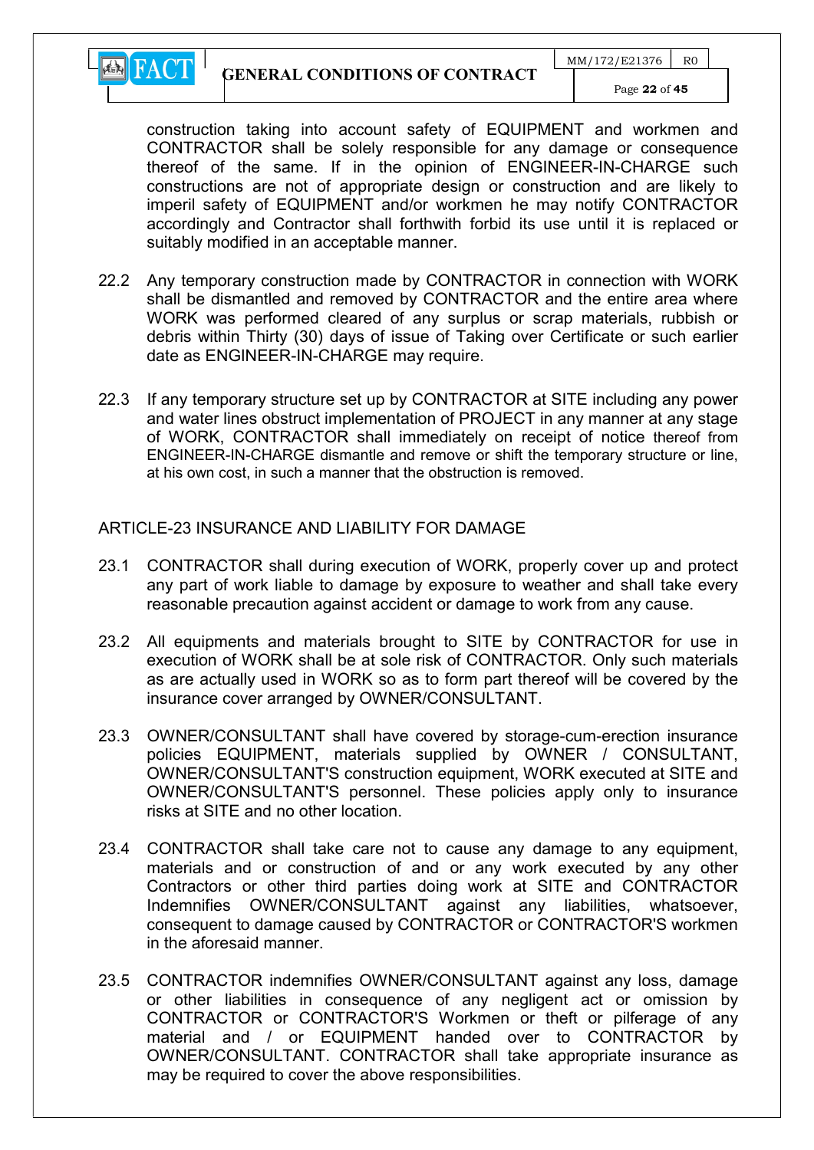

construction taking into account safety of EQUIPMENT and workmen and CONTRACTOR shall be solely responsible for any damage or consequence thereof of the same. If in the opinion of ENGINEER-IN-CHARGE such constructions are not of appropriate design or construction and are likely to imperil safety of EQUIPMENT and/or workmen he may notify CONTRACTOR accordingly and Contractor shall forthwith forbid its use until it is replaced or suitably modified in an acceptable manner.

- 22.2 Any temporary construction made by CONTRACTOR in connection with WORK shall be dismantled and removed by CONTRACTOR and the entire area where WORK was performed cleared of any surplus or scrap materials, rubbish or debris within Thirty (30) days of issue of Taking over Certificate or such earlier date as ENGINEER-IN-CHARGE may require.
- 22.3 If any temporary structure set up by CONTRACTOR at SITE including any power and water lines obstruct implementation of PROJECT in any manner at any stage of WORK, CONTRACTOR shall immediately on receipt of notice thereof from ENGINEER-IN-CHARGE dismantle and remove or shift the temporary structure or line, at his own cost, in such a manner that the obstruction is removed.

#### ARTICLE-23 INSURANCE AND LIABILITY FOR DAMAGE

- 23.1 CONTRACTOR shall during execution of WORK, properly cover up and protect any part of work liable to damage by exposure to weather and shall take every reasonable precaution against accident or damage to work from any cause.
- 23.2 All equipments and materials brought to SITE by CONTRACTOR for use in execution of WORK shall be at sole risk of CONTRACTOR. Only such materials as are actually used in WORK so as to form part thereof will be covered by the insurance cover arranged by OWNER/CONSULTANT.
- 23.3 OWNER/CONSULTANT shall have covered by storage-cum-erection insurance policies EQUIPMENT, materials supplied by OWNER / CONSULTANT, OWNER/CONSULTANT'S construction equipment, WORK executed at SITE and OWNER/CONSULTANT'S personnel. These policies apply only to insurance risks at SITE and no other location.
- 23.4 CONTRACTOR shall take care not to cause any damage to any equipment, materials and or construction of and or any work executed by any other Contractors or other third parties doing work at SITE and CONTRACTOR Indemnifies OWNER/CONSULTANT against any liabilities, whatsoever, consequent to damage caused by CONTRACTOR or CONTRACTOR'S workmen in the aforesaid manner.
- 23.5 CONTRACTOR indemnifies OWNER/CONSULTANT against any loss, damage or other liabilities in consequence of any negligent act or omission by CONTRACTOR or CONTRACTOR'S Workmen or theft or pilferage of any material and / or EQUIPMENT handed over to CONTRACTOR by OWNER/CONSULTANT. CONTRACTOR shall take appropriate insurance as may be required to cover the above responsibilities.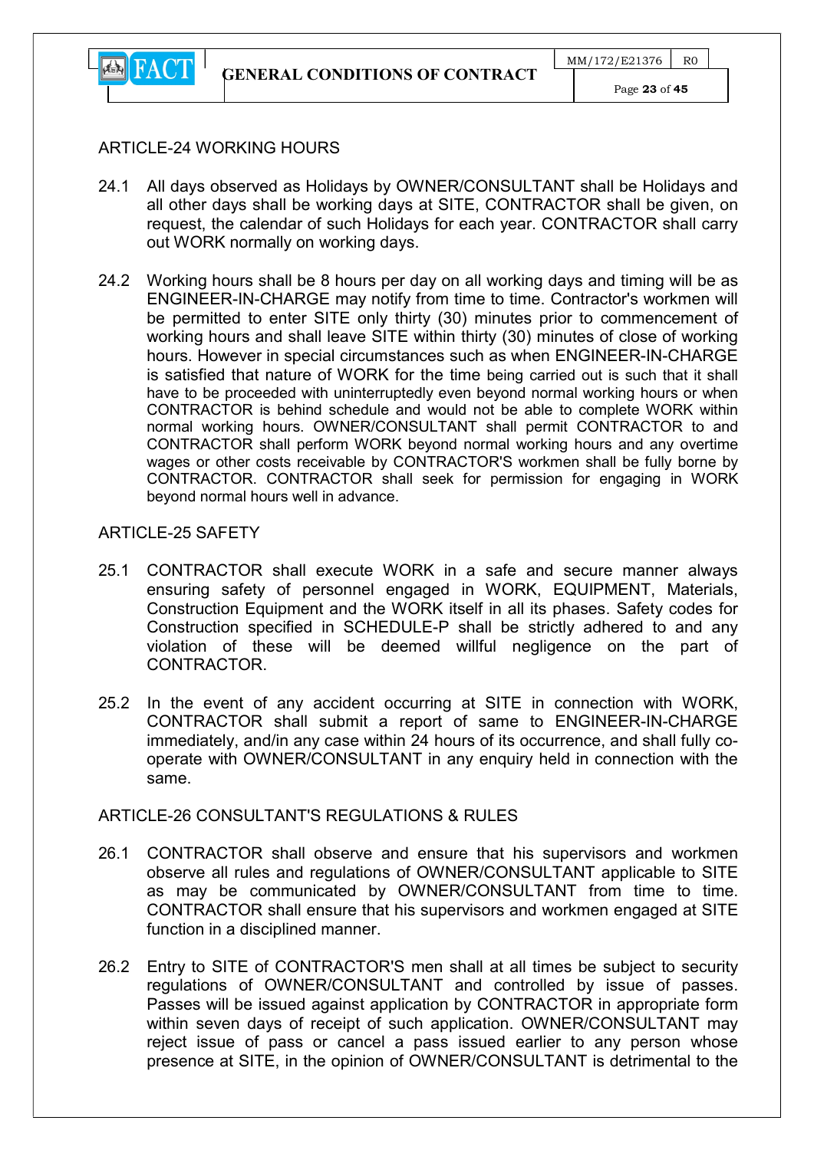

#### ARTICLE-24 WORKING HOURS

- 24.1 All days observed as Holidays by OWNER/CONSULTANT shall be Holidays and all other days shall be working days at SITE, CONTRACTOR shall be given, on request, the calendar of such Holidays for each year. CONTRACTOR shall carry out WORK normally on working days.
- 24.2 Working hours shall be 8 hours per day on all working days and timing will be as ENGINEER-IN-CHARGE may notify from time to time. Contractor's workmen will be permitted to enter SITE only thirty (30) minutes prior to commencement of working hours and shall leave SITE within thirty (30) minutes of close of working hours. However in special circumstances such as when ENGINEER-IN-CHARGE is satisfied that nature of WORK for the time being carried out is such that it shall have to be proceeded with uninterruptedly even beyond normal working hours or when CONTRACTOR is behind schedule and would not be able to complete WORK within normal working hours. OWNER/CONSULTANT shall permit CONTRACTOR to and CONTRACTOR shall perform WORK beyond normal working hours and any overtime wages or other costs receivable by CONTRACTOR'S workmen shall be fully borne by CONTRACTOR. CONTRACTOR shall seek for permission for engaging in WORK beyond normal hours well in advance.

## ARTICLE-25 SAFFTY

- 25.1 CONTRACTOR shall execute WORK in a safe and secure manner always ensuring safety of personnel engaged in WORK, EQUIPMENT, Materials, Construction Equipment and the WORK itself in all its phases. Safety codes for Construction specified in SCHEDULE-P shall be strictly adhered to and any violation of these will be deemed willful negligence on the part of CONTRACTOR.
- 25.2 In the event of any accident occurring at SITE in connection with WORK, CONTRACTOR shall submit a report of same to ENGINEER-IN-CHARGE immediately, and/in any case within 24 hours of its occurrence, and shall fully cooperate with OWNER/CONSULTANT in any enquiry held in connection with the same.

## ARTICLE-26 CONSULTANT'S REGULATIONS & RULES

- 26.1 CONTRACTOR shall observe and ensure that his supervisors and workmen observe all rules and regulations of OWNER/CONSULTANT applicable to SITE as may be communicated by OWNER/CONSULTANT from time to time. CONTRACTOR shall ensure that his supervisors and workmen engaged at SITE function in a disciplined manner.
- 26.2 Entry to SITE of CONTRACTOR'S men shall at all times be subject to security regulations of OWNER/CONSULTANT and controlled by issue of passes. Passes will be issued against application by CONTRACTOR in appropriate form within seven days of receipt of such application. OWNER/CONSULTANT may reject issue of pass or cancel a pass issued earlier to any person whose presence at SITE, in the opinion of OWNER/CONSULTANT is detrimental to the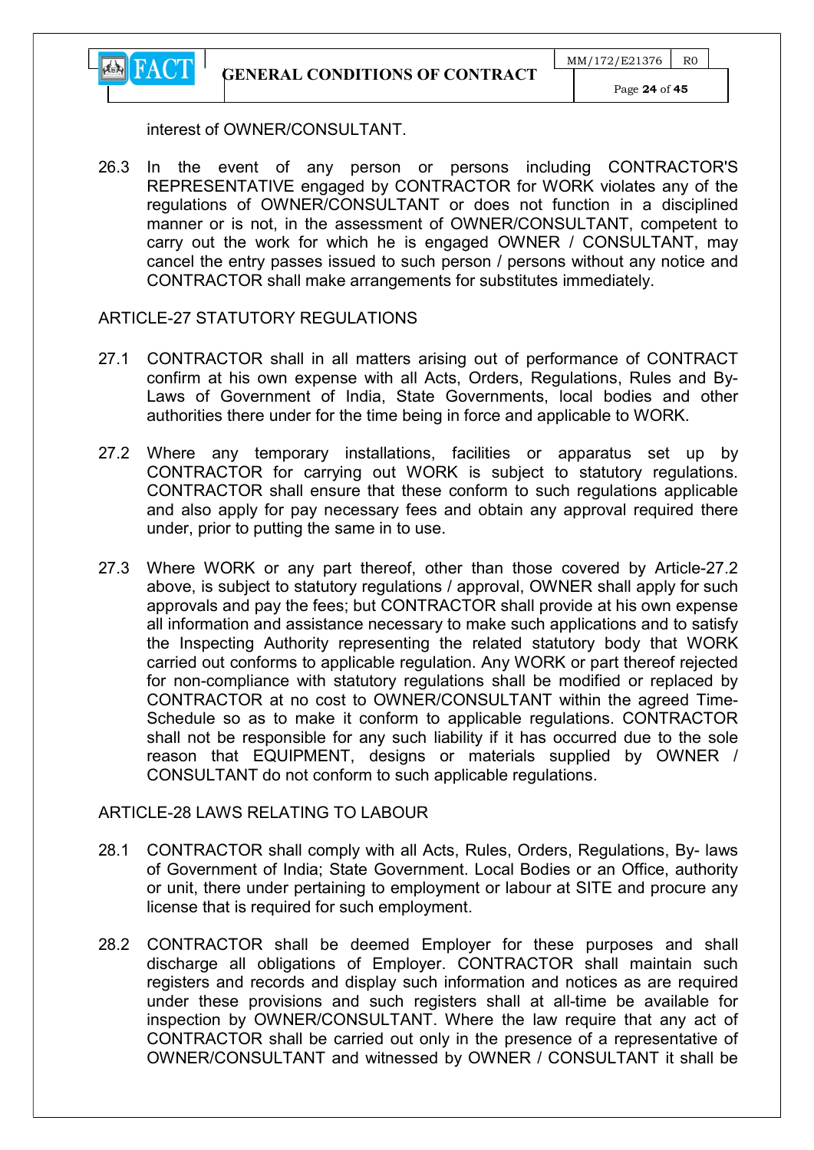GENERAL CONDITIONS OF CONTRACT



interest of OWNER/CONSULTANT.

**EN** FACT

26.3 In the event of any person or persons including CONTRACTOR'S REPRESENTATIVE engaged by CONTRACTOR for WORK violates any of the regulations of OWNER/CONSULTANT or does not function in a disciplined manner or is not, in the assessment of OWNER/CONSULTANT, competent to carry out the work for which he is engaged OWNER / CONSULTANT, may cancel the entry passes issued to such person / persons without any notice and CONTRACTOR shall make arrangements for substitutes immediately.

#### ARTICLE-27 STATUTORY REGULATIONS

- 27.1 CONTRACTOR shall in all matters arising out of performance of CONTRACT confirm at his own expense with all Acts, Orders, Regulations, Rules and By-Laws of Government of India, State Governments, local bodies and other authorities there under for the time being in force and applicable to WORK.
- 27.2 Where any temporary installations, facilities or apparatus set up by CONTRACTOR for carrying out WORK is subject to statutory regulations. CONTRACTOR shall ensure that these conform to such regulations applicable and also apply for pay necessary fees and obtain any approval required there under, prior to putting the same in to use.
- 27.3 Where WORK or any part thereof, other than those covered by Article-27.2 above, is subject to statutory regulations / approval, OWNER shall apply for such approvals and pay the fees; but CONTRACTOR shall provide at his own expense all information and assistance necessary to make such applications and to satisfy the Inspecting Authority representing the related statutory body that WORK carried out conforms to applicable regulation. Any WORK or part thereof rejected for non-compliance with statutory regulations shall be modified or replaced by CONTRACTOR at no cost to OWNER/CONSULTANT within the agreed Time-Schedule so as to make it conform to applicable regulations. CONTRACTOR shall not be responsible for any such liability if it has occurred due to the sole reason that EQUIPMENT, designs or materials supplied by OWNER / CONSULTANT do not conform to such applicable regulations.

## ARTICLE-28 LAWS RELATING TO LABOUR

- 28.1 CONTRACTOR shall comply with all Acts, Rules, Orders, Regulations, By- laws of Government of India; State Government. Local Bodies or an Office, authority or unit, there under pertaining to employment or labour at SITE and procure any license that is required for such employment.
- 28.2 CONTRACTOR shall be deemed Employer for these purposes and shall discharge all obligations of Employer. CONTRACTOR shall maintain such registers and records and display such information and notices as are required under these provisions and such registers shall at all-time be available for inspection by OWNER/CONSULTANT. Where the law require that any act of CONTRACTOR shall be carried out only in the presence of a representative of OWNER/CONSULTANT and witnessed by OWNER / CONSULTANT it shall be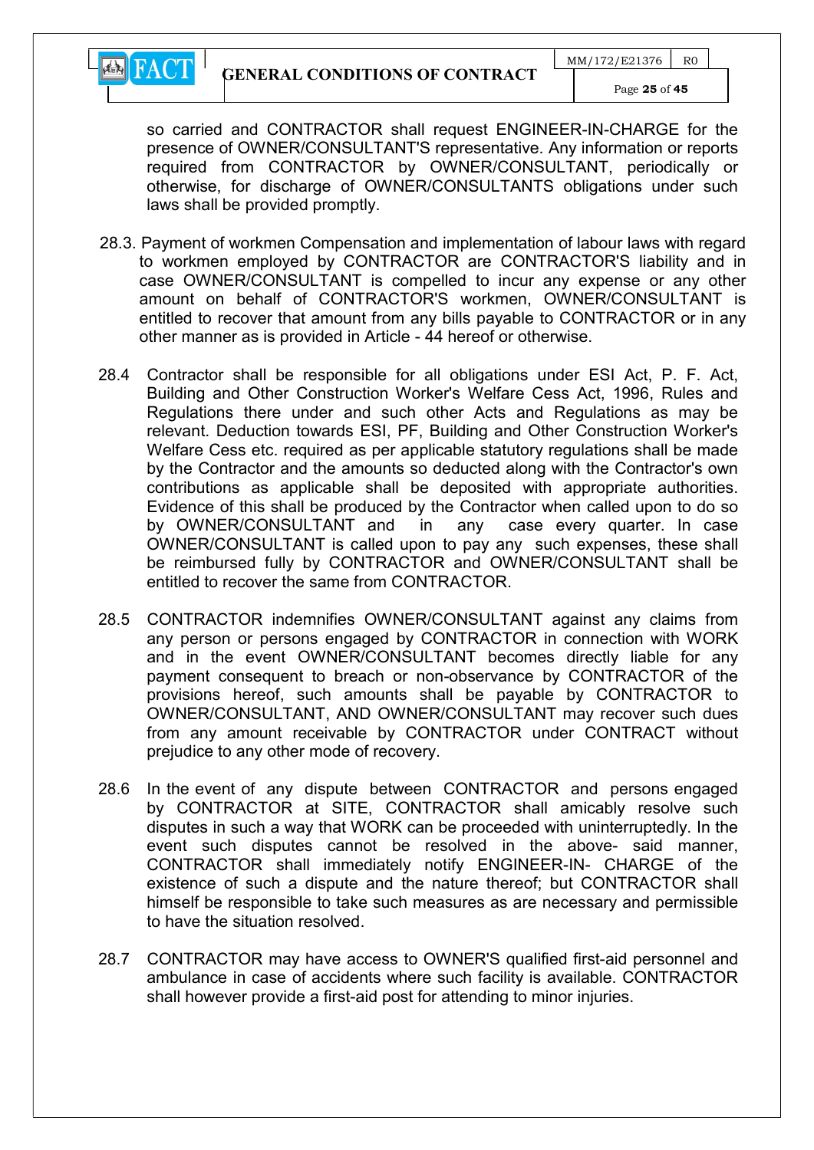

so carried and CONTRACTOR shall request ENGINEER-IN-CHARGE for the presence of OWNER/CONSULTANT'S representative. Any information or reports required from CONTRACTOR by OWNER/CONSULTANT, periodically or otherwise, for discharge of OWNER/CONSULTANTS obligations under such laws shall be provided promptly.

- 28.3. Payment of workmen Compensation and implementation of labour laws with regard to workmen employed by CONTRACTOR are CONTRACTOR'S liability and in case OWNER/CONSULTANT is compelled to incur any expense or any other amount on behalf of CONTRACTOR'S workmen, OWNER/CONSULTANT is entitled to recover that amount from any bills payable to CONTRACTOR or in any other manner as is provided in Article - 44 hereof or otherwise.
- 28.4 Contractor shall be responsible for all obligations under ESI Act, P. F. Act, Building and Other Construction Worker's Welfare Cess Act, 1996, Rules and Regulations there under and such other Acts and Regulations as may be relevant. Deduction towards ESI, PF, Building and Other Construction Worker's Welfare Cess etc. required as per applicable statutory regulations shall be made by the Contractor and the amounts so deducted along with the Contractor's own contributions as applicable shall be deposited with appropriate authorities. Evidence of this shall be produced by the Contractor when called upon to do so by OWNER/CONSULTANT and in any case every quarter. In case OWNER/CONSULTANT is called upon to pay any such expenses, these shall be reimbursed fully by CONTRACTOR and OWNER/CONSULTANT shall be entitled to recover the same from CONTRACTOR.
- 28.5 CONTRACTOR indemnifies OWNER/CONSULTANT against any claims from any person or persons engaged by CONTRACTOR in connection with WORK and in the event OWNER/CONSULTANT becomes directly liable for any payment consequent to breach or non-observance by CONTRACTOR of the provisions hereof, such amounts shall be payable by CONTRACTOR to OWNER/CONSULTANT, AND OWNER/CONSULTANT may recover such dues from any amount receivable by CONTRACTOR under CONTRACT without prejudice to any other mode of recovery.
- 28.6 In the event of any dispute between CONTRACTOR and persons engaged by CONTRACTOR at SITE, CONTRACTOR shall amicably resolve such disputes in such a way that WORK can be proceeded with uninterruptedly. In the event such disputes cannot be resolved in the above- said manner, CONTRACTOR shall immediately notify ENGINEER-IN- CHARGE of the existence of such a dispute and the nature thereof; but CONTRACTOR shall himself be responsible to take such measures as are necessary and permissible to have the situation resolved.
- 28.7 CONTRACTOR may have access to OWNER'S qualified first-aid personnel and ambulance in case of accidents where such facility is available. CONTRACTOR shall however provide a first-aid post for attending to minor injuries.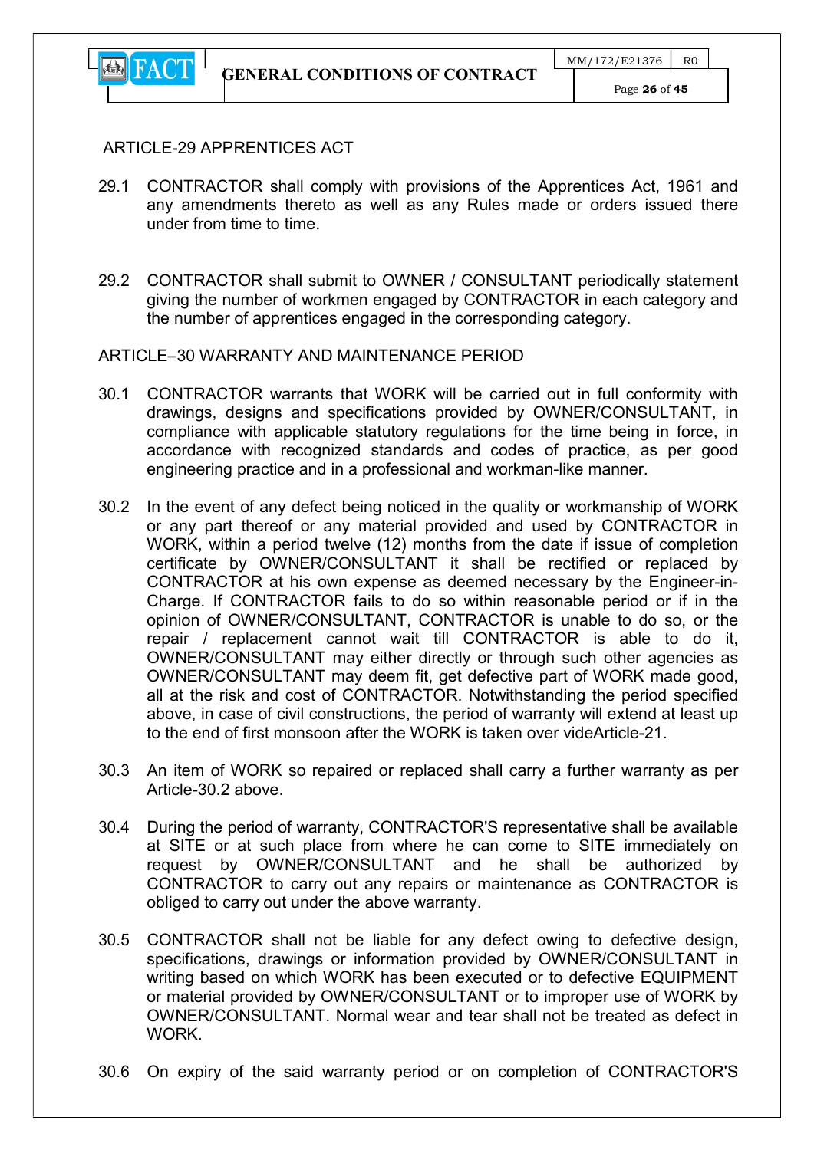

#### ARTICLE-29 APPRENTICES ACT

- 29.1 CONTRACTOR shall comply with provisions of the Apprentices Act, 1961 and any amendments thereto as well as any Rules made or orders issued there under from time to time.
- 29.2 CONTRACTOR shall submit to OWNER / CONSULTANT periodically statement giving the number of workmen engaged by CONTRACTOR in each category and the number of apprentices engaged in the corresponding category.

#### ARTICLE–30 WARRANTY AND MAINTENANCE PERIOD

- 30.1 CONTRACTOR warrants that WORK will be carried out in full conformity with drawings, designs and specifications provided by OWNER/CONSULTANT, in compliance with applicable statutory regulations for the time being in force, in accordance with recognized standards and codes of practice, as per good engineering practice and in a professional and workman-like manner.
- 30.2 In the event of any defect being noticed in the quality or workmanship of WORK or any part thereof or any material provided and used by CONTRACTOR in WORK, within a period twelve (12) months from the date if issue of completion certificate by OWNER/CONSULTANT it shall be rectified or replaced by CONTRACTOR at his own expense as deemed necessary by the Engineer-in-Charge. If CONTRACTOR fails to do so within reasonable period or if in the opinion of OWNER/CONSULTANT, CONTRACTOR is unable to do so, or the repair / replacement cannot wait till CONTRACTOR is able to do it, OWNER/CONSULTANT may either directly or through such other agencies as OWNER/CONSULTANT may deem fit, get defective part of WORK made good, all at the risk and cost of CONTRACTOR. Notwithstanding the period specified above, in case of civil constructions, the period of warranty will extend at least up to the end of first monsoon after the WORK is taken over videArticle-21.
- 30.3 An item of WORK so repaired or replaced shall carry a further warranty as per Article-30.2 above.
- 30.4 During the period of warranty, CONTRACTOR'S representative shall be available at SITE or at such place from where he can come to SITE immediately on request by OWNER/CONSULTANT and he shall be authorized by CONTRACTOR to carry out any repairs or maintenance as CONTRACTOR is obliged to carry out under the above warranty.
- 30.5 CONTRACTOR shall not be liable for any defect owing to defective design, specifications, drawings or information provided by OWNER/CONSULTANT in writing based on which WORK has been executed or to defective EQUIPMENT or material provided by OWNER/CONSULTANT or to improper use of WORK by OWNER/CONSULTANT. Normal wear and tear shall not be treated as defect in **WORK**
- 30.6 On expiry of the said warranty period or on completion of CONTRACTOR'S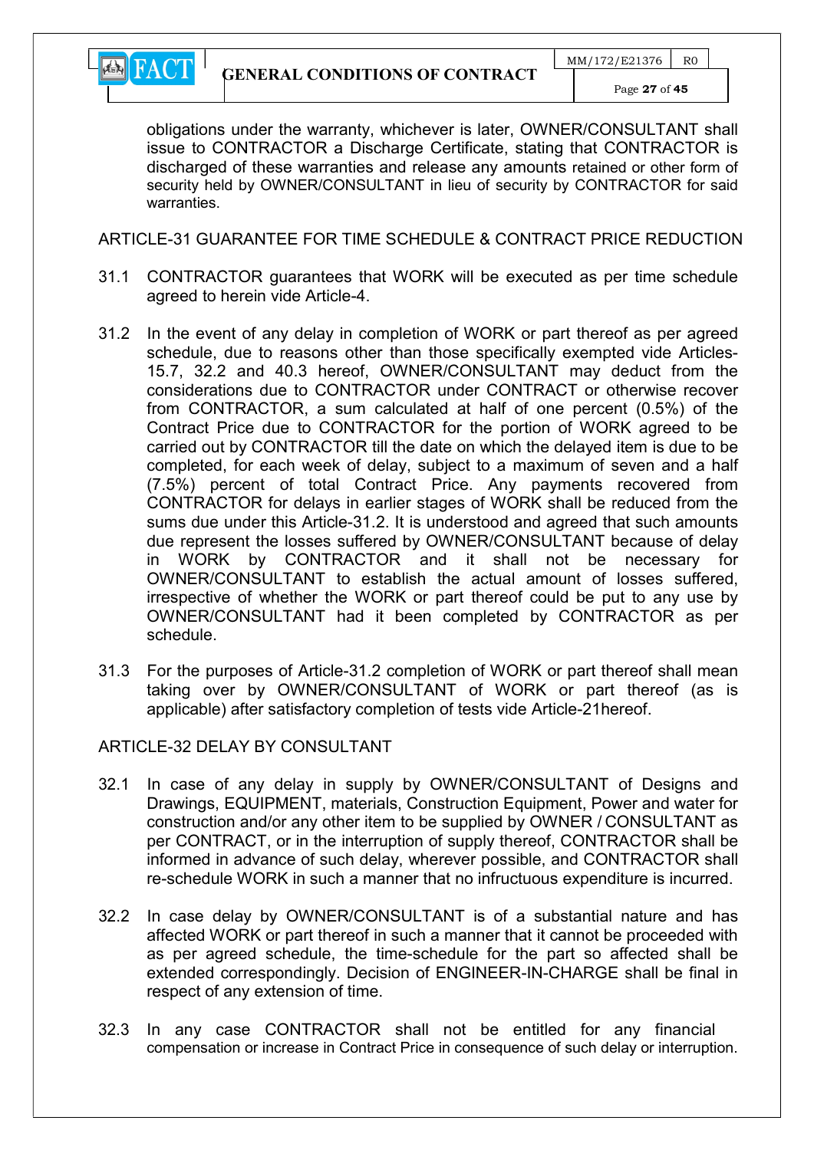

obligations under the warranty, whichever is later, OWNER/CONSULTANT shall issue to CONTRACTOR a Discharge Certificate, stating that CONTRACTOR is discharged of these warranties and release any amounts retained or other form of security held by OWNER/CONSULTANT in lieu of security by CONTRACTOR for said warranties.

ARTICLE-31 GUARANTEE FOR TIME SCHEDULE & CONTRACT PRICE REDUCTION

- 31.1 CONTRACTOR guarantees that WORK will be executed as per time schedule agreed to herein vide Article-4.
- 31.2 In the event of any delay in completion of WORK or part thereof as per agreed schedule, due to reasons other than those specifically exempted vide Articles-15.7, 32.2 and 40.3 hereof, OWNER/CONSULTANT may deduct from the considerations due to CONTRACTOR under CONTRACT or otherwise recover from CONTRACTOR, a sum calculated at half of one percent (0.5%) of the Contract Price due to CONTRACTOR for the portion of WORK agreed to be carried out by CONTRACTOR till the date on which the delayed item is due to be completed, for each week of delay, subject to a maximum of seven and a half (7.5%) percent of total Contract Price. Any payments recovered from CONTRACTOR for delays in earlier stages of WORK shall be reduced from the sums due under this Article-31.2. It is understood and agreed that such amounts due represent the losses suffered by OWNER/CONSULTANT because of delay in WORK by CONTRACTOR and it shall not be necessary for OWNER/CONSULTANT to establish the actual amount of losses suffered, irrespective of whether the WORK or part thereof could be put to any use by OWNER/CONSULTANT had it been completed by CONTRACTOR as per schedule.
- 31.3 For the purposes of Article-31.2 completion of WORK or part thereof shall mean taking over by OWNER/CONSULTANT of WORK or part thereof (as is applicable) after satisfactory completion of tests vide Article-21hereof.

## ARTICLE-32 DELAY BY CONSULTANT

- 32.1 In case of any delay in supply by OWNER/CONSULTANT of Designs and Drawings, EQUIPMENT, materials, Construction Equipment, Power and water for construction and/or any other item to be supplied by OWNER / CONSULTANT as per CONTRACT, or in the interruption of supply thereof, CONTRACTOR shall be informed in advance of such delay, wherever possible, and CONTRACTOR shall re-schedule WORK in such a manner that no infructuous expenditure is incurred.
- 32.2 In case delay by OWNER/CONSULTANT is of a substantial nature and has affected WORK or part thereof in such a manner that it cannot be proceeded with as per agreed schedule, the time-schedule for the part so affected shall be extended correspondingly. Decision of ENGINEER-IN-CHARGE shall be final in respect of any extension of time.
- 32.3 In any case CONTRACTOR shall not be entitled for any financial compensation or increase in Contract Price in consequence of such delay or interruption.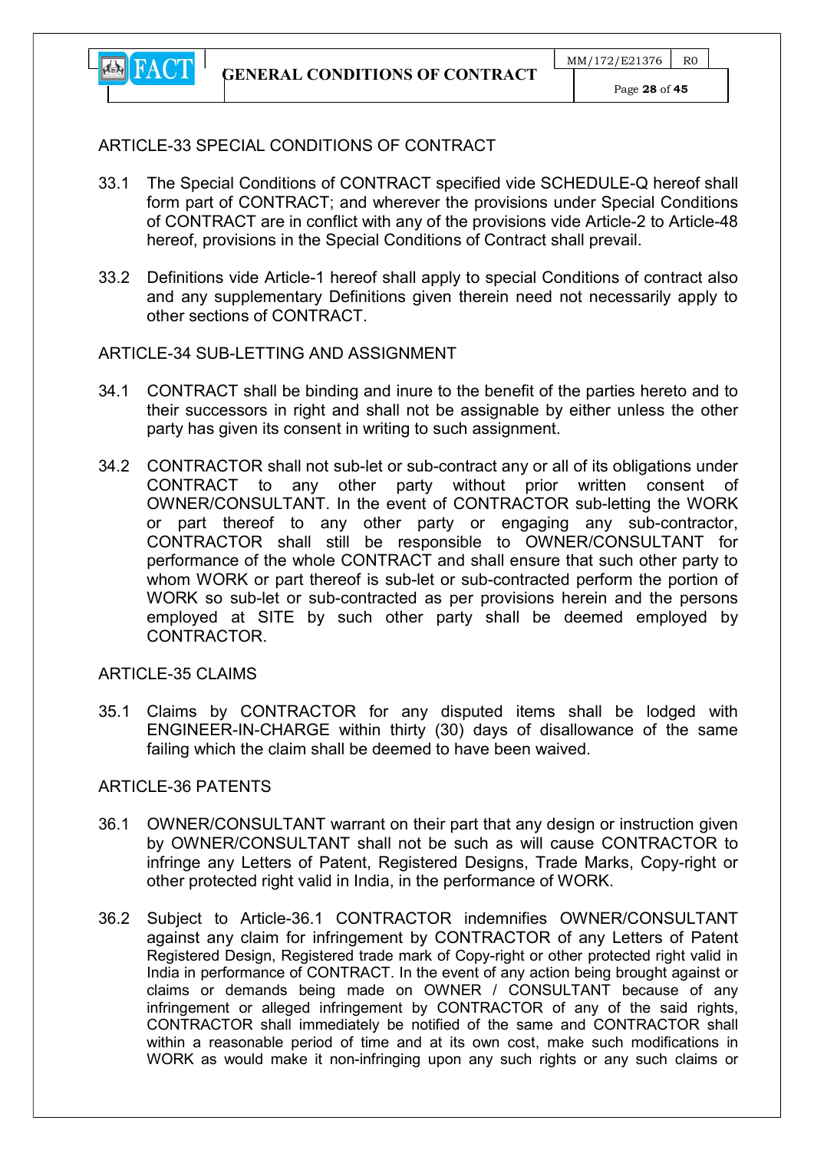

## ARTICLE-33 SPECIAL CONDITIONS OF CONTRACT

- 33.1 The Special Conditions of CONTRACT specified vide SCHEDULE-Q hereof shall form part of CONTRACT; and wherever the provisions under Special Conditions of CONTRACT are in conflict with any of the provisions vide Article-2 to Article-48 hereof, provisions in the Special Conditions of Contract shall prevail.
- 33.2 Definitions vide Article-1 hereof shall apply to special Conditions of contract also and any supplementary Definitions given therein need not necessarily apply to other sections of CONTRACT.

## ARTICLE-34 SUB-LETTING AND ASSIGNMENT

- 34.1 CONTRACT shall be binding and inure to the benefit of the parties hereto and to their successors in right and shall not be assignable by either unless the other party has given its consent in writing to such assignment.
- 34.2 CONTRACTOR shall not sub-let or sub-contract any or all of its obligations under CONTRACT to any other party without prior written consent of OWNER/CONSULTANT. In the event of CONTRACTOR sub-letting the WORK or part thereof to any other party or engaging any sub-contractor, CONTRACTOR shall still be responsible to OWNER/CONSULTANT for performance of the whole CONTRACT and shall ensure that such other party to whom WORK or part thereof is sub-let or sub-contracted perform the portion of WORK so sub-let or sub-contracted as per provisions herein and the persons employed at SITE by such other party shall be deemed employed by CONTRACTOR.

ARTICLE-35 CLAIMS

35.1 Claims by CONTRACTOR for any disputed items shall be lodged with ENGINEER-IN-CHARGE within thirty (30) days of disallowance of the same failing which the claim shall be deemed to have been waived.

#### ARTICLE-36 PATENTS

- 36.1 OWNER/CONSULTANT warrant on their part that any design or instruction given by OWNER/CONSULTANT shall not be such as will cause CONTRACTOR to infringe any Letters of Patent, Registered Designs, Trade Marks, Copy-right or other protected right valid in India, in the performance of WORK.
- 36.2 Subject to Article-36.1 CONTRACTOR indemnifies OWNER/CONSULTANT against any claim for infringement by CONTRACTOR of any Letters of Patent Registered Design, Registered trade mark of Copy-right or other protected right valid in India in performance of CONTRACT. In the event of any action being brought against or claims or demands being made on OWNER / CONSULTANT because of any infringement or alleged infringement by CONTRACTOR of any of the said rights, CONTRACTOR shall immediately be notified of the same and CONTRACTOR shall within a reasonable period of time and at its own cost, make such modifications in WORK as would make it non-infringing upon any such rights or any such claims or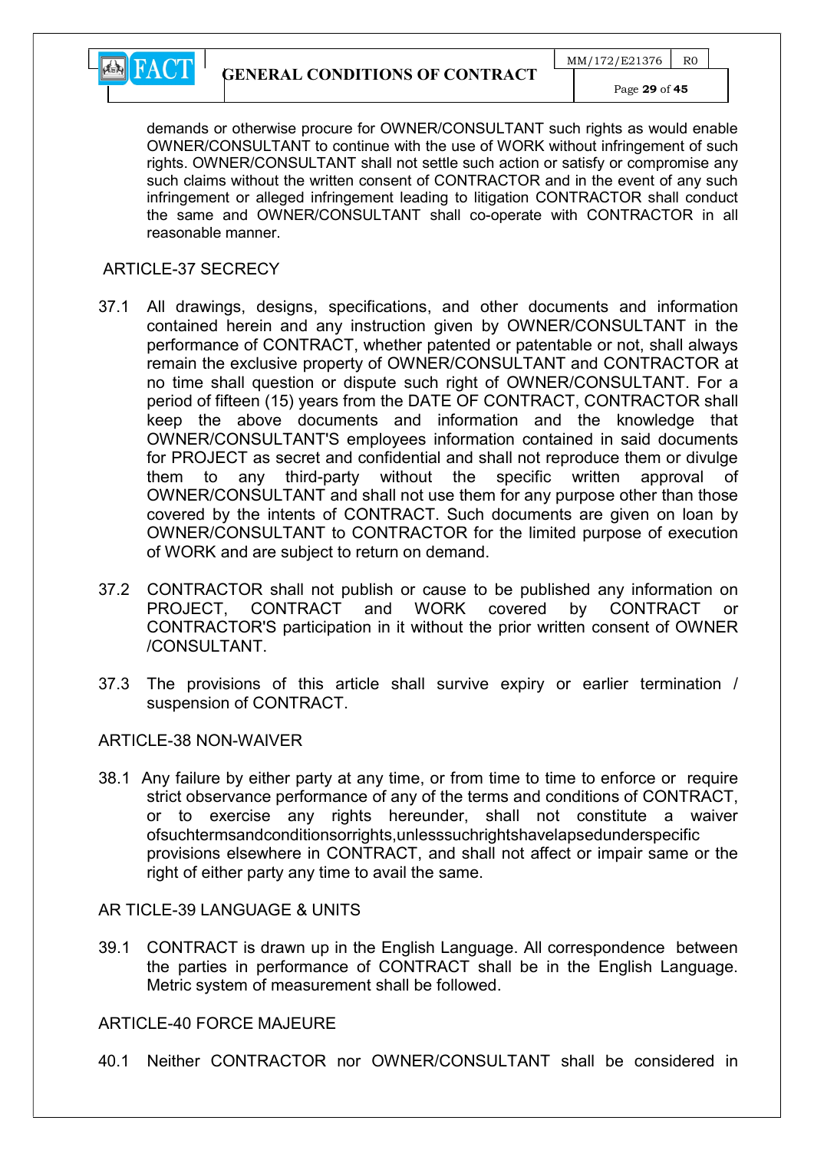

demands or otherwise procure for OWNER/CONSULTANT such rights as would enable OWNER/CONSULTANT to continue with the use of WORK without infringement of such rights. OWNER/CONSULTANT shall not settle such action or satisfy or compromise any such claims without the written consent of CONTRACTOR and in the event of any such infringement or alleged infringement leading to litigation CONTRACTOR shall conduct the same and OWNER/CONSULTANT shall co-operate with CONTRACTOR in all reasonable manner.

#### ARTICLE-37 SECRECY

- 37.1 All drawings, designs, specifications, and other documents and information contained herein and any instruction given by OWNER/CONSULTANT in the performance of CONTRACT, whether patented or patentable or not, shall always remain the exclusive property of OWNER/CONSULTANT and CONTRACTOR at no time shall question or dispute such right of OWNER/CONSULTANT. For a period of fifteen (15) years from the DATE OF CONTRACT, CONTRACTOR shall keep the above documents and information and the knowledge that OWNER/CONSULTANT'S employees information contained in said documents for PROJECT as secret and confidential and shall not reproduce them or divulge them to any third-party without the specific written approval of OWNER/CONSULTANT and shall not use them for any purpose other than those covered by the intents of CONTRACT. Such documents are given on loan by OWNER/CONSULTANT to CONTRACTOR for the limited purpose of execution of WORK and are subject to return on demand.
- 37.2 CONTRACTOR shall not publish or cause to be published any information on PROJECT, CONTRACT and WORK covered by CONTRACT or CONTRACTOR'S participation in it without the prior written consent of OWNER /CONSULTANT.
- 37.3 The provisions of this article shall survive expiry or earlier termination / suspension of CONTRACT.

#### ARTICLE-38 NON-WAIVER

38.1 Any failure by either party at any time, or from time to time to enforce or require strict observance performance of any of the terms and conditions of CONTRACT, or to exercise any rights hereunder, shall not constitute a waiver ofsuchtermsandconditionsorrights,unlesssuchrightshavelapsedunderspecific provisions elsewhere in CONTRACT, and shall not affect or impair same or the right of either party any time to avail the same.

AR TICLE-39 LANGUAGE & UNITS

39.1 CONTRACT is drawn up in the English Language. All correspondence between the parties in performance of CONTRACT shall be in the English Language. Metric system of measurement shall be followed.

#### ARTICLE-40 FORCE MAJEURE

40.1 Neither CONTRACTOR nor OWNER/CONSULTANT shall be considered in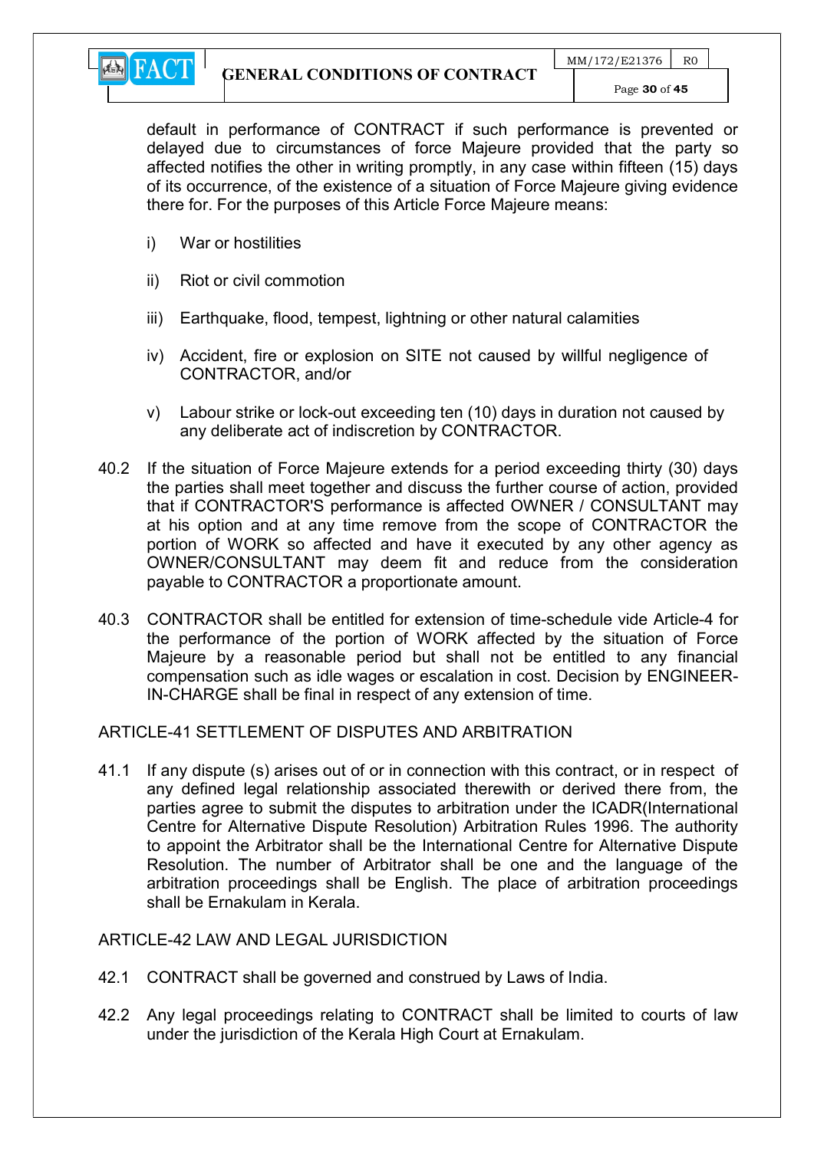

default in performance of CONTRACT if such performance is prevented or delayed due to circumstances of force Majeure provided that the party so affected notifies the other in writing promptly, in any case within fifteen (15) days of its occurrence, of the existence of a situation of Force Majeure giving evidence there for. For the purposes of this Article Force Majeure means:

- i) War or hostilities
- ii) Riot or civil commotion
- iii) Earthquake, flood, tempest, lightning or other natural calamities
- iv) Accident, fire or explosion on SITE not caused by willful negligence of CONTRACTOR, and/or
- v) Labour strike or lock-out exceeding ten (10) days in duration not caused by any deliberate act of indiscretion by CONTRACTOR.
- 40.2 If the situation of Force Majeure extends for a period exceeding thirty (30) days the parties shall meet together and discuss the further course of action, provided that if CONTRACTOR'S performance is affected OWNER / CONSULTANT may at his option and at any time remove from the scope of CONTRACTOR the portion of WORK so affected and have it executed by any other agency as OWNER/CONSULTANT may deem fit and reduce from the consideration payable to CONTRACTOR a proportionate amount.
- 40.3 CONTRACTOR shall be entitled for extension of time-schedule vide Article-4 for the performance of the portion of WORK affected by the situation of Force Majeure by a reasonable period but shall not be entitled to any financial compensation such as idle wages or escalation in cost. Decision by ENGINEER-IN-CHARGE shall be final in respect of any extension of time.

#### ARTICLE-41 SETTLEMENT OF DISPUTES AND ARBITRATION

41.1 If any dispute (s) arises out of or in connection with this contract, or in respect of any defined legal relationship associated therewith or derived there from, the parties agree to submit the disputes to arbitration under the ICADR(International Centre for Alternative Dispute Resolution) Arbitration Rules 1996. The authority to appoint the Arbitrator shall be the International Centre for Alternative Dispute Resolution. The number of Arbitrator shall be one and the language of the arbitration proceedings shall be English. The place of arbitration proceedings shall be Ernakulam in Kerala.

#### ARTICLE-42 LAW AND LEGAL JURISDICTION

- 42.1 CONTRACT shall be governed and construed by Laws of India.
- 42.2 Any legal proceedings relating to CONTRACT shall be limited to courts of law under the jurisdiction of the Kerala High Court at Ernakulam.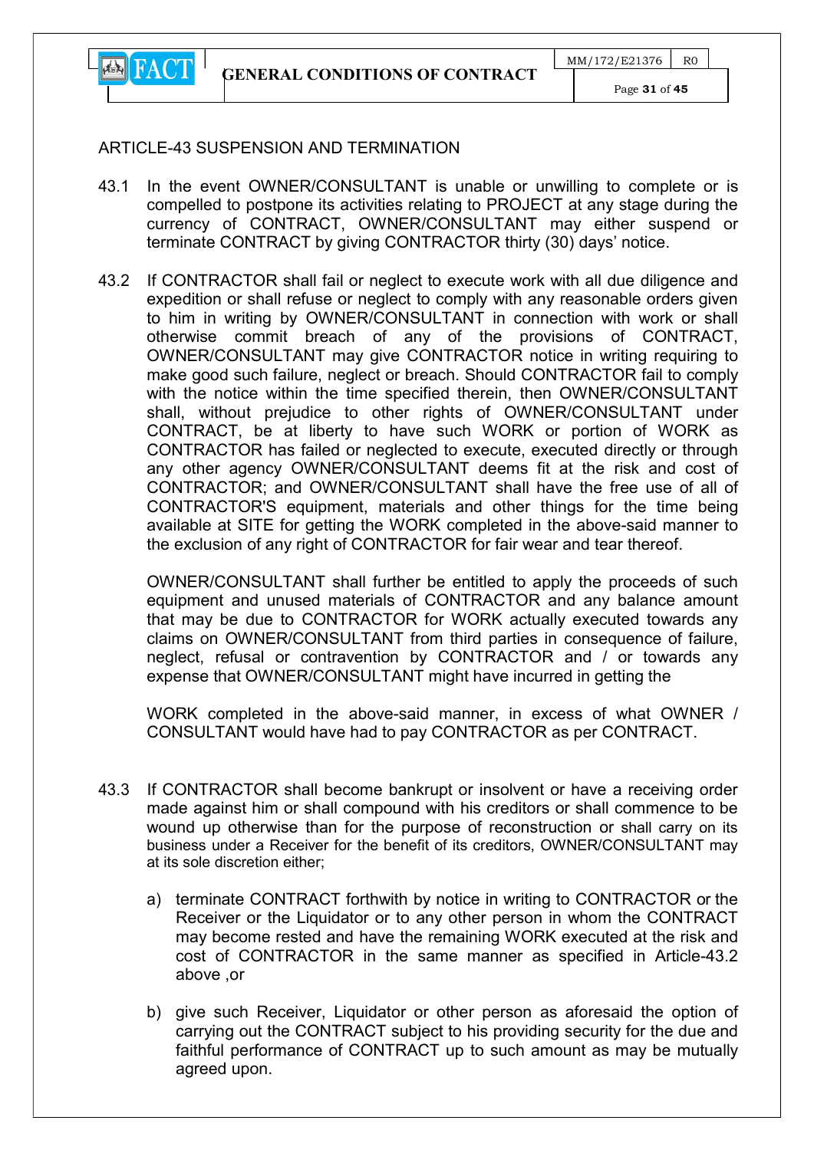

Page 31 of 45

## ARTICLE-43 SUSPENSION AND TERMINATION

- 43.1 In the event OWNER/CONSULTANT is unable or unwilling to complete or is compelled to postpone its activities relating to PROJECT at any stage during the currency of CONTRACT, OWNER/CONSULTANT may either suspend or terminate CONTRACT by giving CONTRACTOR thirty (30) days' notice.
- 43.2 If CONTRACTOR shall fail or neglect to execute work with all due diligence and expedition or shall refuse or neglect to comply with any reasonable orders given to him in writing by OWNER/CONSULTANT in connection with work or shall otherwise commit breach of any of the provisions of CONTRACT, OWNER/CONSULTANT may give CONTRACTOR notice in writing requiring to make good such failure, neglect or breach. Should CONTRACTOR fail to comply with the notice within the time specified therein, then OWNER/CONSULTANT shall, without prejudice to other rights of OWNER/CONSULTANT under CONTRACT, be at liberty to have such WORK or portion of WORK as CONTRACTOR has failed or neglected to execute, executed directly or through any other agency OWNER/CONSULTANT deems fit at the risk and cost of CONTRACTOR; and OWNER/CONSULTANT shall have the free use of all of CONTRACTOR'S equipment, materials and other things for the time being available at SITE for getting the WORK completed in the above-said manner to the exclusion of any right of CONTRACTOR for fair wear and tear thereof.

OWNER/CONSULTANT shall further be entitled to apply the proceeds of such equipment and unused materials of CONTRACTOR and any balance amount that may be due to CONTRACTOR for WORK actually executed towards any claims on OWNER/CONSULTANT from third parties in consequence of failure, neglect, refusal or contravention by CONTRACTOR and / or towards any expense that OWNER/CONSULTANT might have incurred in getting the

WORK completed in the above-said manner, in excess of what OWNER / CONSULTANT would have had to pay CONTRACTOR as per CONTRACT.

- 43.3 If CONTRACTOR shall become bankrupt or insolvent or have a receiving order made against him or shall compound with his creditors or shall commence to be wound up otherwise than for the purpose of reconstruction or shall carry on its business under a Receiver for the benefit of its creditors, OWNER/CONSULTANT may at its sole discretion either;
	- a) terminate CONTRACT forthwith by notice in writing to CONTRACTOR or the Receiver or the Liquidator or to any other person in whom the CONTRACT may become rested and have the remaining WORK executed at the risk and cost of CONTRACTOR in the same manner as specified in Article-43.2 above ,or
	- b) give such Receiver, Liquidator or other person as aforesaid the option of carrying out the CONTRACT subject to his providing security for the due and faithful performance of CONTRACT up to such amount as may be mutually agreed upon.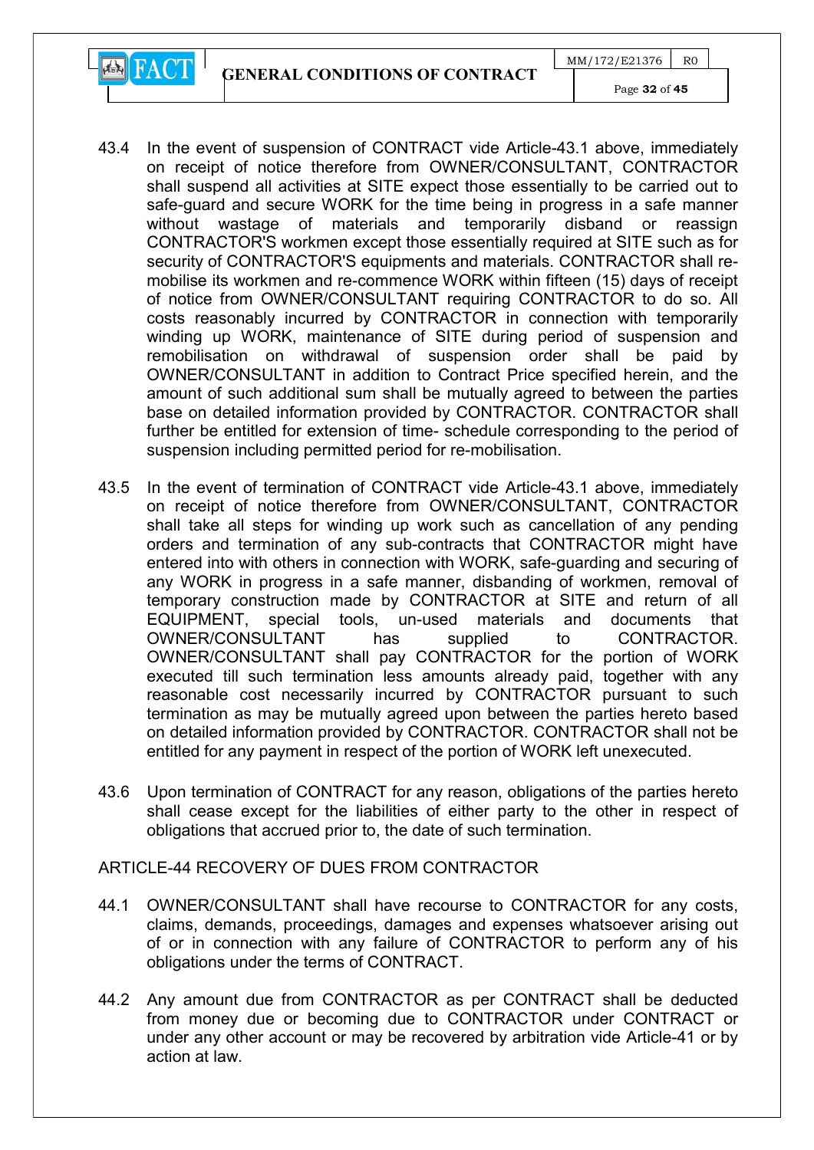GENERAL CONDITIONS OF CONTRACT

 $MM/172/E21376$  RO



Page 32 of 45

- 43.4 In the event of suspension of CONTRACT vide Article-43.1 above, immediately on receipt of notice therefore from OWNER/CONSULTANT, CONTRACTOR shall suspend all activities at SITE expect those essentially to be carried out to safe-guard and secure WORK for the time being in progress in a safe manner without wastage of materials and temporarily disband or reassign CONTRACTOR'S workmen except those essentially required at SITE such as for security of CONTRACTOR'S equipments and materials. CONTRACTOR shall remobilise its workmen and re-commence WORK within fifteen (15) days of receipt of notice from OWNER/CONSULTANT requiring CONTRACTOR to do so. All costs reasonably incurred by CONTRACTOR in connection with temporarily winding up WORK, maintenance of SITE during period of suspension and remobilisation on withdrawal of suspension order shall be paid by OWNER/CONSULTANT in addition to Contract Price specified herein, and the amount of such additional sum shall be mutually agreed to between the parties base on detailed information provided by CONTRACTOR. CONTRACTOR shall further be entitled for extension of time- schedule corresponding to the period of suspension including permitted period for re-mobilisation.
- 43.5 In the event of termination of CONTRACT vide Article-43.1 above, immediately on receipt of notice therefore from OWNER/CONSULTANT, CONTRACTOR shall take all steps for winding up work such as cancellation of any pending orders and termination of any sub-contracts that CONTRACTOR might have entered into with others in connection with WORK, safe-guarding and securing of any WORK in progress in a safe manner, disbanding of workmen, removal of temporary construction made by CONTRACTOR at SITE and return of all EQUIPMENT, special tools, un-used materials and documents that OWNER/CONSULTANT has supplied to CONTRACTOR. OWNER/CONSULTANT shall pay CONTRACTOR for the portion of WORK executed till such termination less amounts already paid, together with any reasonable cost necessarily incurred by CONTRACTOR pursuant to such termination as may be mutually agreed upon between the parties hereto based on detailed information provided by CONTRACTOR. CONTRACTOR shall not be entitled for any payment in respect of the portion of WORK left unexecuted.
- 43.6 Upon termination of CONTRACT for any reason, obligations of the parties hereto shall cease except for the liabilities of either party to the other in respect of obligations that accrued prior to, the date of such termination.

## ARTICLE-44 RECOVERY OF DUES FROM CONTRACTOR

- 44.1 OWNER/CONSULTANT shall have recourse to CONTRACTOR for any costs, claims, demands, proceedings, damages and expenses whatsoever arising out of or in connection with any failure of CONTRACTOR to perform any of his obligations under the terms of CONTRACT.
- 44.2 Any amount due from CONTRACTOR as per CONTRACT shall be deducted from money due or becoming due to CONTRACTOR under CONTRACT or under any other account or may be recovered by arbitration vide Article-41 or by action at law.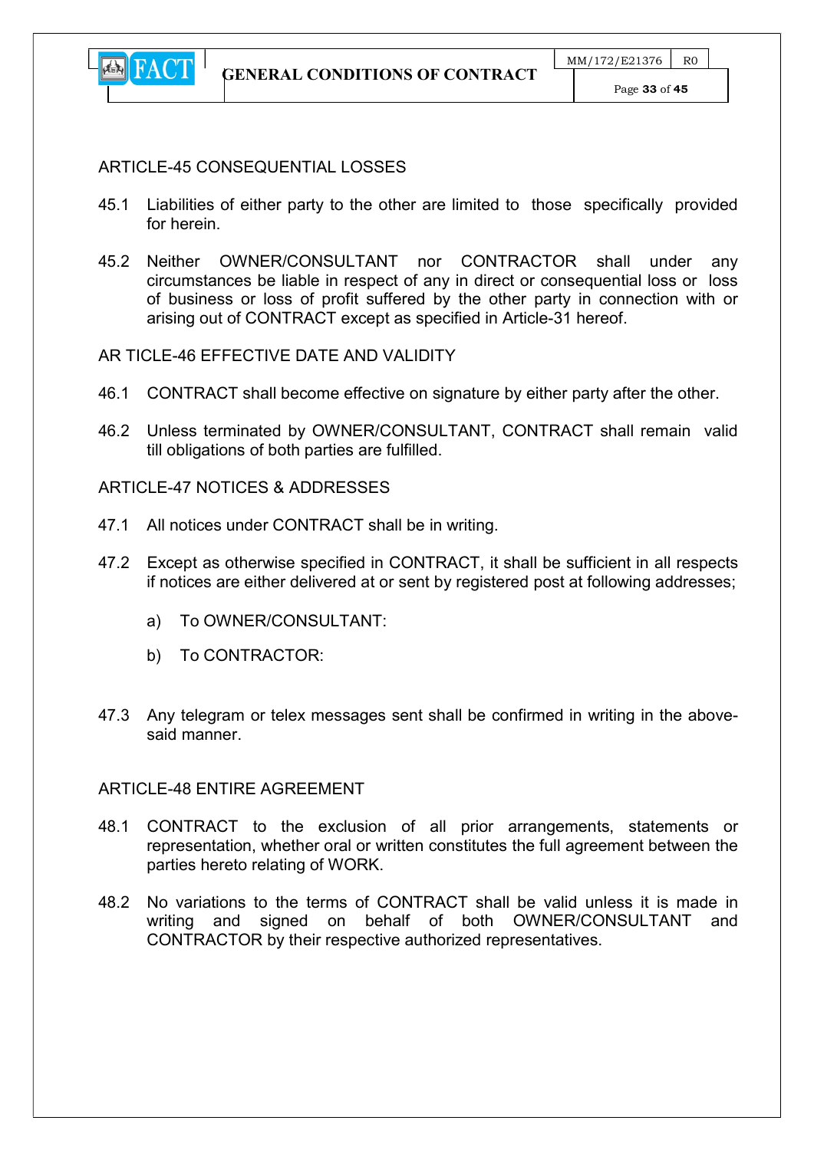

#### ARTICLE-45 CONSEQUENTIAL LOSSES

- 45.1 Liabilities of either party to the other are limited to those specifically provided for herein.
- 45.2 Neither OWNER/CONSULTANT nor CONTRACTOR shall under any circumstances be liable in respect of any in direct or consequential loss or loss of business or loss of profit suffered by the other party in connection with or arising out of CONTRACT except as specified in Article-31 hereof.

#### AR TICLE-46 EFFECTIVE DATE AND VALIDITY

- 46.1 CONTRACT shall become effective on signature by either party after the other.
- 46.2 Unless terminated by OWNER/CONSULTANT, CONTRACT shall remain valid till obligations of both parties are fulfilled.

#### ARTICLE-47 NOTICES & ADDRESSES

- 47.1 All notices under CONTRACT shall be in writing.
- 47.2 Except as otherwise specified in CONTRACT, it shall be sufficient in all respects if notices are either delivered at or sent by registered post at following addresses;
	- a) To OWNER/CONSULTANT:
	- b) To CONTRACTOR:
- 47.3 Any telegram or telex messages sent shall be confirmed in writing in the abovesaid manner.

#### ARTICLE-48 ENTIRE AGREEMENT

- 48.1 CONTRACT to the exclusion of all prior arrangements, statements or representation, whether oral or written constitutes the full agreement between the parties hereto relating of WORK.
- 48.2 No variations to the terms of CONTRACT shall be valid unless it is made in writing and signed on behalf of both OWNER/CONSULTANT and CONTRACTOR by their respective authorized representatives.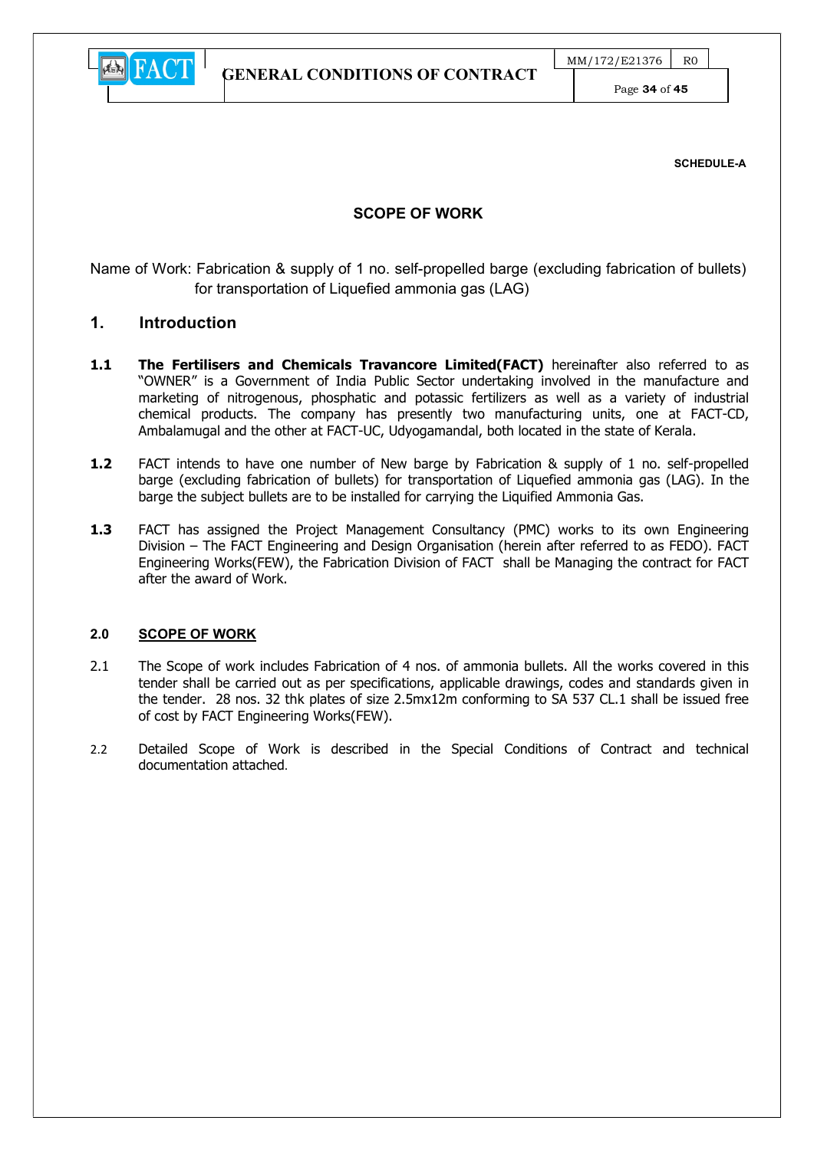

Page 34 of 45

SCHEDULE-A

#### SCOPE OF WORK

Name of Work: Fabrication & supply of 1 no. self-propelled barge (excluding fabrication of bullets) for transportation of Liquefied ammonia gas (LAG)

#### 1. Introduction

- 1.1 The Fertilisers and Chemicals Travancore Limited(FACT) hereinafter also referred to as "OWNER" is a Government of India Public Sector undertaking involved in the manufacture and marketing of nitrogenous, phosphatic and potassic fertilizers as well as a variety of industrial chemical products. The company has presently two manufacturing units, one at FACT-CD, Ambalamugal and the other at FACT-UC, Udyogamandal, both located in the state of Kerala.
- 1.2 FACT intends to have one number of New barge by Fabrication & supply of 1 no. self-propelled barge (excluding fabrication of bullets) for transportation of Liquefied ammonia gas (LAG). In the barge the subject bullets are to be installed for carrying the Liquified Ammonia Gas.
- 1.3 FACT has assigned the Project Management Consultancy (PMC) works to its own Engineering Division – The FACT Engineering and Design Organisation (herein after referred to as FEDO). FACT Engineering Works(FEW), the Fabrication Division of FACT shall be Managing the contract for FACT after the award of Work.

#### 2.0 SCOPE OF WORK

- 2.1 The Scope of work includes Fabrication of 4 nos. of ammonia bullets. All the works covered in this tender shall be carried out as per specifications, applicable drawings, codes and standards given in the tender. 28 nos. 32 thk plates of size 2.5mx12m conforming to SA 537 CL.1 shall be issued free of cost by FACT Engineering Works(FEW).
- 2.2 Detailed Scope of Work is described in the Special Conditions of Contract and technical documentation attached.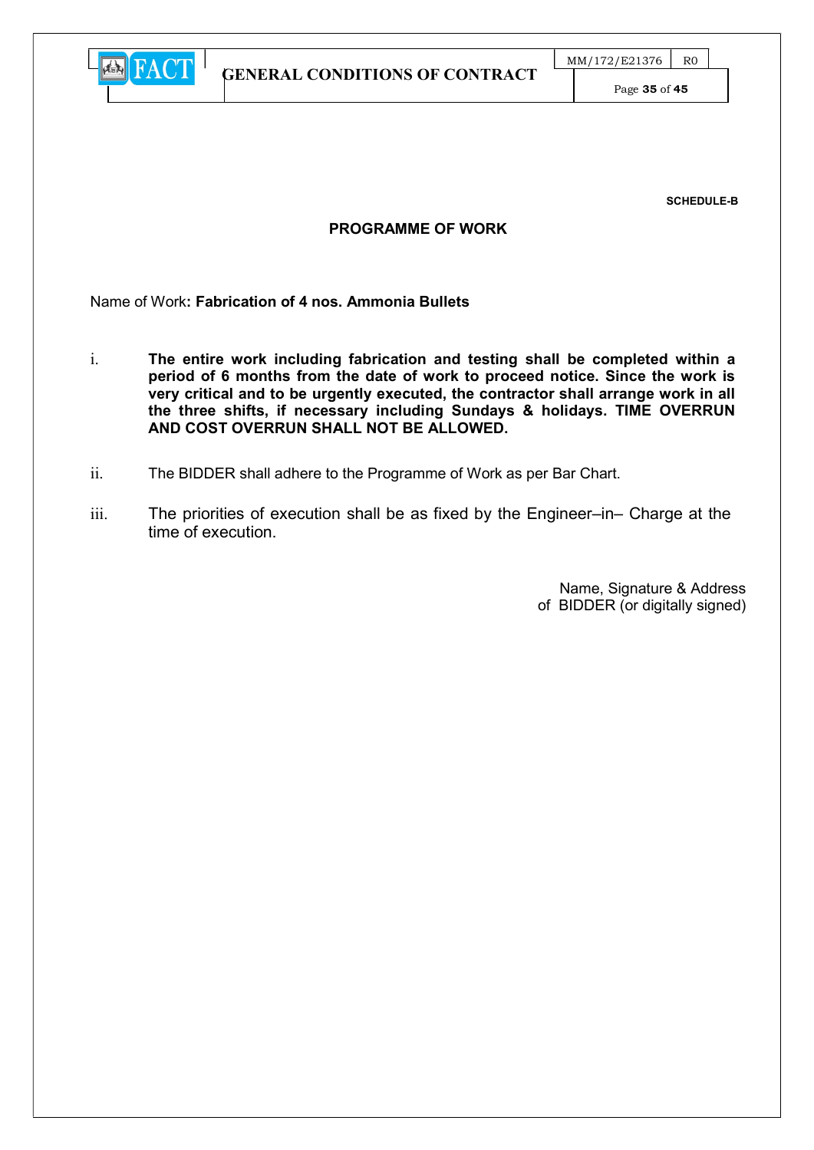

Page 35 of 45

SCHEDULE-B

#### PROGRAMME OF WORK

Name of Work: Fabrication of 4 nos. Ammonia Bullets

- i. The entire work including fabrication and testing shall be completed within a period of 6 months from the date of work to proceed notice. Since the work is very critical and to be urgently executed, the contractor shall arrange work in all the three shifts, if necessary including Sundays & holidays. TIME OVERRUN AND COST OVERRUN SHALL NOT BE ALLOWED.
- ii. The BIDDER shall adhere to the Programme of Work as per Bar Chart.
- iii. The priorities of execution shall be as fixed by the Engineer–in– Charge at the time of execution.

Name, Signature & Address of BIDDER (or digitally signed)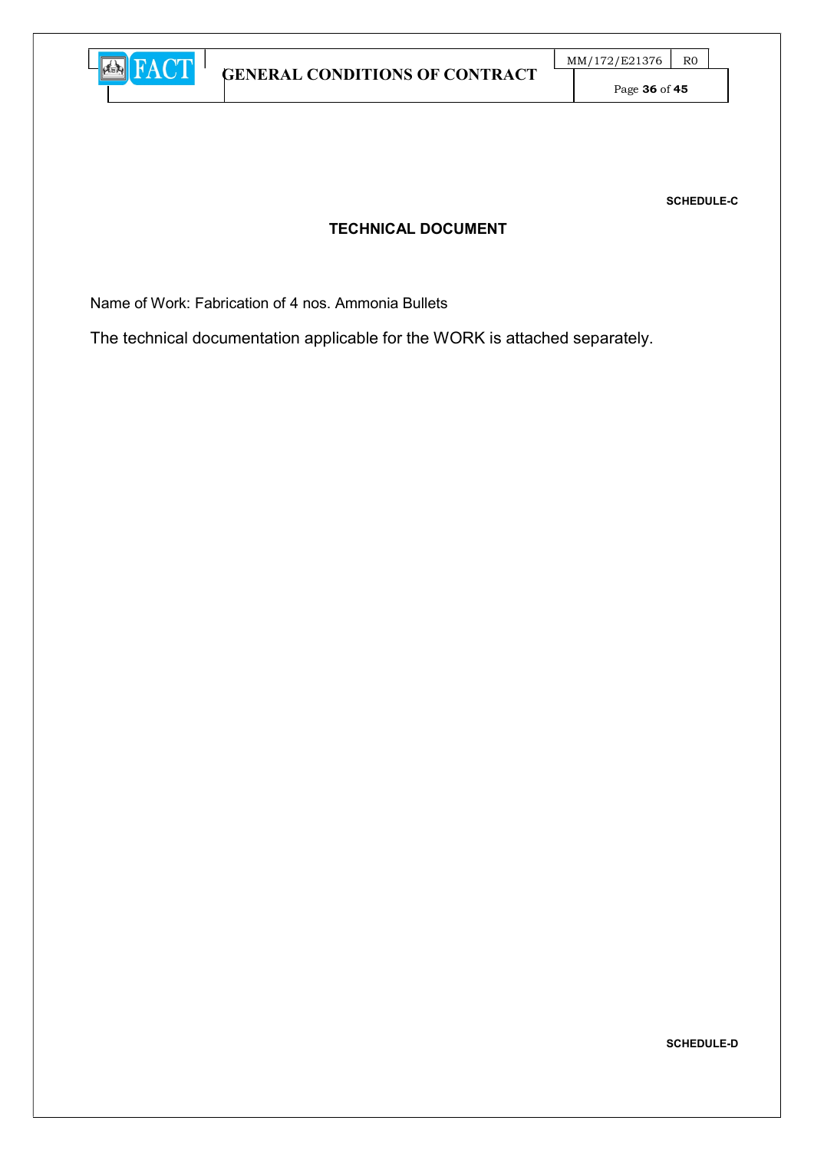

Page 36 of 45

SCHEDULE-C

## TECHNICAL DOCUMENT

Name of Work: Fabrication of 4 nos. Ammonia Bullets

The technical documentation applicable for the WORK is attached separately.

SCHEDULE-D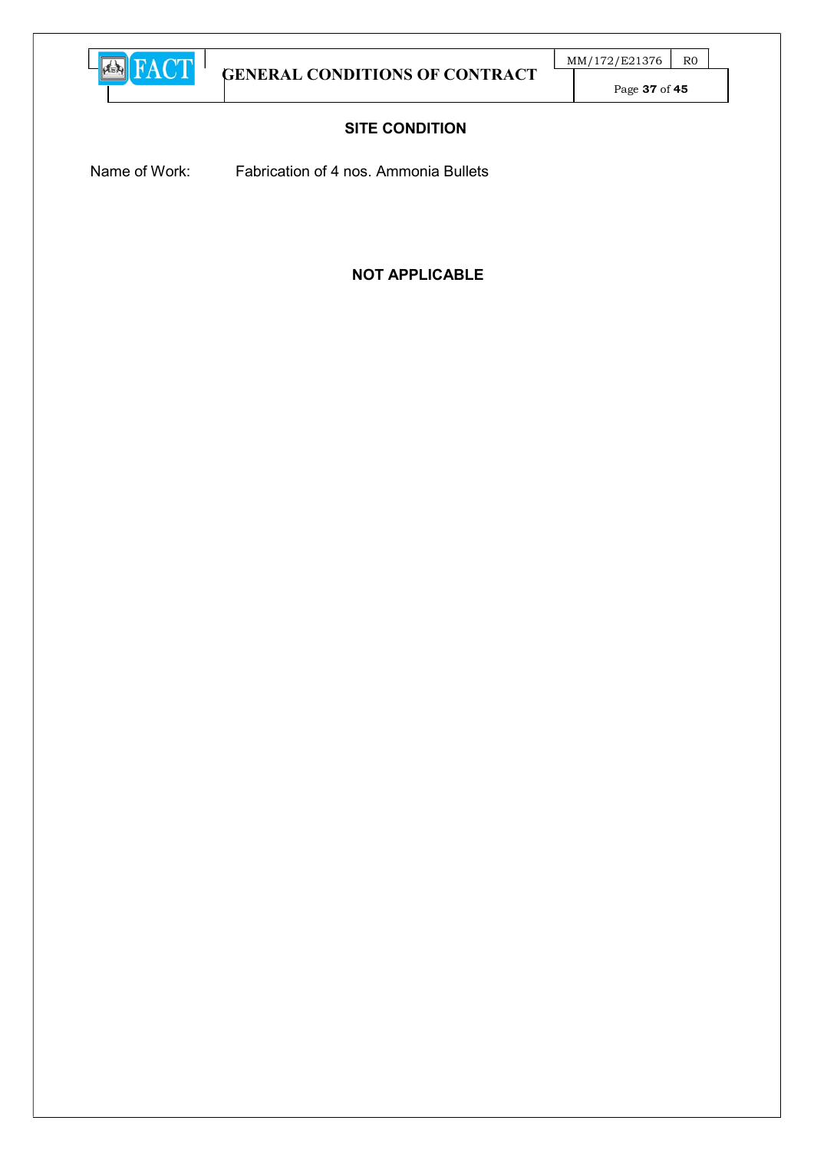

Page 37 of 45

## SITE CONDITION

Name of Work: Fabrication of 4 nos. Ammonia Bullets

## NOT APPLICABLE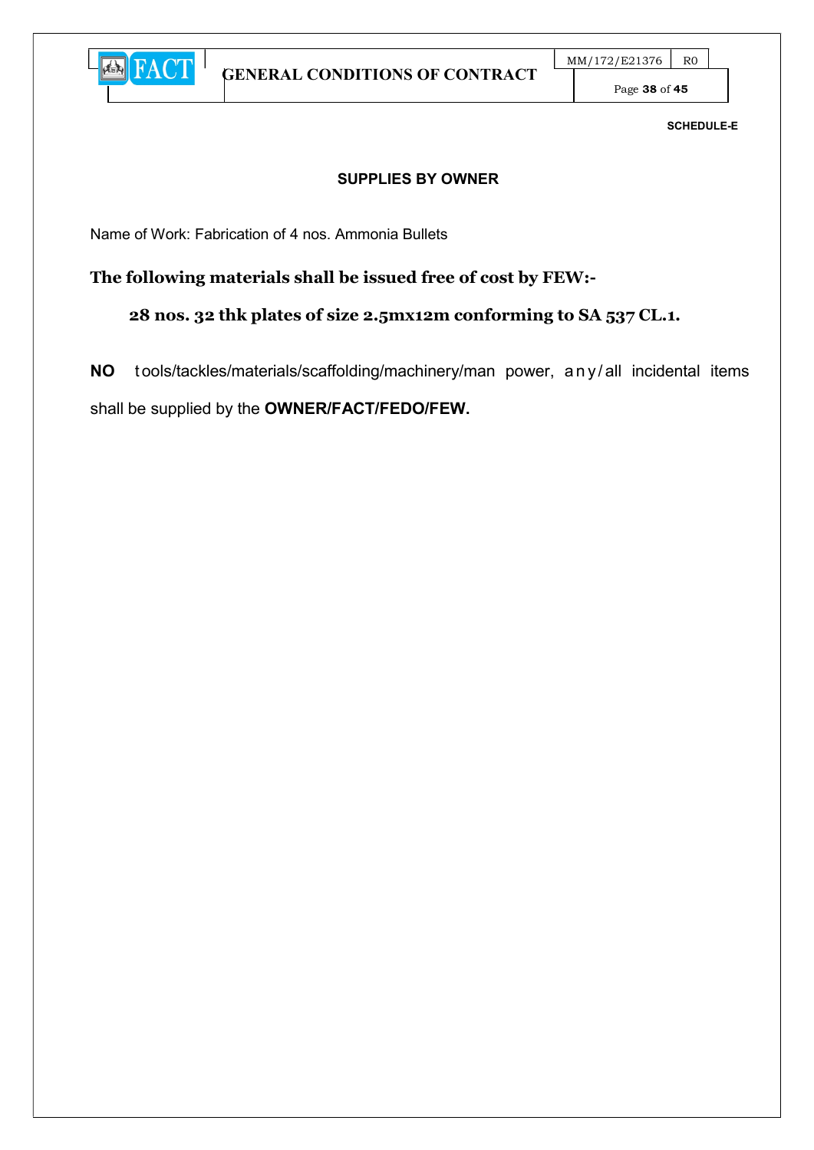

Page 38 of 45

SCHEDULE-E

#### SUPPLIES BY OWNER

Name of Work: Fabrication of 4 nos. Ammonia Bullets

## The following materials shall be issued free of cost by FEW:-

28 nos. 32 thk plates of size 2.5mx12m conforming to SA 537 CL.1.

NO tools/tackles/materials/scaffolding/machinery/man power, any/all incidental items shall be supplied by the OWNER/FACT/FEDO/FEW.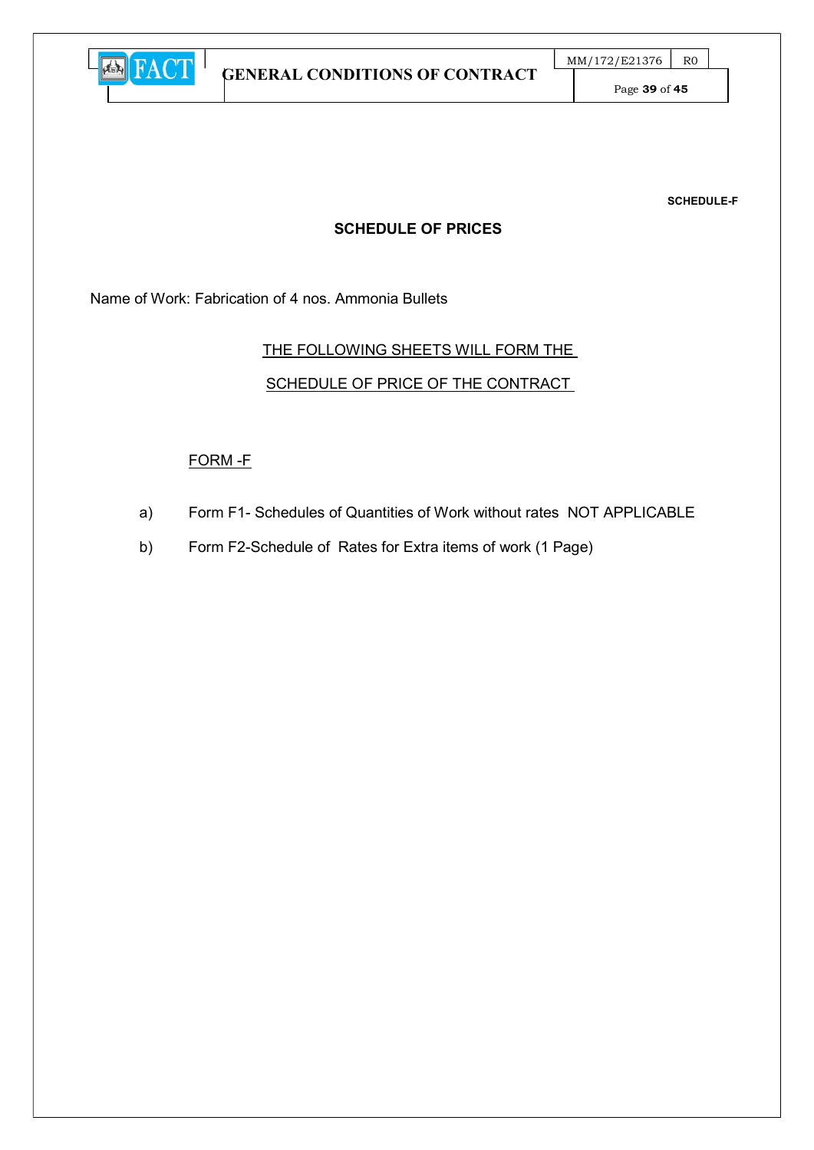

SCHEDULE-F

#### SCHEDULE OF PRICES

Name of Work: Fabrication of 4 nos. Ammonia Bullets

#### THE FOLLOWING SHEETS WILL FORM THE

## SCHEDULE OF PRICE OF THE CONTRACT

#### FORM -F

- a) Form F1- Schedules of Quantities of Work without rates NOT APPLICABLE
- b) Form F2-Schedule of Rates for Extra items of work (1 Page)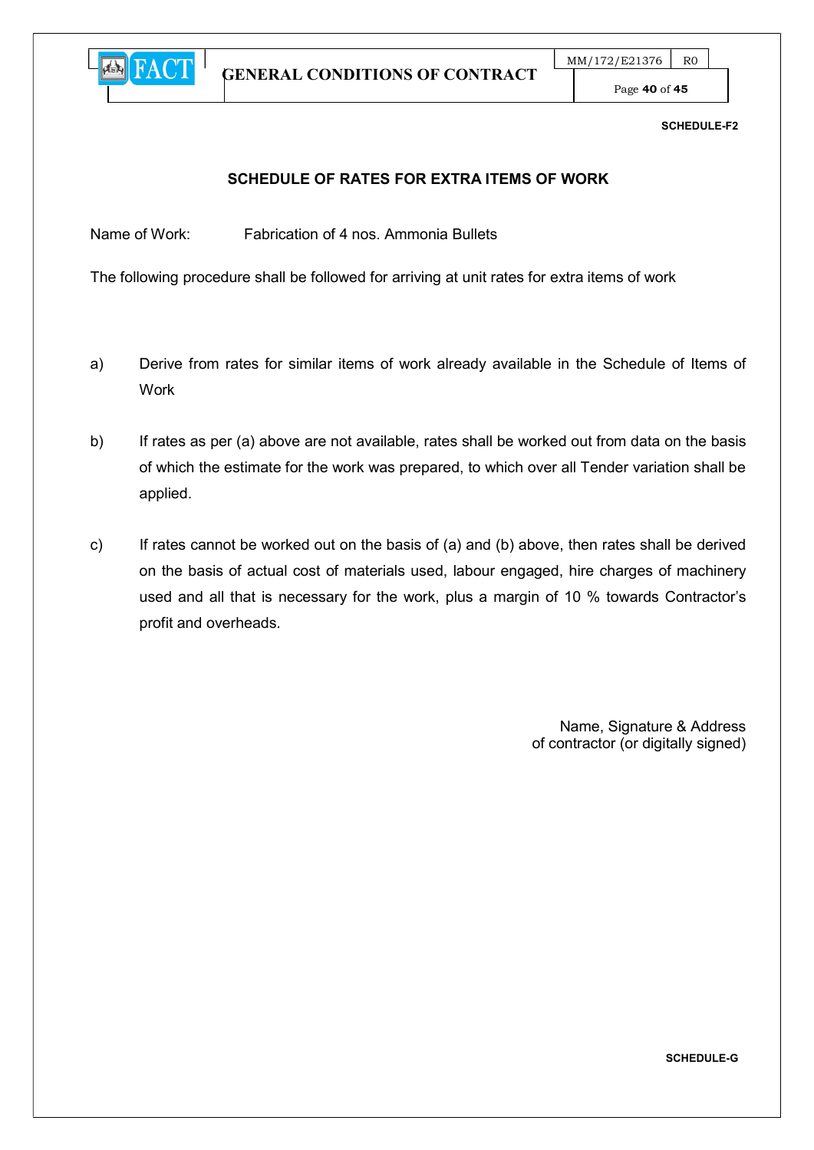

Page 40 of 45

#### SCHEDULE-F2

#### SCHEDULE OF RATES FOR EXTRA ITEMS OF WORK

Name of Work: Fabrication of 4 nos. Ammonia Bullets

The following procedure shall be followed for arriving at unit rates for extra items of work

- a) Derive from rates for similar items of work already available in the Schedule of Items of Work
- b) If rates as per (a) above are not available, rates shall be worked out from data on the basis of which the estimate for the work was prepared, to which over all Tender variation shall be applied.
- c) If rates cannot be worked out on the basis of (a) and (b) above, then rates shall be derived on the basis of actual cost of materials used, labour engaged, hire charges of machinery used and all that is necessary for the work, plus a margin of 10 % towards Contractor's profit and overheads.

 Name, Signature & Address of contractor (or digitally signed)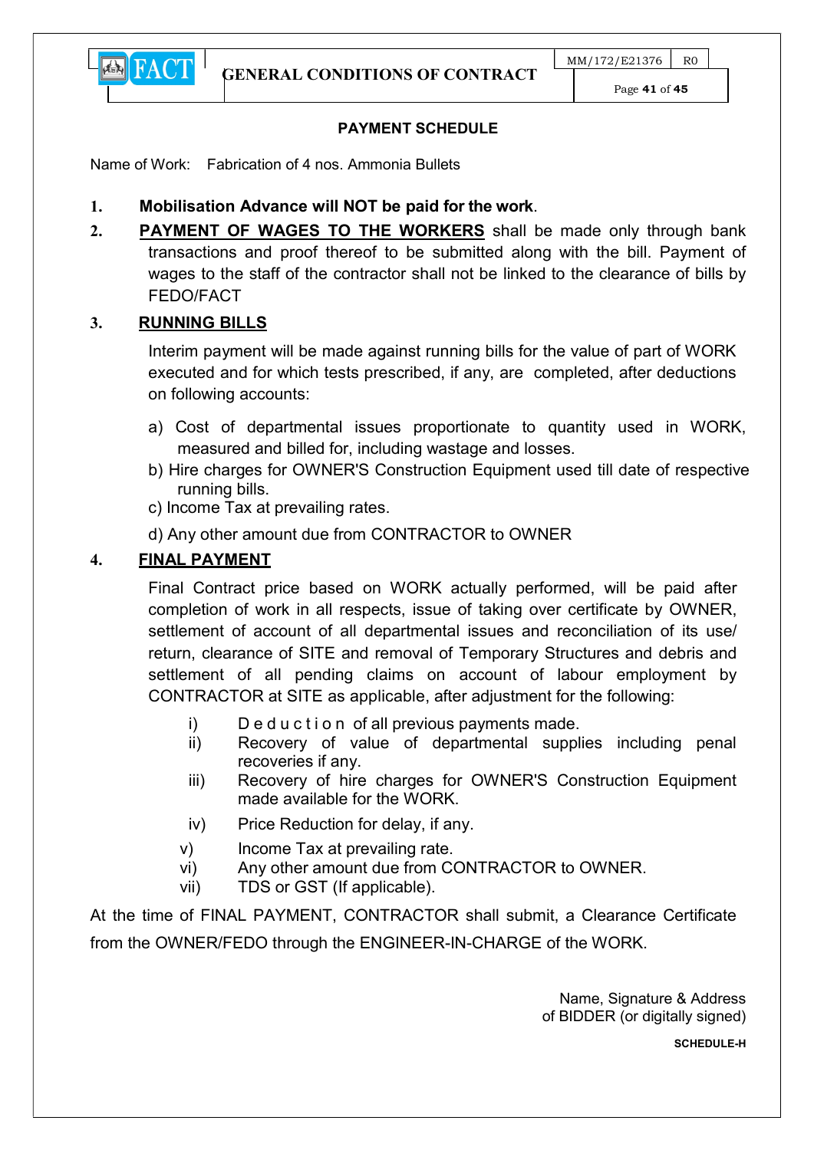

Page 41 of 45

## PAYMENT SCHEDULE

Name of Work: Fabrication of 4 nos. Ammonia Bullets

- 1. Mobilisation Advance will NOT be paid for the work.
- 2. PAYMENT OF WAGES TO THE WORKERS shall be made only through bank transactions and proof thereof to be submitted along with the bill. Payment of wages to the staff of the contractor shall not be linked to the clearance of bills by FEDO/FACT

## 3. RUNNING BILLS

**E** FACT

Interim payment will be made against running bills for the value of part of WORK executed and for which tests prescribed, if any, are completed, after deductions on following accounts:

- a) Cost of departmental issues proportionate to quantity used in WORK, measured and billed for, including wastage and losses.
- b) Hire charges for OWNER'S Construction Equipment used till date of respective running bills.
- c) Income Tax at prevailing rates.

d) Any other amount due from CONTRACTOR to OWNER

## 4. FINAL PAYMENT

Final Contract price based on WORK actually performed, will be paid after completion of work in all respects, issue of taking over certificate by OWNER, settlement of account of all departmental issues and reconciliation of its use/ return, clearance of SITE and removal of Temporary Structures and debris and settlement of all pending claims on account of labour employment by CONTRACTOR at SITE as applicable, after adjustment for the following:

- i) Deduction of all previous payments made.
- ii) Recovery of value of departmental supplies including penal recoveries if any.
- iii) Recovery of hire charges for OWNER'S Construction Equipment made available for the WORK.
- iv) Price Reduction for delay, if any.
- v) Income Tax at prevailing rate.
- vi) Any other amount due from CONTRACTOR to OWNER.
- vii) TDS or GST (If applicable).

At the time of FINAL PAYMENT, CONTRACTOR shall submit, a Clearance Certificate from the OWNER/FEDO through the ENGINEER-IN-CHARGE of the WORK.

> Name, Signature & Address of BIDDER (or digitally signed)

> > SCHEDULE-H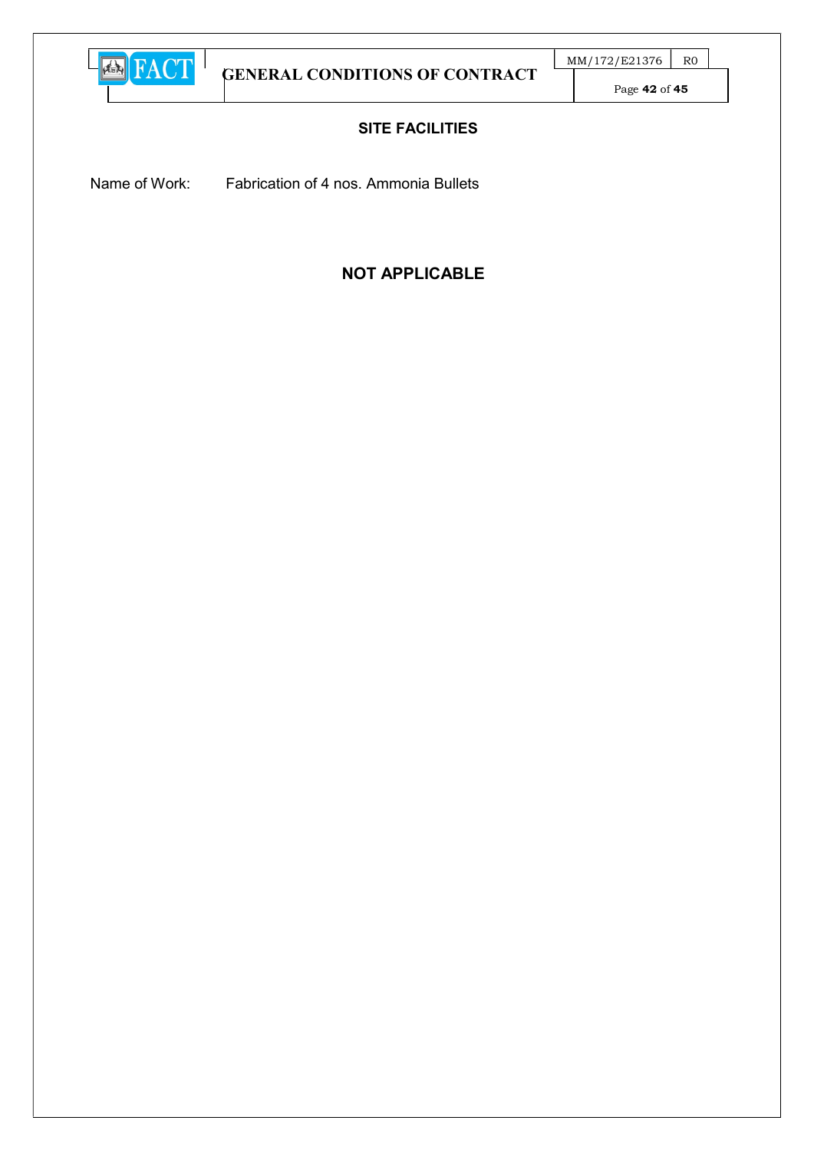

Page 42 of 45

## SITE FACILITIES

Name of Work: Fabrication of 4 nos. Ammonia Bullets

# NOT APPLICABLE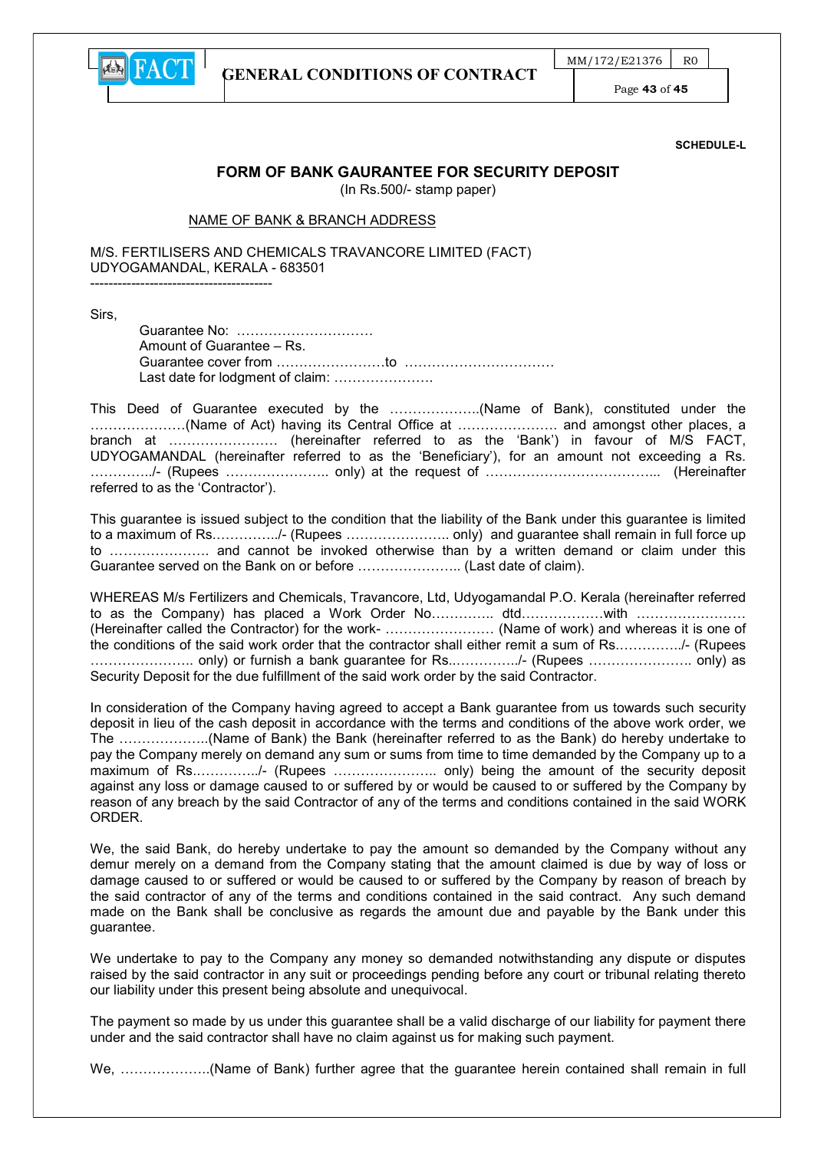

 $MM/172/E21376$  R0

Page 43 of 45

SCHEDULE-L

#### FORM OF BANK GAURANTEE FOR SECURITY DEPOSIT

(In Rs.500/- stamp paper)

#### NAME OF BANK & BRANCH ADDRESS

M/S. FERTILISERS AND CHEMICALS TRAVANCORE LIMITED (FACT) UDYOGAMANDAL, KERALA - 683501 ----------------------------------------

Sirs,

Guarantee No: ………………………… Amount of Guarantee – Rs. Guarantee cover from ……………………to …………………………… Last date for lodgment of claim: .......................

This Deed of Guarantee executed by the ………………..(Name of Bank), constituted under the …………………(Name of Act) having its Central Office at …………………. and amongst other places, a branch at …………………… (hereinafter referred to as the 'Bank') in favour of M/S FACT, UDYOGAMANDAL (hereinafter referred to as the 'Beneficiary'), for an amount not exceeding a Rs. …………../- (Rupees ………………….. only) at the request of ………………………………... (Hereinafter referred to as the 'Contractor').

This guarantee is issued subject to the condition that the liability of the Bank under this guarantee is limited to a maximum of Rs.…………../- (Rupees ………………….. only) and guarantee shall remain in full force up to …………………. and cannot be invoked otherwise than by a written demand or claim under this Guarantee served on the Bank on or before ………………….. (Last date of claim).

WHEREAS M/s Fertilizers and Chemicals, Travancore, Ltd, Udyogamandal P.O. Kerala (hereinafter referred to as the Company) has placed a Work Order No…………… dtd………………with ……………………… (Hereinafter called the Contractor) for the work- …………………… (Name of work) and whereas it is one of the conditions of the said work order that the contractor shall either remit a sum of Rs.…………../- (Rupees ………………….. only) or furnish a bank guarantee for Rs..…………../- (Rupees ………………….. only) as Security Deposit for the due fulfillment of the said work order by the said Contractor.

In consideration of the Company having agreed to accept a Bank guarantee from us towards such security deposit in lieu of the cash deposit in accordance with the terms and conditions of the above work order, we The ………………..(Name of Bank) the Bank (hereinafter referred to as the Bank) do hereby undertake to pay the Company merely on demand any sum or sums from time to time demanded by the Company up to a maximum of Rs.…………../- (Rupees ………………….. only) being the amount of the security deposit against any loss or damage caused to or suffered by or would be caused to or suffered by the Company by reason of any breach by the said Contractor of any of the terms and conditions contained in the said WORK **ORDER** 

We, the said Bank, do hereby undertake to pay the amount so demanded by the Company without any demur merely on a demand from the Company stating that the amount claimed is due by way of loss or damage caused to or suffered or would be caused to or suffered by the Company by reason of breach by the said contractor of any of the terms and conditions contained in the said contract. Any such demand made on the Bank shall be conclusive as regards the amount due and payable by the Bank under this guarantee.

We undertake to pay to the Company any money so demanded notwithstanding any dispute or disputes raised by the said contractor in any suit or proceedings pending before any court or tribunal relating thereto our liability under this present being absolute and unequivocal.

The payment so made by us under this guarantee shall be a valid discharge of our liability for payment there under and the said contractor shall have no claim against us for making such payment.

We, ………………..(Name of Bank) further agree that the guarantee herein contained shall remain in full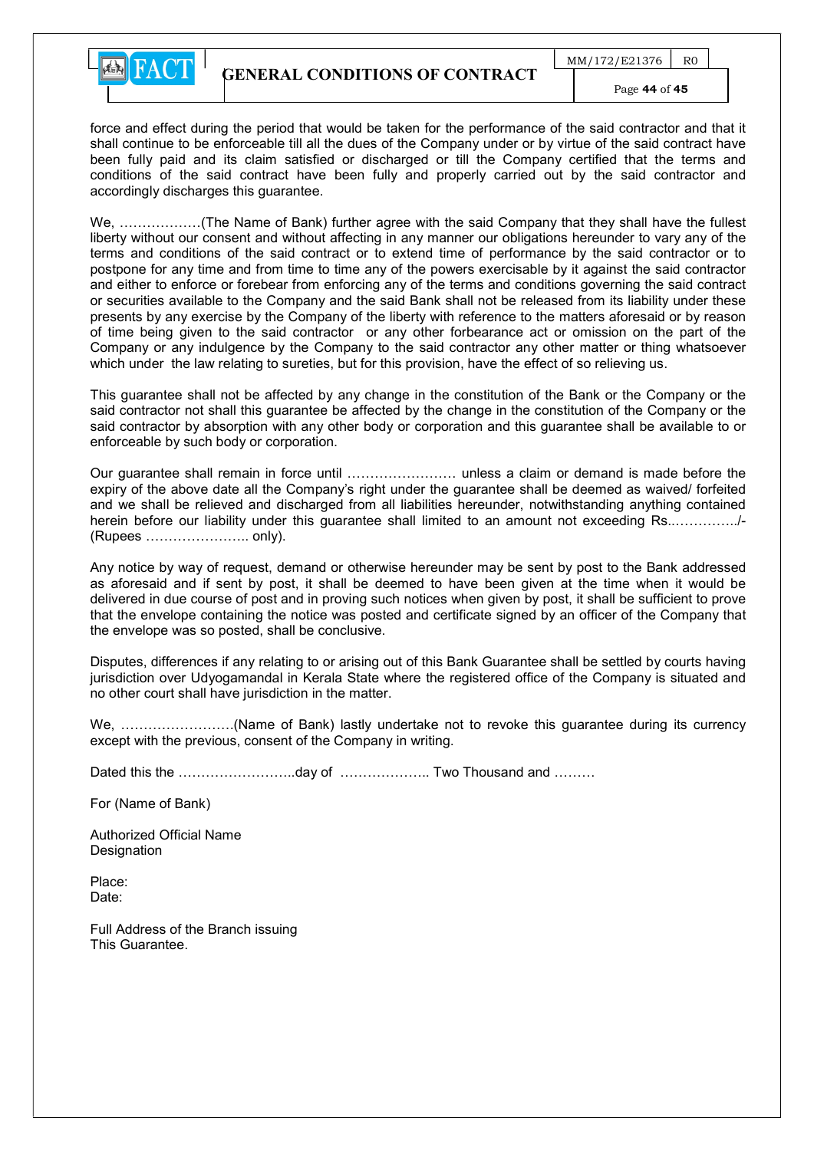

force and effect during the period that would be taken for the performance of the said contractor and that it shall continue to be enforceable till all the dues of the Company under or by virtue of the said contract have been fully paid and its claim satisfied or discharged or till the Company certified that the terms and conditions of the said contract have been fully and properly carried out by the said contractor and accordingly discharges this guarantee.

We, ………………(The Name of Bank) further agree with the said Company that they shall have the fullest liberty without our consent and without affecting in any manner our obligations hereunder to vary any of the terms and conditions of the said contract or to extend time of performance by the said contractor or to postpone for any time and from time to time any of the powers exercisable by it against the said contractor and either to enforce or forebear from enforcing any of the terms and conditions governing the said contract or securities available to the Company and the said Bank shall not be released from its liability under these presents by any exercise by the Company of the liberty with reference to the matters aforesaid or by reason of time being given to the said contractor or any other forbearance act or omission on the part of the Company or any indulgence by the Company to the said contractor any other matter or thing whatsoever which under the law relating to sureties, but for this provision, have the effect of so relieving us.

This guarantee shall not be affected by any change in the constitution of the Bank or the Company or the said contractor not shall this guarantee be affected by the change in the constitution of the Company or the said contractor by absorption with any other body or corporation and this guarantee shall be available to or enforceable by such body or corporation.

Our guarantee shall remain in force until …………………… unless a claim or demand is made before the expiry of the above date all the Company's right under the guarantee shall be deemed as waived/ forfeited and we shall be relieved and discharged from all liabilities hereunder, notwithstanding anything contained herein before our liability under this guarantee shall limited to an amount not exceeding Rs..…………../- (Rupees ………………….. only).

Any notice by way of request, demand or otherwise hereunder may be sent by post to the Bank addressed as aforesaid and if sent by post, it shall be deemed to have been given at the time when it would be delivered in due course of post and in proving such notices when given by post, it shall be sufficient to prove that the envelope containing the notice was posted and certificate signed by an officer of the Company that the envelope was so posted, shall be conclusive.

Disputes, differences if any relating to or arising out of this Bank Guarantee shall be settled by courts having jurisdiction over Udyogamandal in Kerala State where the registered office of the Company is situated and no other court shall have jurisdiction in the matter.

We, …………………….(Name of Bank) lastly undertake not to revoke this guarantee during its currency except with the previous, consent of the Company in writing.

Dated this the ……………………..day of ……………….. Two Thousand and ………

For (Name of Bank)

Authorized Official Name **Designation** 

Place: Date:

Full Address of the Branch issuing This Guarantee.